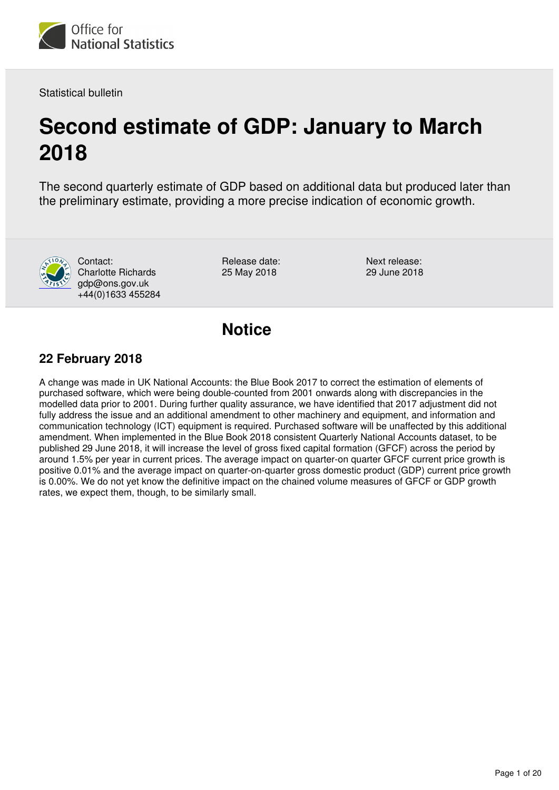

Statistical bulletin

## **Second estimate of GDP: January to March 2018**

The second quarterly estimate of GDP based on additional data but produced later than the preliminary estimate, providing a more precise indication of economic growth.



Contact: Charlotte Richards gdp@ons.gov.uk +44(0)1633 455284

Release date: 25 May 2018

Next release: 29 June 2018

## **Notice**

## **22 February 2018**

A change was made in UK National Accounts: the Blue Book 2017 to correct the estimation of elements of purchased software, which were being double-counted from 2001 onwards along with discrepancies in the modelled data prior to 2001. During further quality assurance, we have identified that 2017 adjustment did not fully address the issue and an additional amendment to other machinery and equipment, and information and communication technology (ICT) equipment is required. Purchased software will be unaffected by this additional amendment. When implemented in the Blue Book 2018 consistent Quarterly National Accounts dataset, to be published 29 June 2018, it will increase the level of gross fixed capital formation (GFCF) across the period by around 1.5% per year in current prices. The average impact on quarter-on quarter GFCF current price growth is positive 0.01% and the average impact on quarter-on-quarter gross domestic product (GDP) current price growth is 0.00%. We do not yet know the definitive impact on the chained volume measures of GFCF or GDP growth rates, we expect them, though, to be similarly small.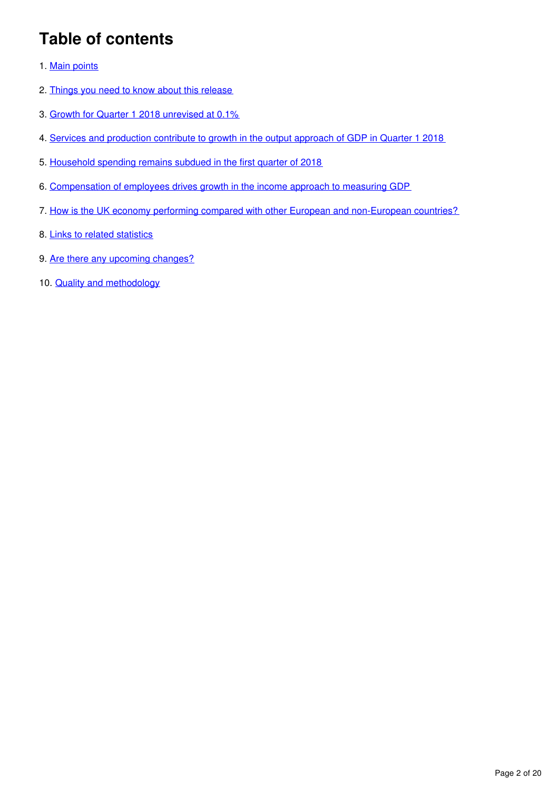## **Table of contents**

- 1. [Main points](#page-2-0)
- 2. [Things you need to know about this release](#page-2-1)
- 3. [Growth for Quarter 1 2018 unrevised at 0.1%](#page-3-0)
- 4. [Services and production contribute to growth in the output approach of GDP in Quarter 1 2018](#page-7-0)
- 5. [Household spending remains subdued in the first quarter of 2018](#page-10-0)
- 6. [Compensation of employees drives growth in the income approach to measuring GDP](#page-12-0)
- 7. [How is the UK economy performing compared with other European and non-European countries?](#page-14-0)
- 8. [Links to related statistics](#page-15-0)
- 9. [Are there any upcoming changes?](#page-16-0)
- 10. **[Quality and methodology](#page-17-0)**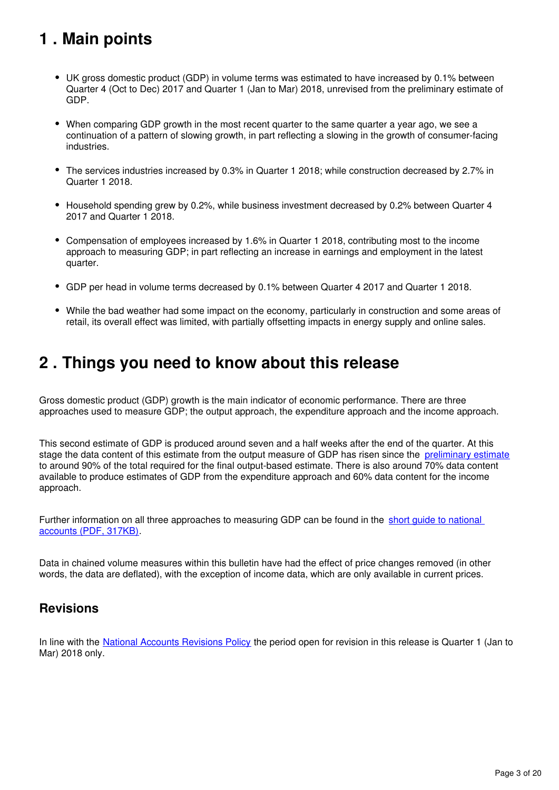## <span id="page-2-0"></span>**1 . Main points**

- UK gross domestic product (GDP) in volume terms was estimated to have increased by 0.1% between Quarter 4 (Oct to Dec) 2017 and Quarter 1 (Jan to Mar) 2018, unrevised from the preliminary estimate of GDP.
- When comparing GDP growth in the most recent quarter to the same quarter a year ago, we see a continuation of a pattern of slowing growth, in part reflecting a slowing in the growth of consumer-facing industries.
- The services industries increased by 0.3% in Quarter 1 2018; while construction decreased by 2.7% in Quarter 1 2018.
- Household spending grew by 0.2%, while business investment decreased by 0.2% between Quarter 4 2017 and Quarter 1 2018.
- Compensation of employees increased by 1.6% in Quarter 1 2018, contributing most to the income approach to measuring GDP; in part reflecting an increase in earnings and employment in the latest quarter.
- GDP per head in volume terms decreased by 0.1% between Quarter 4 2017 and Quarter 1 2018.
- While the bad weather had some impact on the economy, particularly in construction and some areas of retail, its overall effect was limited, with partially offsetting impacts in energy supply and online sales.

## <span id="page-2-1"></span>**2 . Things you need to know about this release**

Gross domestic product (GDP) growth is the main indicator of economic performance. There are three approaches used to measure GDP; the output approach, the expenditure approach and the income approach.

This second estimate of GDP is produced around seven and a half weeks after the end of the quarter. At this stage the data content of this estimate from the output measure of GDP has risen since the [preliminary estimate](https://www.ons.gov.uk/economy/grossdomesticproductgdp/bulletins/grossdomesticproductpreliminaryestimate/previousReleases) to around 90% of the total required for the final output-based estimate. There is also around 70% data content available to produce estimates of GDP from the expenditure approach and 60% data content for the income approach.

Further information on all three approaches to measuring GDP can be found in the [short guide to national](http://webarchive.nationalarchives.gov.uk/20160105160709/http:/www.ons.gov.uk/ons/guide-method/method-quality/specific/economy/national-accounts/articles/2011-present/a-short-guide-to-the-uk-national-accounts.pdf)  [accounts \(PDF, 317KB\)](http://webarchive.nationalarchives.gov.uk/20160105160709/http:/www.ons.gov.uk/ons/guide-method/method-quality/specific/economy/national-accounts/articles/2011-present/a-short-guide-to-the-uk-national-accounts.pdf).

Data in chained volume measures within this bulletin have had the effect of price changes removed (in other words, the data are deflated), with the exception of income data, which are only available in current prices.

## **Revisions**

In line with the [National Accounts Revisions Policy](http://www.ons.gov.uk/methodology/methodologytopicsandstatisticalconcepts/revisions/revisionspoliciesforeconomicstatistics) the period open for revision in this release is Quarter 1 (Jan to Mar) 2018 only.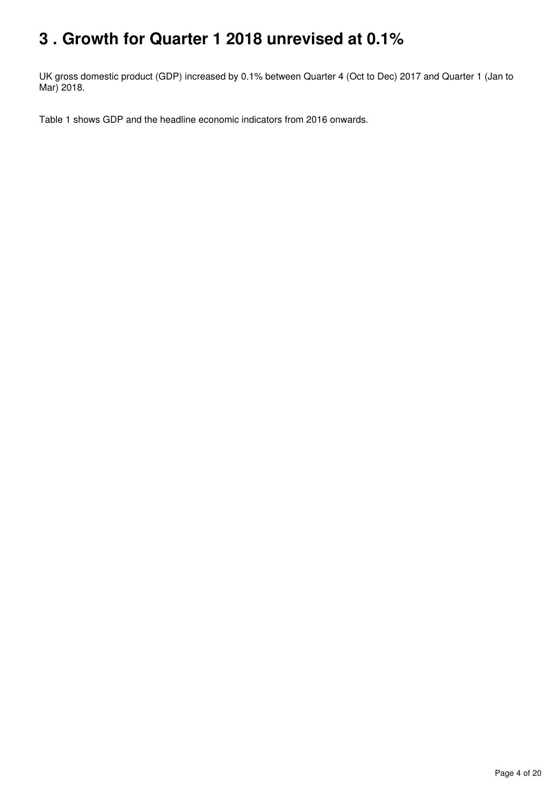## <span id="page-3-0"></span>**3 . Growth for Quarter 1 2018 unrevised at 0.1%**

UK gross domestic product (GDP) increased by 0.1% between Quarter 4 (Oct to Dec) 2017 and Quarter 1 (Jan to Mar) 2018.

Table 1 shows GDP and the headline economic indicators from 2016 onwards.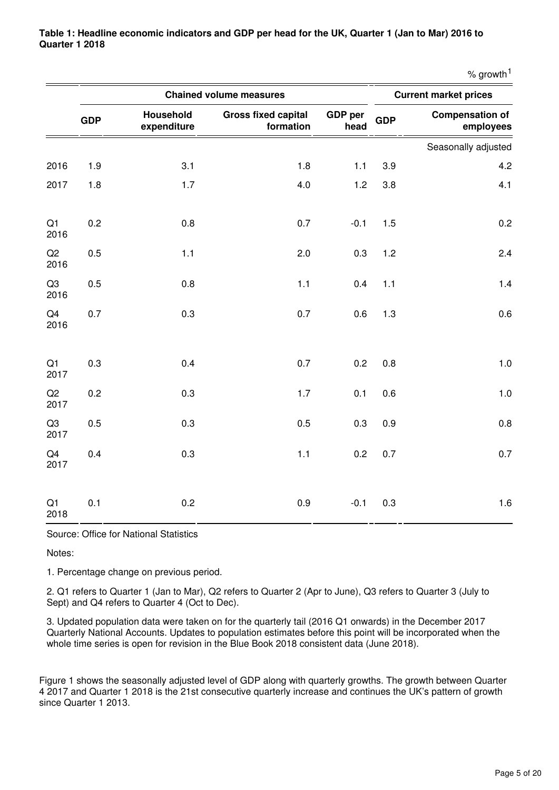|            |            |                          | <b>Chained volume measures</b>          |                        | <b>Current market prices</b> |                                     |  |  |
|------------|------------|--------------------------|-----------------------------------------|------------------------|------------------------------|-------------------------------------|--|--|
|            | <b>GDP</b> | Household<br>expenditure | <b>Gross fixed capital</b><br>formation | <b>GDP</b> per<br>head | <b>GDP</b>                   | <b>Compensation of</b><br>employees |  |  |
|            |            |                          |                                         |                        |                              | Seasonally adjusted                 |  |  |
| 2016       | 1.9        | 3.1                      | 1.8                                     | 1.1                    | 3.9                          | 4.2                                 |  |  |
| 2017       | 1.8        | 1.7                      | 4.0                                     | 1.2                    | 3.8                          | 4.1                                 |  |  |
| Q1<br>2016 | 0.2        | 0.8                      | 0.7                                     | $-0.1$                 | 1.5                          | 0.2                                 |  |  |
| Q2<br>2016 | 0.5        | 1.1                      | 2.0                                     | 0.3                    | 1.2                          | 2.4                                 |  |  |
| Q3<br>2016 | 0.5        | 0.8                      | 1.1                                     | 0.4                    | 1.1                          | 1.4                                 |  |  |
| Q4<br>2016 | 0.7        | 0.3                      | 0.7                                     | 0.6                    | 1.3                          | 0.6                                 |  |  |
| Q1<br>2017 | 0.3        | 0.4                      | 0.7                                     | 0.2                    | 0.8                          | 1.0                                 |  |  |
| Q2<br>2017 | 0.2        | 0.3                      | 1.7                                     | 0.1                    | 0.6                          | $1.0\,$                             |  |  |
| Q3<br>2017 | 0.5        | 0.3                      | 0.5                                     | 0.3                    | 0.9                          | 0.8                                 |  |  |
| Q4<br>2017 | 0.4        | 0.3                      | 1.1                                     | 0.2                    | 0.7                          | 0.7                                 |  |  |
| Q1<br>2018 | 0.1        | 0.2                      | 0.9                                     | $-0.1$                 | 0.3                          | 1.6                                 |  |  |

**Table 1: Headline economic indicators and GDP per head for the UK, Quarter 1 (Jan to Mar) 2016 to Quarter 1 2018**

 $%$  arowth<sup>1</sup>

Source: Office for National Statistics

Notes:

1. Percentage change on previous period.

2. Q1 refers to Quarter 1 (Jan to Mar), Q2 refers to Quarter 2 (Apr to June), Q3 refers to Quarter 3 (July to Sept) and Q4 refers to Quarter 4 (Oct to Dec).

3. Updated population data were taken on for the quarterly tail (2016 Q1 onwards) in the December 2017 Quarterly National Accounts. Updates to population estimates before this point will be incorporated when the whole time series is open for revision in the Blue Book 2018 consistent data (June 2018).

Figure 1 shows the seasonally adjusted level of GDP along with quarterly growths. The growth between Quarter 4 2017 and Quarter 1 2018 is the 21st consecutive quarterly increase and continues the UK's pattern of growth since Quarter 1 2013.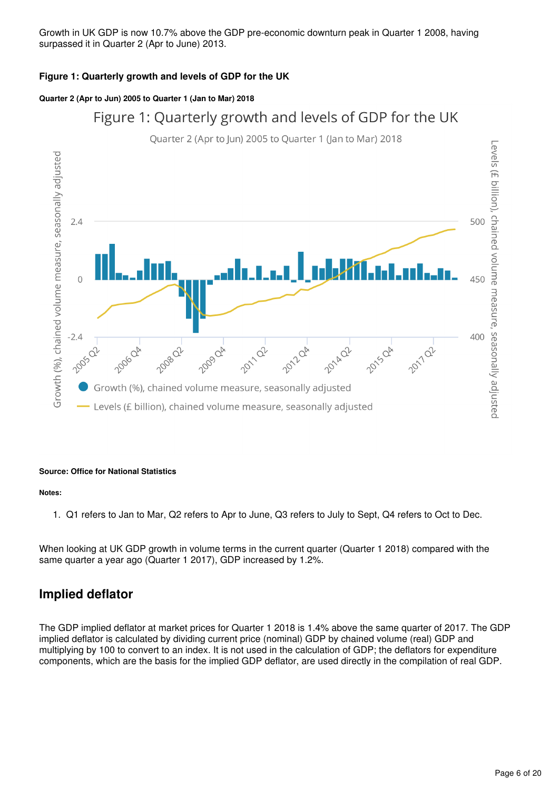Growth in UK GDP is now 10.7% above the GDP pre-economic downturn peak in Quarter 1 2008, having surpassed it in Quarter 2 (Apr to June) 2013.

#### **Figure 1: Quarterly growth and levels of GDP for the UK**

#### **Quarter 2 (Apr to Jun) 2005 to Quarter 1 (Jan to Mar) 2018**



#### **Source: Office for National Statistics**

#### **Notes:**

1. Q1 refers to Jan to Mar, Q2 refers to Apr to June, Q3 refers to July to Sept, Q4 refers to Oct to Dec.

When looking at UK GDP growth in volume terms in the current quarter (Quarter 1 2018) compared with the same quarter a year ago (Quarter 1 2017), GDP increased by 1.2%.

### **Implied deflator**

The GDP implied deflator at market prices for Quarter 1 2018 is 1.4% above the same quarter of 2017. The GDP implied deflator is calculated by dividing current price (nominal) GDP by chained volume (real) GDP and multiplying by 100 to convert to an index. It is not used in the calculation of GDP; the deflators for expenditure components, which are the basis for the implied GDP deflator, are used directly in the compilation of real GDP.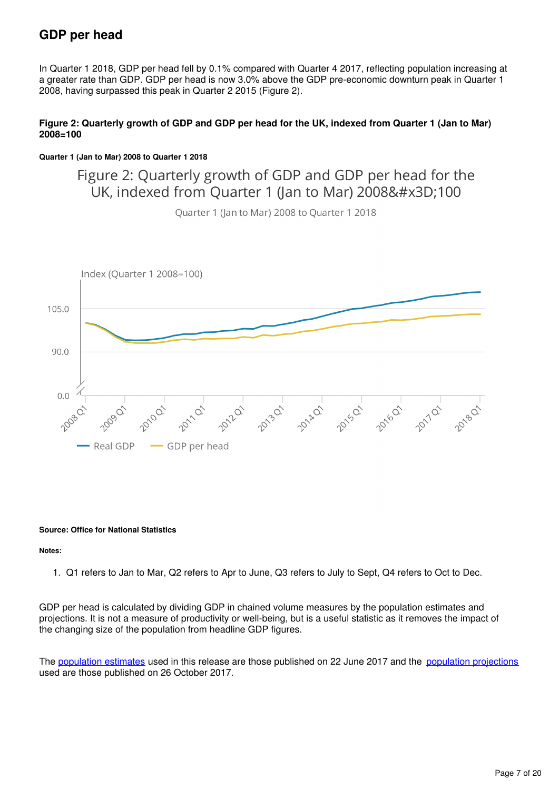## **GDP per head**

In Quarter 1 2018, GDP per head fell by 0.1% compared with Quarter 4 2017, reflecting population increasing at a greater rate than GDP. GDP per head is now 3.0% above the GDP pre-economic downturn peak in Quarter 1 2008, having surpassed this peak in Quarter 2 2015 (Figure 2).

### **Figure 2: Quarterly growth of GDP and GDP per head for the UK, indexed from Quarter 1 (Jan to Mar) 2008=100**

#### **Quarter 1 (Jan to Mar) 2008 to Quarter 1 2018**

Figure 2: Quarterly growth of GDP and GDP per head for the UK, indexed from Ouarter 1 (Jan to Mar) 2008=100

Quarter 1 (Jan to Mar) 2008 to Quarter 1 2018



#### **Source: Office for National Statistics**

#### **Notes:**

1. Q1 refers to Jan to Mar, Q2 refers to Apr to June, Q3 refers to July to Sept, Q4 refers to Oct to Dec.

GDP per head is calculated by dividing GDP in chained volume measures by the population estimates and projections. It is not a measure of productivity or well-being, but is a useful statistic as it removes the impact of the changing size of the population from headline GDP figures.

The [population estimates](https://www.ons.gov.uk/peoplepopulationandcommunity/populationandmigration/populationestimates/bulletins/annualmidyearpopulationestimates/mid2016) used in this release are those published on 22 June 2017 and the [population projections](https://www.ons.gov.uk/peoplepopulationandcommunity/populationandmigration/populationprojections/bulletins/nationalpopulationprojections/2016basedstatisticalbulletin) used are those published on 26 October 2017.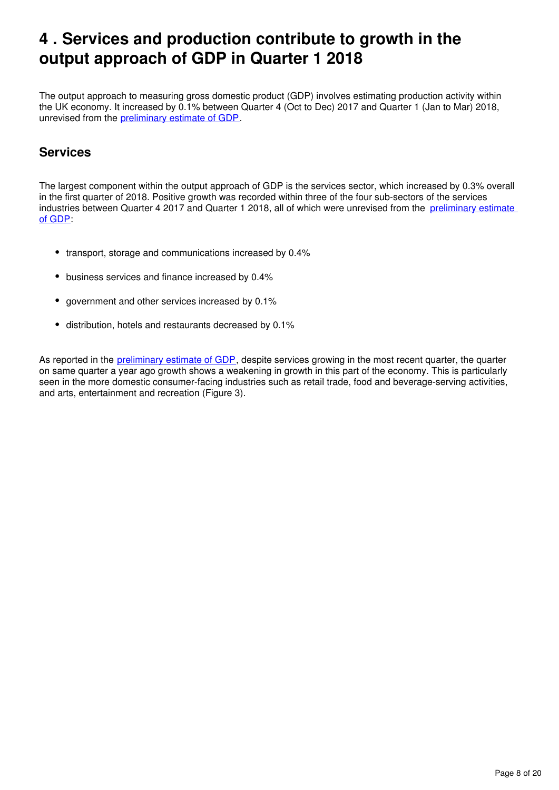## <span id="page-7-0"></span>**4 . Services and production contribute to growth in the output approach of GDP in Quarter 1 2018**

The output approach to measuring gross domestic product (GDP) involves estimating production activity within the UK economy. It increased by 0.1% between Quarter 4 (Oct to Dec) 2017 and Quarter 1 (Jan to Mar) 2018, unrevisedfrom the *preliminary estimate of GDP*.

## **Services**

The largest component within the output approach of GDP is the services sector, which increased by 0.3% overall in the first quarter of 2018. Positive growth was recorded within three of the four sub-sectors of the services industries between Quarter 4 2017 and Quarter 1 2018, all of which were unrevised from the preliminary estimate [of GDP](https://www.ons.gov.uk/economy/grossdomesticproductgdp/bulletins/grossdomesticproductpreliminaryestimate/januarytomarch2018):

- transport, storage and communications increased by 0.4%
- business services and finance increased by 0.4%
- government and other services increased by 0.1%
- distribution, hotels and restaurants decreased by 0.1%

As reported in the preliminary estimate of GDP[,](https://www.ons.gov.uk/economy/grossdomesticproductgdp/bulletins/grossdomesticproductpreliminaryestimate/januarytomarch2018) despite services growing in the most recent quarter, the quarter on same quarter a year ago growth shows a weakening in growth in this part of the economy. This is particularly seen in the more domestic consumer-facing industries such as retail trade, food and beverage-serving activities, and arts, entertainment and recreation (Figure 3).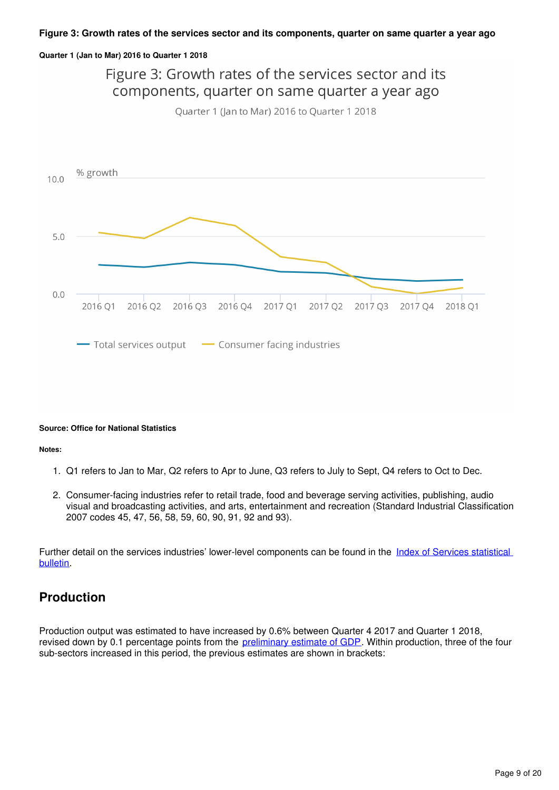#### **Quarter 1 (Jan to Mar) 2016 to Quarter 1 2018**



#### **Source: Office for National Statistics**

#### **Notes:**

- 1. Q1 refers to Jan to Mar, Q2 refers to Apr to June, Q3 refers to July to Sept, Q4 refers to Oct to Dec.
- 2. Consumer-facing industries refer to retail trade, food and beverage serving activities, publishing, audio visual and broadcasting activities, and arts, entertainment and recreation (Standard Industrial Classification 2007 codes 45, 47, 56, 58, 59, 60, 90, 91, 92 and 93).

Further detail on the services industries' lower-level components can be found in the Index of Services statistical [bulletin.](https://www.ons.gov.uk/economy/economicoutputandproductivity/output/bulletins/indexofservices/previousReleases)

### **Production**

Production output was estimated to have increased by 0.6% between Quarter 4 2017 and Quarter 1 2018, revised down by 0[.](https://www.ons.gov.uk/economy/grossdomesticproductgdp/bulletins/grossdomesticproductpreliminaryestimate/januarytomarch2018)1 percentage points from the [preliminary estimate of GDP](https://www.ons.gov.uk/economy/grossdomesticproductgdp/bulletins/grossdomesticproductpreliminaryestimate/januarytomarch2018). Within production, three of the four sub-sectors increased in this period, the previous estimates are shown in brackets: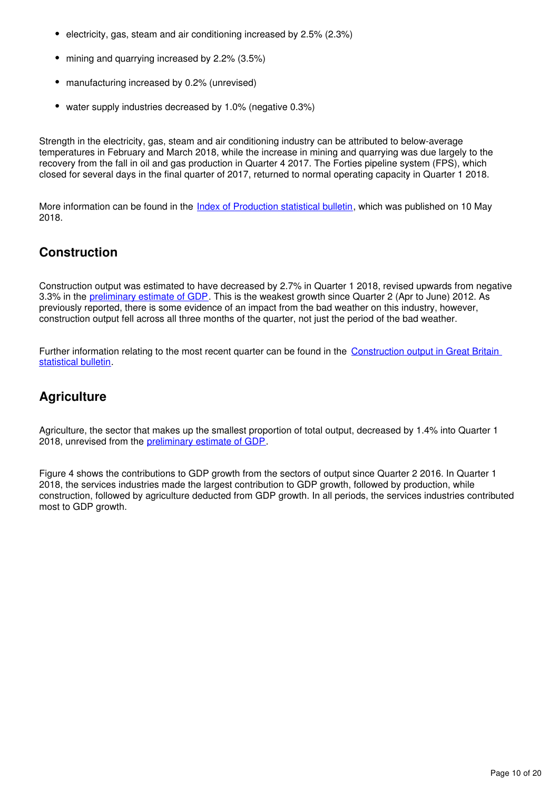- electricity, gas, steam and air conditioning increased by 2.5% (2.3%)
- mining and quarrying increased by 2.2% (3.5%)
- manufacturing increased by 0.2% (unrevised)
- water supply industries decreased by 1.0% (negative 0.3%)

Strength in the electricity, gas, steam and air conditioning industry can be attributed to below-average temperatures in February and March 2018, while the increase in mining and quarrying was due largely to the recovery from the fall in oil and gas production in Quarter 4 2017. The Forties pipeline system (FPS), which closed for several days in the final quarter of 2017, returned to normal operating capacity in Quarter 1 2018.

More information can be found in the *[Index of Production statistical bulletin](https://www.ons.gov.uk/economy/economicoutputandproductivity/output/bulletins/indexofproduction/previousReleases)*, which was published on 10 May 2018.

## **Construction**

Construction output was estimated to have decreased by 2.7% in Quarter 1 2018, revised upwards from negative 3.3% in the [preliminary estimate of GDP](https://www.ons.gov.uk/economy/grossdomesticproductgdp/bulletins/grossdomesticproductpreliminaryestimate/januarytomarch2018). This is the weakest growth since Quarter 2 (Apr to June) 2012. As previously reported, there is some evidence of an impact from the bad weather on this industry, however, construction output fell across all three months of the quarter, not just the period of the bad weather.

Further information relating to the most recent quarter can be found in the Construction output in Great Britain [statistical bulletin](https://www.ons.gov.uk/businessindustryandtrade/constructionindustry/bulletins/constructionoutputingreatbritain/previousReleases).

## **Agriculture**

Agriculture, the sector that makes up the smallest proportion of total output, decreased by 1.4% into Quarter 1 2018,unrevised from the preliminary estimate of GDP.

Figure 4 shows the contributions to GDP growth from the sectors of output since Quarter 2 2016. In Quarter 1 2018, the services industries made the largest contribution to GDP growth, followed by production, while construction, followed by agriculture deducted from GDP growth. In all periods, the services industries contributed most to GDP growth.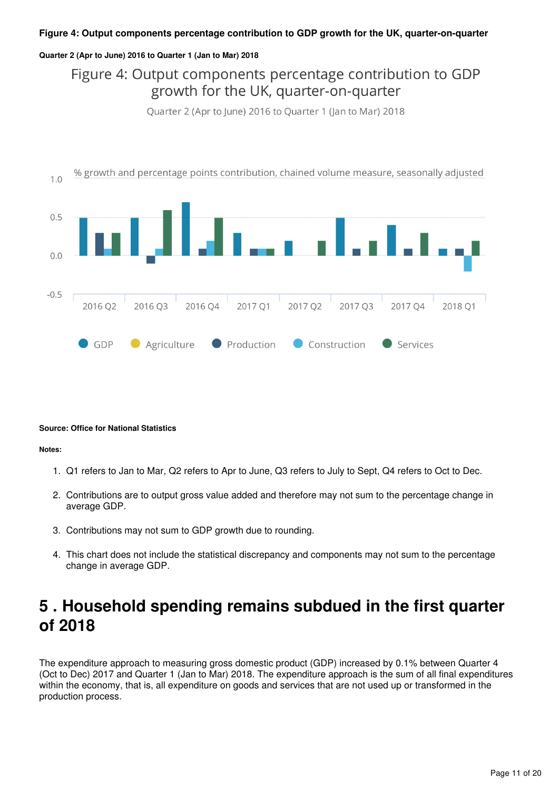### **Figure 4: Output components percentage contribution to GDP growth for the UK, quarter-on-quarter**

#### **Quarter 2 (Apr to June) 2016 to Quarter 1 (Jan to Mar) 2018**

## Figure 4: Output components percentage contribution to GDP growth for the UK, quarter-on-quarter

Quarter 2 (Apr to June) 2016 to Quarter 1 (Jan to Mar) 2018



#### **Source: Office for National Statistics**

#### **Notes:**

- 1. Q1 refers to Jan to Mar, Q2 refers to Apr to June, Q3 refers to July to Sept, Q4 refers to Oct to Dec.
- 2. Contributions are to output gross value added and therefore may not sum to the percentage change in average GDP.
- 3. Contributions may not sum to GDP growth due to rounding.
- 4. This chart does not include the statistical discrepancy and components may not sum to the percentage change in average GDP.

## <span id="page-10-0"></span>**5 . Household spending remains subdued in the first quarter of 2018**

The expenditure approach to measuring gross domestic product (GDP) increased by 0.1% between Quarter 4 (Oct to Dec) 2017 and Quarter 1 (Jan to Mar) 2018. The expenditure approach is the sum of all final expenditures within the economy, that is, all expenditure on goods and services that are not used up or transformed in the production process.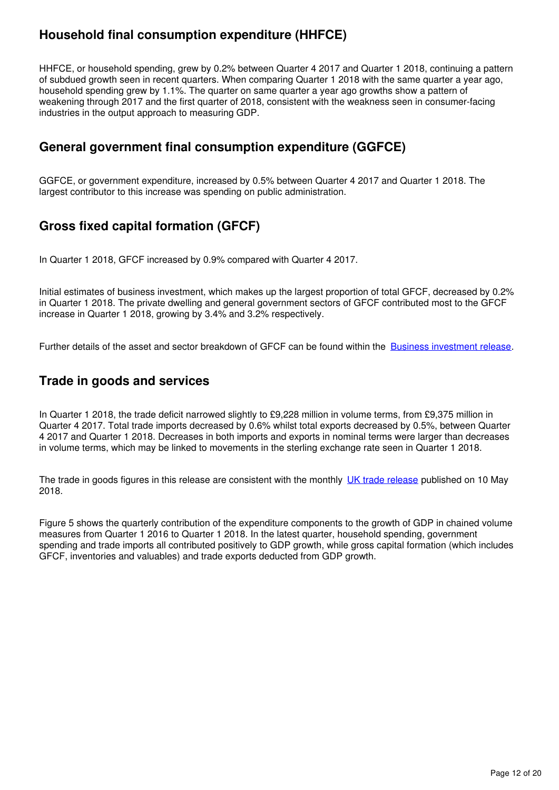## **Household final consumption expenditure (HHFCE)**

HHFCE, or household spending, grew by 0.2% between Quarter 4 2017 and Quarter 1 2018, continuing a pattern of subdued growth seen in recent quarters. When comparing Quarter 1 2018 with the same quarter a year ago, household spending grew by 1.1%. The quarter on same quarter a year ago growths show a pattern of weakening through 2017 and the first quarter of 2018, consistent with the weakness seen in consumer-facing industries in the output approach to measuring GDP.

## **General government final consumption expenditure (GGFCE)**

GGFCE, or government expenditure, increased by 0.5% between Quarter 4 2017 and Quarter 1 2018. The largest contributor to this increase was spending on public administration.

## **Gross fixed capital formation (GFCF)**

In Quarter 1 2018, GFCF increased by 0.9% compared with Quarter 4 2017.

Initial estimates of business investment, which makes up the largest proportion of total GFCF, decreased by 0.2% in Quarter 1 2018. The private dwelling and general government sectors of GFCF contributed most to the GFCF increase in Quarter 1 2018, growing by 3.4% and 3.2% respectively.

Further details of the asset and sector breakdown of GFCF can be found within the Business investment release[.](https://www.ons.gov.uk/economy/grossdomesticproductgdp/bulletins/businessinvestment/previousReleases)

## **Trade in goods and services**

In Quarter 1 2018, the trade deficit narrowed slightly to £9,228 million in volume terms, from £9,375 million in Quarter 4 2017. Total trade imports decreased by 0.6% whilst total exports decreased by 0.5%, between Quarter 4 2017 and Quarter 1 2018. Decreases in both imports and exports in nominal terms were larger than decreases in volume terms, which may be linked to movements in the sterling exchange rate seen in Quarter 1 2018.

The trade in goods figures in this release are consistent with the monthly [UK trade release](https://www.ons.gov.uk/economy/nationalaccounts/balanceofpayments/bulletins/uktrade/march2018) published on 10 May 2018.

Figure 5 shows the quarterly contribution of the expenditure components to the growth of GDP in chained volume measures from Quarter 1 2016 to Quarter 1 2018. In the latest quarter, household spending, government spending and trade imports all contributed positively to GDP growth, while gross capital formation (which includes GFCF, inventories and valuables) and trade exports deducted from GDP growth.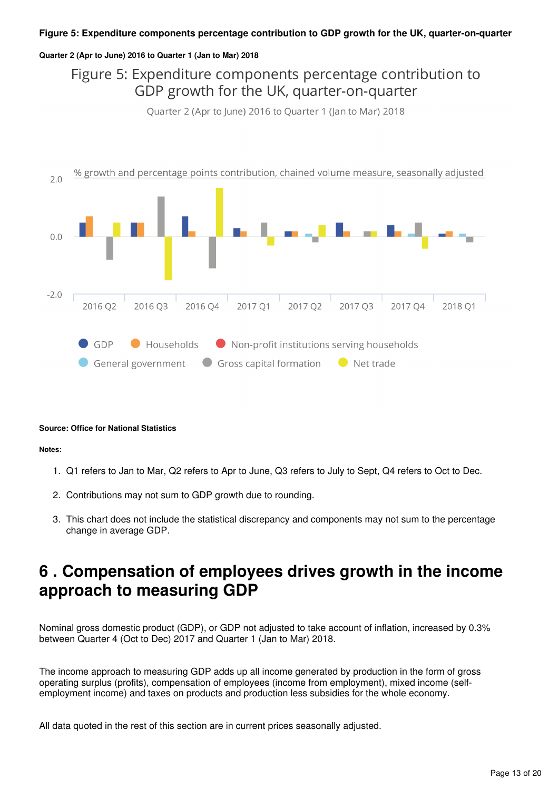#### **Figure 5: Expenditure components percentage contribution to GDP growth for the UK, quarter-on-quarter**

#### **Quarter 2 (Apr to June) 2016 to Quarter 1 (Jan to Mar) 2018**

## Figure 5: Expenditure components percentage contribution to GDP growth for the UK, quarter-on-quarter

Quarter 2 (Apr to June) 2016 to Quarter 1 (Jan to Mar) 2018



#### **Source: Office for National Statistics**

#### **Notes:**

- 1. Q1 refers to Jan to Mar, Q2 refers to Apr to June, Q3 refers to July to Sept, Q4 refers to Oct to Dec.
- 2. Contributions may not sum to GDP growth due to rounding.
- 3. This chart does not include the statistical discrepancy and components may not sum to the percentage change in average GDP.

## <span id="page-12-0"></span>**6 . Compensation of employees drives growth in the income approach to measuring GDP**

Nominal gross domestic product (GDP), or GDP not adjusted to take account of inflation, increased by 0.3% between Quarter 4 (Oct to Dec) 2017 and Quarter 1 (Jan to Mar) 2018.

The income approach to measuring GDP adds up all income generated by production in the form of gross operating surplus (profits), compensation of employees (income from employment), mixed income (selfemployment income) and taxes on products and production less subsidies for the whole economy.

All data quoted in the rest of this section are in current prices seasonally adjusted.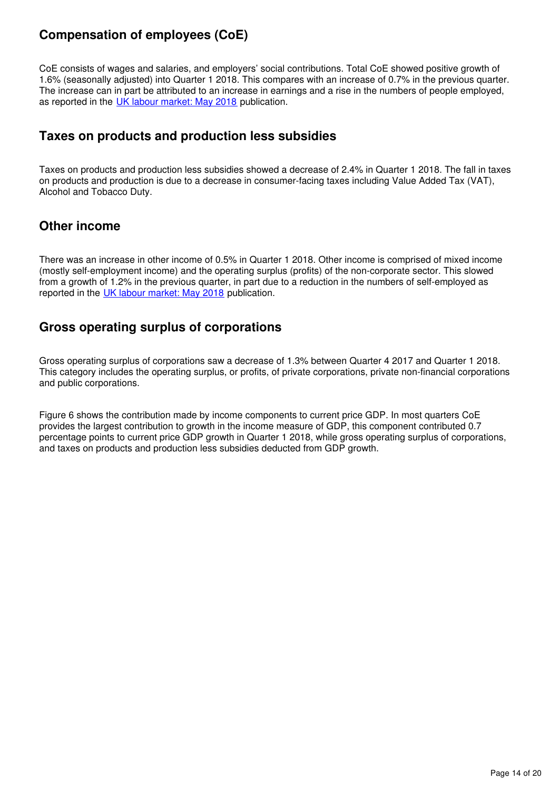## **Compensation of employees (CoE)**

CoE consists of wages and salaries, and employers' social contributions. Total CoE showed positive growth of 1.6% (seasonally adjusted) into Quarter 1 2018. This compares with an increase of 0.7% in the previous quarter. The increase can in part be attributed to an increase in earnings and a rise in the numbers of people employed, as reported in the UK labour market: May 2018 publication.

## **Taxes on products and production less subsidies**

Taxes on products and production less subsidies showed a decrease of 2.4% in Quarter 1 2018. The fall in taxes on products and production is due to a decrease in consumer-facing taxes including Value Added Tax (VAT), Alcohol and Tobacco Duty.

## **Other income**

There was an increase in other income of 0.5% in Quarter 1 2018. Other income is comprised of mixed income (mostly self-employment income) and the operating surplus (profits) of the non-corporate sector. This slowed from a growth of 1.2% in the previous quarter, in part due to a reduction in the numbers of self-employed as reported in the UK labour market: May 2018 publication.

## **Gross operating surplus of corporations**

Gross operating surplus of corporations saw a decrease of 1.3% between Quarter 4 2017 and Quarter 1 2018. This category includes the operating surplus, or profits, of private corporations, private non-financial corporations and public corporations.

Figure 6 shows the contribution made by income components to current price GDP. In most quarters CoE provides the largest contribution to growth in the income measure of GDP, this component contributed 0.7 percentage points to current price GDP growth in Quarter 1 2018, while gross operating surplus of corporations, and taxes on products and production less subsidies deducted from GDP growth.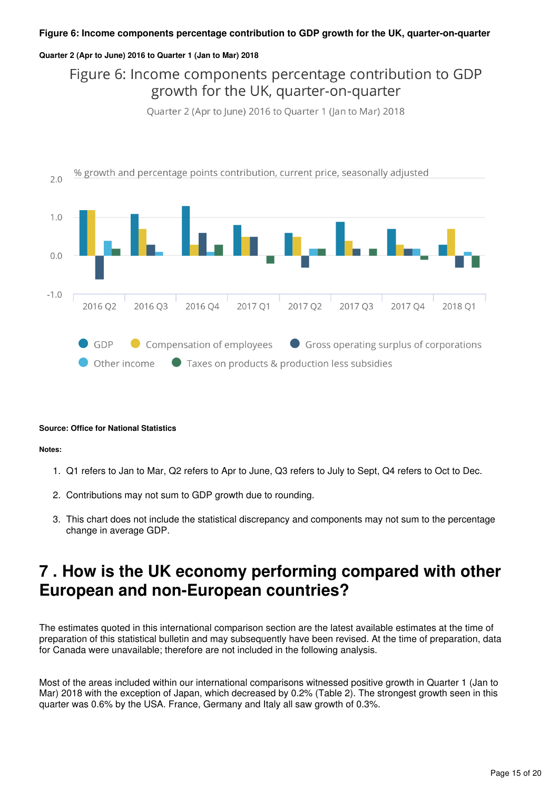### **Figure 6: Income components percentage contribution to GDP growth for the UK, quarter-on-quarter**

#### **Quarter 2 (Apr to June) 2016 to Quarter 1 (Jan to Mar) 2018**

## Figure 6: Income components percentage contribution to GDP growth for the UK, quarter-on-quarter

Quarter 2 (Apr to June) 2016 to Quarter 1 (Jan to Mar) 2018



#### **Source: Office for National Statistics**

#### **Notes:**

- 1. Q1 refers to Jan to Mar, Q2 refers to Apr to June, Q3 refers to July to Sept, Q4 refers to Oct to Dec.
- 2. Contributions may not sum to GDP growth due to rounding.
- 3. This chart does not include the statistical discrepancy and components may not sum to the percentage change in average GDP.

## <span id="page-14-0"></span>**7 . How is the UK economy performing compared with other European and non-European countries?**

The estimates quoted in this international comparison section are the latest available estimates at the time of preparation of this statistical bulletin and may subsequently have been revised. At the time of preparation, data for Canada were unavailable; therefore are not included in the following analysis.

Most of the areas included within our international comparisons witnessed positive growth in Quarter 1 (Jan to Mar) 2018 with the exception of Japan, which decreased by 0.2% (Table 2). The strongest growth seen in this quarter was 0.6% by the USA. France, Germany and Italy all saw growth of 0.3%.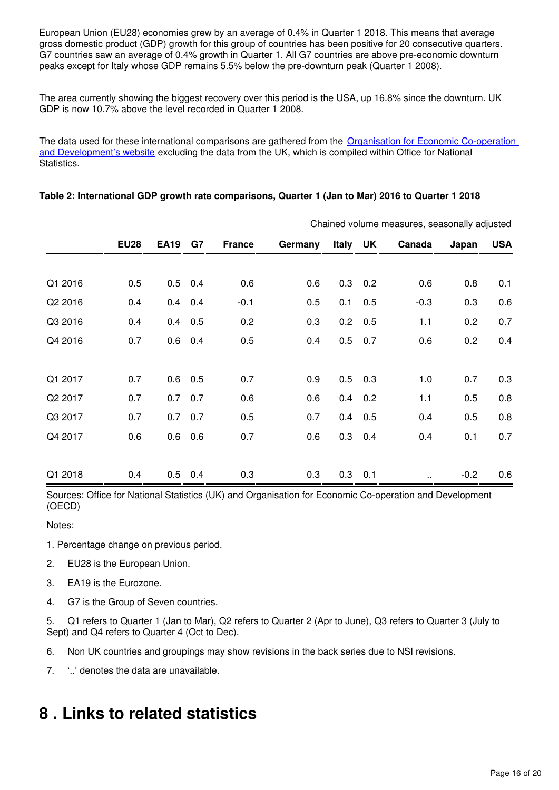European Union (EU28) economies grew by an average of 0.4% in Quarter 1 2018. This means that average gross domestic product (GDP) growth for this group of countries has been positive for 20 consecutive quarters. G7 countries saw an average of 0.4% growth in Quarter 1. All G7 countries are above pre-economic downturn peaks except for Italy whose GDP remains 5.5% below the pre-downturn peak (Quarter 1 2008).

The area currently showing the biggest recovery over this period is the USA, up 16.8% since the downturn. UK GDP is now 10.7% above the level recorded in Quarter 1 2008.

The data used for these international comparisons are gathered from the [Organisation for Economic Co-operation](http://stats.oecd.org/index.aspx?queryid=350)  [and Development's website](http://stats.oecd.org/index.aspx?queryid=350) excluding the data from the UK, which is compiled within Office for National Statistics.

|         | Chained volume measures, seasonally adjusted |             |     |               |         |              |     |        |        |            |
|---------|----------------------------------------------|-------------|-----|---------------|---------|--------------|-----|--------|--------|------------|
|         | <b>EU28</b>                                  | <b>EA19</b> | G7  | <b>France</b> | Germany | <b>Italy</b> | UK  | Canada | Japan  | <b>USA</b> |
|         |                                              |             |     |               |         |              |     |        |        |            |
| Q1 2016 | 0.5                                          | 0.5         | 0.4 | 0.6           | 0.6     | 0.3          | 0.2 | 0.6    | 0.8    | 0.1        |
| Q2 2016 | 0.4                                          | 0.4         | 0.4 | $-0.1$        | 0.5     | 0.1          | 0.5 | $-0.3$ | 0.3    | 0.6        |
| Q3 2016 | 0.4                                          | 0.4         | 0.5 | 0.2           | 0.3     | 0.2          | 0.5 | 1.1    | 0.2    | 0.7        |
| Q4 2016 | 0.7                                          | 0.6         | 0.4 | 0.5           | 0.4     | 0.5          | 0.7 | 0.6    | 0.2    | 0.4        |
|         |                                              |             |     |               |         |              |     |        |        |            |
| Q1 2017 | 0.7                                          | 0.6         | 0.5 | 0.7           | 0.9     | 0.5          | 0.3 | 1.0    | 0.7    | 0.3        |
| Q2 2017 | 0.7                                          | 0.7         | 0.7 | 0.6           | 0.6     | 0.4          | 0.2 | 1.1    | 0.5    | 0.8        |
| Q3 2017 | 0.7                                          | 0.7         | 0.7 | 0.5           | 0.7     | 0.4          | 0.5 | 0.4    | 0.5    | 0.8        |
| Q4 2017 | 0.6                                          | 0.6         | 0.6 | 0.7           | 0.6     | 0.3          | 0.4 | 0.4    | 0.1    | 0.7        |
|         |                                              |             |     |               |         |              |     |        |        |            |
| Q1 2018 | 0.4                                          | 0.5         | 0.4 | 0.3           | 0.3     | 0.3          | 0.1 | ٠.     | $-0.2$ | 0.6        |

### **Table 2: International GDP growth rate comparisons, Quarter 1 (Jan to Mar) 2016 to Quarter 1 2018**

Sources: Office for National Statistics (UK) and Organisation for Economic Co-operation and Development (OECD)

Notes:

- 1. Percentage change on previous period.
- 2. EU28 is the European Union.
- 3. EA19 is the Eurozone.
- 4. G7 is the Group of Seven countries.

5. Q1 refers to Quarter 1 (Jan to Mar), Q2 refers to Quarter 2 (Apr to June), Q3 refers to Quarter 3 (July to Sept) and Q4 refers to Quarter 4 (Oct to Dec).

6. Non UK countries and groupings may show revisions in the back series due to NSI revisions.

7. '..' denotes the data are unavailable.

## <span id="page-15-0"></span>**8 . Links to related statistics**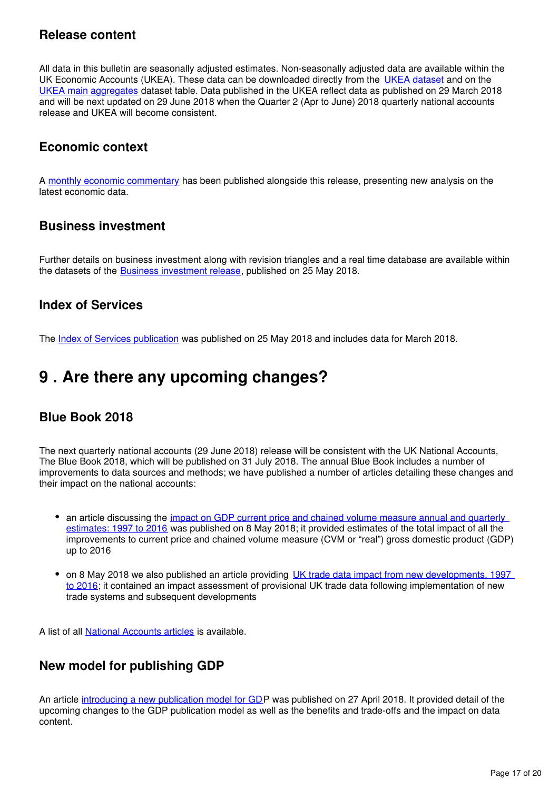## **Release content**

All data in this bulletin are seasonally adjusted estimates. Non-seasonally adjusted data are available within the UK Economic Accounts (UKEA). These data can be downloaded directly from the [UKEA dataset](http://www.ons.gov.uk/economy/nationalaccounts/uksectoraccounts/datasets/unitedkingdomeconomicaccountsuktotaleconomy) and on the [UKEA main aggregates](http://www.ons.gov.uk/economy/nationalaccounts/uksectoraccounts/datasets/unitedkingdomeconomicaccountsmainaggregates) dataset table. Data published in the UKEA reflect data as published on 29 March 2018 and will be next updated on 29 June 2018 when the Quarter 2 (Apr to June) 2018 quarterly national accounts release and UKEA will become consistent.

## **Economic context**

A[monthly economic commentary](https://www.ons.gov.uk/economy/nationalaccounts/uksectoraccounts/articles/monthlyeconomiccommentary/previousReleases) has been published alongside this release, presenting new analysis on the latest economic data.

## **Business investment**

Further details on business investment along with revision triangles and a real time database are available within the datasets of the Business investment release[,](https://www.ons.gov.uk/economy/grossdomesticproductgdp/bulletins/businessinvestment/previousReleases) published on 25 May 2018.

## **Index of Services**

The Index of Services publication was published on 25 May 2018 and includes data for March 2018.

## <span id="page-16-0"></span>**9 . Are there any upcoming changes?**

## **Blue Book 2018**

The next quarterly national accounts (29 June 2018) release will be consistent with the UK National Accounts, The Blue Book 2018, which will be published on 31 July 2018. The annual Blue Book includes a number of improvements to data sources and methods; we have published a number of articles detailing these changes and their impact on the national accounts:

- an article discussing the *impact on GDP current price and chained volume measure annual and quarterly* [estimates: 1997 to 2016](https://www.ons.gov.uk/releases/nationalaccountsarticlesimpactongdpcurrentpriceandchainedvolumemeasureannualandquarterlyestimates1997to2016) was published on 8 May 2018; it provided estimates of the total impact of all the improvements to current price and chained volume measure (CVM or "real") gross domestic product (GDP) up to 2016
- on 8 May 2018 we also published an article providing UK trade data impact from new developments, 1997 [to 2016](https://www.ons.gov.uk/economy/nationalaccounts/uksectoraccounts/articles/nationalaccountsarticles/uktradedataimpactassessmentfromnewdevelopments1997to2016); it contained an impact assessment of provisional UK trade data following implementation of new trade systems and subsequent developments

A list of all **National Accounts articles** is available.

## **New model for publishing GDP**

An article [introducing a new publication model for GDP](https://www.ons.gov.uk/economy/grossdomesticproductgdp/articles/introducinganewpublicationmodelforgdp/2018-04-27) was published on 27 April 2018. It provided detail of the upcoming changes to the GDP publication model as well as the benefits and trade-offs and the impact on data content.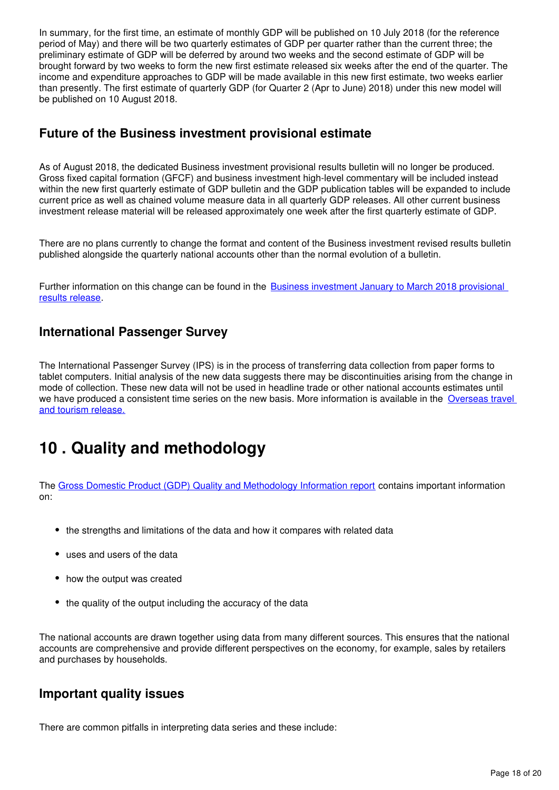In summary, for the first time, an estimate of monthly GDP will be published on 10 July 2018 (for the reference period of May) and there will be two quarterly estimates of GDP per quarter rather than the current three; the preliminary estimate of GDP will be deferred by around two weeks and the second estimate of GDP will be brought forward by two weeks to form the new first estimate released six weeks after the end of the quarter. The income and expenditure approaches to GDP will be made available in this new first estimate, two weeks earlier than presently. The first estimate of quarterly GDP (for Quarter 2 (Apr to June) 2018) under this new model will be published on 10 August 2018.

## **Future of the Business investment provisional estimate**

As of August 2018, the dedicated Business investment provisional results bulletin will no longer be produced. Gross fixed capital formation (GFCF) and business investment high-level commentary will be included instead within the new first quarterly estimate of GDP bulletin and the GDP publication tables will be expanded to include current price as well as chained volume measure data in all quarterly GDP releases. All other current business investment release material will be released approximately one week after the first quarterly estimate of GDP.

There are no plans currently to change the format and content of the Business investment revised results bulletin published alongside the quarterly national accounts other than the normal evolution of a bulletin.

Further information on this change can be found in the [Business investment January to March 2018 provisional](https://www.ons.gov.uk/economy/grossdomesticproductgdp/bulletins/businessinvestment/previousReleases)  [results release.](https://www.ons.gov.uk/economy/grossdomesticproductgdp/bulletins/businessinvestment/previousReleases)

## **International Passenger Survey**

The International Passenger Survey (IPS) is in the process of transferring data collection from paper forms to tablet computers. Initial analysis of the new data suggests there may be discontinuities arising from the change in mode of collection. These new data will not be used in headline trade or other national accounts estimates until we have produced a consistent time series on the new basis. More information is available in the Overseas travel [and tourism release.](https://www.ons.gov.uk/releases/overseastravelandtourismmonthlyprovisionalresultsdec2017)

## <span id="page-17-0"></span>**10 . Quality and methodology**

The [Gross Domestic Product \(GDP\) Quality and Methodology Information report](https://www.ons.gov.uk/economy/grossdomesticproductgdp/qmis/grossdomesticproductgdpqmi) contains important information on:

- the strengths and limitations of the data and how it compares with related data
- uses and users of the data
- how the output was created
- the quality of the output including the accuracy of the data

The national accounts are drawn together using data from many different sources. This ensures that the national accounts are comprehensive and provide different perspectives on the economy, for example, sales by retailers and purchases by households.

### **Important quality issues**

There are common pitfalls in interpreting data series and these include: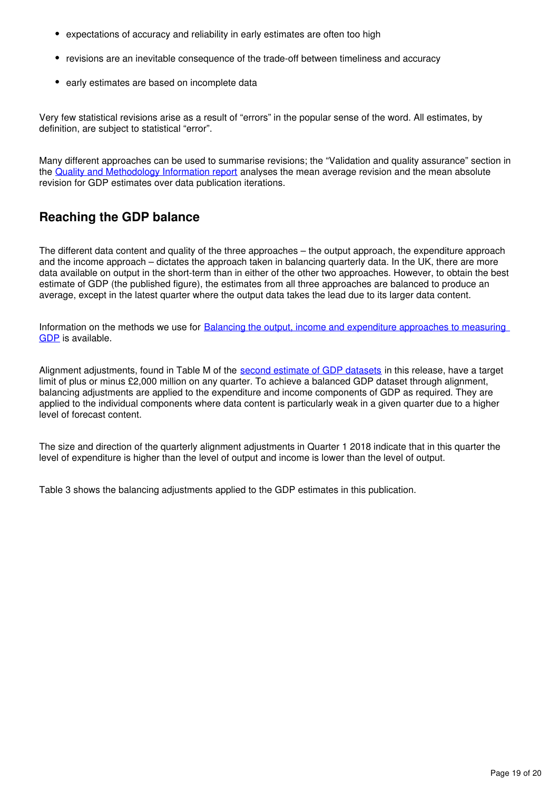- expectations of accuracy and reliability in early estimates are often too high
- revisions are an inevitable consequence of the trade-off between timeliness and accuracy
- early estimates are based on incomplete data

Very few statistical revisions arise as a result of "errors" in the popular sense of the word. All estimates, by definition, are subject to statistical "error".

Many different approaches can be used to summarise revisions; the "Validation and quality assurance" section in the [Quality and Methodology Information report](http://www.ons.gov.uk/economy/grossdomesticproductgdp/qmis/grossdomesticproductgdpqmi) analyses the mean average revision and the mean absolute revision for GDP estimates over data publication iterations.

## **Reaching the GDP balance**

The different data content and quality of the three approaches – the output approach, the expenditure approach and the income approach – dictates the approach taken in balancing quarterly data. In the UK, there are more data available on output in the short-term than in either of the other two approaches. However, to obtain the best estimate of GDP (the published figure), the estimates from all three approaches are balanced to produce an average, except in the latest quarter where the output data takes the lead due to its larger data content.

Information on the methods we use for [Balancing the output, income and expenditure approaches to measuring](http://webarchive.nationalarchives.gov.uk/20160105160709/http:/www.ons.gov.uk/ons/rel/naa1-rd/united-kingdom-national-accounts/the-blue-book--2012-edition/art---balancing-the-three-approaches-to-measuring-gdp.html)  [GDP](http://webarchive.nationalarchives.gov.uk/20160105160709/http:/www.ons.gov.uk/ons/rel/naa1-rd/united-kingdom-national-accounts/the-blue-book--2012-edition/art---balancing-the-three-approaches-to-measuring-gdp.html) is available.

Alignment adjustments, found in Table M of the [second estimate of GDP datasets](https://www.ons.gov.uk/economy/grossdomesticproductgdp/datasets/uksecondestimateofgdpdatatables) in this release, have a target limit of plus or minus £2,000 million on any quarter. To achieve a balanced GDP dataset through alignment, balancing adjustments are applied to the expenditure and income components of GDP as required. They are applied to the individual components where data content is particularly weak in a given quarter due to a higher level of forecast content.

The size and direction of the quarterly alignment adjustments in Quarter 1 2018 indicate that in this quarter the level of expenditure is higher than the level of output and income is lower than the level of output.

Table 3 shows the balancing adjustments applied to the GDP estimates in this publication.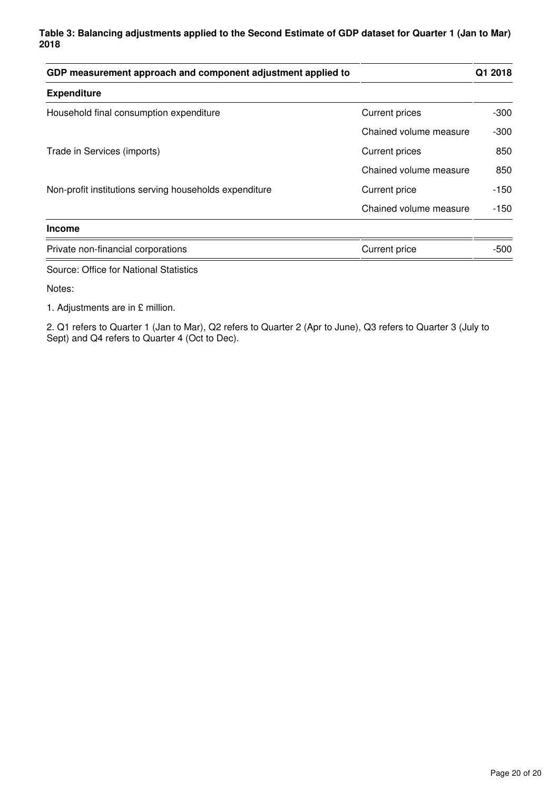| GDP measurement approach and component adjustment applied to |                        | Q1 2018 |
|--------------------------------------------------------------|------------------------|---------|
| <b>Expenditure</b>                                           |                        |         |
| Household final consumption expenditure                      | <b>Current prices</b>  | $-300$  |
|                                                              | Chained volume measure | $-300$  |
| Trade in Services (imports)                                  | <b>Current prices</b>  | 850     |
|                                                              | Chained volume measure | 850     |
| Non-profit institutions serving households expenditure       | <b>Current price</b>   | $-150$  |
|                                                              | Chained volume measure | $-150$  |
| Income                                                       |                        |         |
| Private non-financial corporations                           | Current price          | -500    |

Source: Office for National Statistics

Notes:

1. Adjustments are in £ million.

2. Q1 refers to Quarter 1 (Jan to Mar), Q2 refers to Quarter 2 (Apr to June), Q3 refers to Quarter 3 (July to Sept) and Q4 refers to Quarter 4 (Oct to Dec).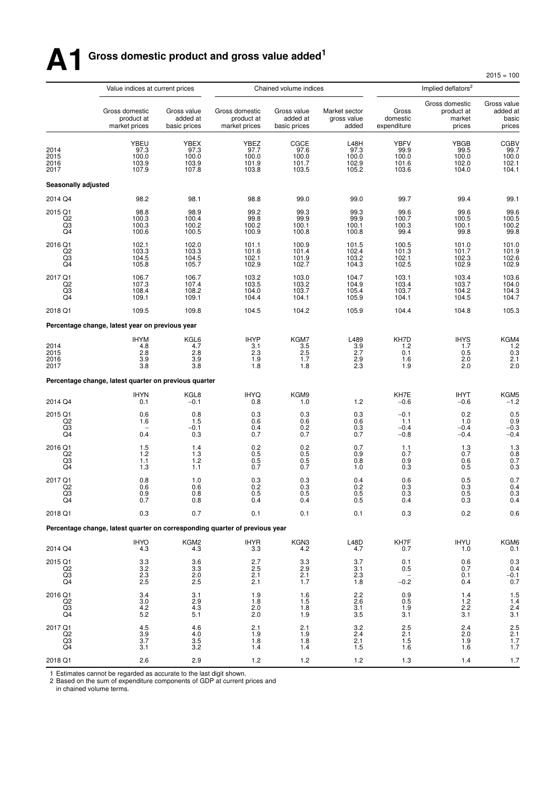## **A1 Gross domestic product and gross value added<sup>1</sup>**

 $2015 = 100$ 

|                                                   | Value indices at current prices                                             |                                         |                                                         | Chained volume indices                  |                                         |                                                | Implied deflators <sup>2</sup>                   |                                                               |
|---------------------------------------------------|-----------------------------------------------------------------------------|-----------------------------------------|---------------------------------------------------------|-----------------------------------------|-----------------------------------------|------------------------------------------------|--------------------------------------------------|---------------------------------------------------------------|
|                                                   | Gross domestic<br>product at<br>market prices                               | Gross value<br>added at<br>basic prices | Gross domestic<br>product at<br>market prices           | Gross value<br>added at<br>basic prices | Market sector<br>gross value<br>added   | Gross<br>domestic<br>expenditure               | Gross domestic<br>product at<br>market<br>prices | Gross value<br>added at<br>basic<br>prices                    |
| 2014<br>2015<br>2016<br>2017                      | YBEU<br>97.3<br>100.0<br>103.9<br>107.9                                     | YBEX<br>97.3<br>100.0<br>103.9<br>107.8 | YBEZ<br>97.7<br>100.0<br>101.9<br>103.8                 | CGCE<br>97.6<br>100.0<br>101.7<br>103.5 | L48H<br>97.3<br>100.0<br>102.9<br>105.2 | <b>YBFV</b><br>99.9<br>100.0<br>101.6<br>103.6 | <b>YBGB</b><br>99.5<br>100.0<br>102.0<br>104.0   | CGBV<br>99.7<br>100.0<br>102.1<br>104.1                       |
| <b>Seasonally adjusted</b>                        |                                                                             |                                         |                                                         |                                         |                                         |                                                |                                                  |                                                               |
| 2014 Q4                                           | 98.2                                                                        | 98.1                                    | 98.8                                                    | 99.0                                    | 99.0                                    | 99.7                                           | 99.4                                             | 99.1                                                          |
| 2015 Q1<br>Q2<br>Q3<br>Q4                         | 98.8<br>100.3<br>100.3<br>100.6                                             | 98.9<br>100.4<br>100.2<br>100.5         | 99.2<br>99.8<br>100.2<br>100.9                          | 99.3<br>99.9<br>100.1<br>100.8          | 99.3<br>99.9<br>100.1<br>100.8          | 99.6<br>100.7<br>100.3<br>99.4                 | 99.6<br>100.5<br>100.1<br>99.8                   | $99.6$<br>100.5<br>100.2<br>99.8                              |
| 2016 Q1<br>Q <sub>2</sub><br>Q3<br>Q4             | 102.1<br>103.3<br>104.5<br>105.8                                            | 102.0<br>103.3<br>104.5<br>105.7        | 101.1<br>101.6<br>102.1<br>102.9                        | 100.9<br>101.4<br>101.9<br>102.7        | 101.5<br>102.4<br>103.2<br>104.3        | 100.5<br>101.3<br>102.1<br>102.5               | 101.0<br>101.7<br>102.3<br>102.9                 | 101.0<br>101.9<br>102.6<br>102.9                              |
| 2017 Q1<br>Q <sub>2</sub><br>Q3<br>Q <sub>4</sub> | 106.7<br>107.3<br>108.4<br>109.1                                            | 106.7<br>107.4<br>108.2<br>109.1        | 103.2<br>103.5<br>104.0<br>104.4                        | 103.0<br>103.2<br>103.7<br>104.1        | 104.7<br>104.9<br>105.4<br>105.9        | 103.1<br>103.4<br>103.7<br>104.1               | 103.4<br>103.7<br>104.2<br>104.5                 | 103.6<br>104.0<br>104.3<br>104.7                              |
| 2018 Q1                                           | 109.5                                                                       | 109.8                                   | 104.5                                                   | 104.2                                   | 105.9                                   | 104.4                                          | 104.8                                            | 105.3                                                         |
|                                                   | Percentage change, latest year on previous year                             |                                         |                                                         |                                         |                                         |                                                |                                                  |                                                               |
| 2014<br>2015<br>2016<br>2017                      | <b>IHYM</b><br>4.8<br>2.8<br>3.9<br>3.8                                     | KGL6<br>4.7<br>2.8<br>3.9<br>3.8        | <b>IHYP</b><br>3.1<br>2.3<br>1.9<br>1.8                 | KGM7<br>3.5<br>$2.5$<br>1.7<br>1.8      | L489<br>3.9<br>2.7<br>2.9<br>2.3        | KH7D<br>1.2<br>0.1<br>1.6<br>1.9               | <b>IHYS</b><br>1.7<br>0.5<br>2.0<br>2.0          | KGM4<br>1.2<br>$0.3$<br>$2.1$<br>2.0                          |
|                                                   | Percentage change, latest quarter on previous quarter                       |                                         |                                                         |                                         |                                         |                                                |                                                  |                                                               |
| 2014 Q4                                           | <b>IHYN</b><br>0.1                                                          | KGL8<br>$-0.1$                          | <b>IHYQ</b><br>0.8                                      | KGM9<br>1.0                             | 1.2                                     | KH7E<br>$-0.6$                                 | <b>IHYT</b><br>$-0.6$                            | $KGM5$ <sub>-1.2</sub>                                        |
| 2015 Q1<br>Q2<br>Q3<br>Q <sub>4</sub>             | 0.6<br>1.6<br>0.4                                                           | 0.8<br>1.5<br>$-0.1$<br>0.3             | 0.3<br>0.6<br>0.4<br>0.7                                | 0.3<br>0.6<br>0.2<br>0.7                | 0.3<br>0.6<br>0.3<br>0.7                | $-0.1$<br>1.1<br>$-0.4$<br>$-0.8$              | 0.2<br>1.0<br>$-0.4$<br>$-0.4$                   | $\begin{array}{c} 0.5 \\ 0.9 \end{array}$<br>$-0.3$<br>$-0.4$ |
| 2016 Q1<br>Q <sub>2</sub><br>Q3<br>Q <sub>4</sub> | 1.5<br>1.2<br>1.1<br>1.3                                                    | 1.4<br>1.3<br>1.2<br>1.1                | 0.2<br>0.5<br>$\begin{array}{c} 0.5 \\ 0.7 \end{array}$ | 0.2<br>0.5<br>0.5<br>0.7                | 0.7<br>0.9<br>0.8<br>1.0                | 1.1<br>0.7<br>0.9<br>0.3                       | 1.3<br>0.7<br>0.6<br>0.5                         | 1.3<br>0.8<br>$0.7 \\ 0.3$                                    |
| 2017 Q1<br>Q <sub>2</sub><br>Q3<br>Q4             | 0.8<br>0.6<br>0.9<br>0.7                                                    | 1.0<br>0.6<br>0.8<br>0.8                | $0.3 \ 0.2$<br>0.5<br>0.4                               | $\substack{0.3 \\ 0.3}$<br>0.5<br>0.4   | 0.4<br>0.2<br>0.5<br>0.5                | 0.6<br>0.3<br>0.3<br>0.4                       | 0.5<br>0.3<br>0.5<br>0.3                         | 0.7<br>0.4<br>0.3<br>0.4                                      |
| 2018 Q1                                           | 0.3                                                                         | 0.7                                     | 0.1                                                     | 0.1                                     | 0.1                                     | 0.3                                            | 0.2                                              | 0.6                                                           |
|                                                   | Percentage change, latest quarter on corresponding quarter of previous year |                                         |                                                         |                                         |                                         |                                                |                                                  |                                                               |
| 2014 Q4                                           | <b>IHYO</b><br>$4.\overline{3}$                                             | KGM <sub>2</sub><br>4.3                 | <b>IHYR</b><br>3.3                                      | KGN3<br>4.2                             | L48D<br>4.7                             | KH7F<br>0.7                                    | <b>IHYU</b><br>1.0                               | KGM6<br>0.1                                                   |
| 2015 Q1<br>Q <sub>2</sub><br>Q3<br>Q4             | 3.3<br>$3.\overline{2}$<br>$^{2.3}_{2.5}$                                   | 3.6<br>3.3<br>2.0<br>2.5                | 2.7<br>2.5<br>2.1<br>2.1                                | 3.3<br>2.9<br>2.1<br>1.7                | 3.7<br>3.1<br>2.3<br>1.8                | 0.1<br>0.5<br>$-0.2$                           | 0.6<br>0.7<br>0.1<br>0.4                         | $0.3 \\ 0.4$<br>$-0.1$<br>0.7                                 |
| 2016 Q1<br>$_{\rm Q3}^{\rm Q2}$<br>Q <sub>4</sub> | 3.4<br>3.0<br>4.2<br>5.2                                                    | 3.1<br>2.9<br>$4.\overline{3}$<br>5.1   | 1.9<br>1.8<br>2.0<br>2.0                                | 1.6<br>1.5<br>1.8<br>1.9                | 2.2<br>2.6<br>3.1<br>3.5                | 0.9<br>0.5<br>1.9<br>3.1                       | 1.4<br>1.2<br>2.2<br>3.1                         | 1.5<br>$1.4$<br>2.4<br>3.1                                    |
| 2017 Q1<br>Q <sub>2</sub><br>$^{Q3}_{Q4}$         | 4.5<br>3.9<br>3.7<br>3.1                                                    | 4.6<br>4.0<br>$\frac{3.5}{3.2}$         | 2.1<br>1.9<br>1.8<br>1.4                                | 2.1<br>1.9<br>1.8<br>1.4                | 3.2<br>2.4<br>2.1<br>1.5                | 2.5<br>2.1<br>1.5<br>$1.6$                     | 2.4<br>2.0<br>1.9<br>1.6                         | $2.5$<br>$2.1$<br>$1.7$<br>$1.7$                              |
| 2018 Q1                                           | 2.6                                                                         | 2.9                                     | 1.2                                                     | 1.2                                     | 1.2                                     | 1.3                                            | 1.4                                              | 1.7                                                           |

1 Estimates cannot be regarded as accurate to the last digit shown.

2 Based on the sum of expenditure components of GDP at current prices and

in chained volume terms.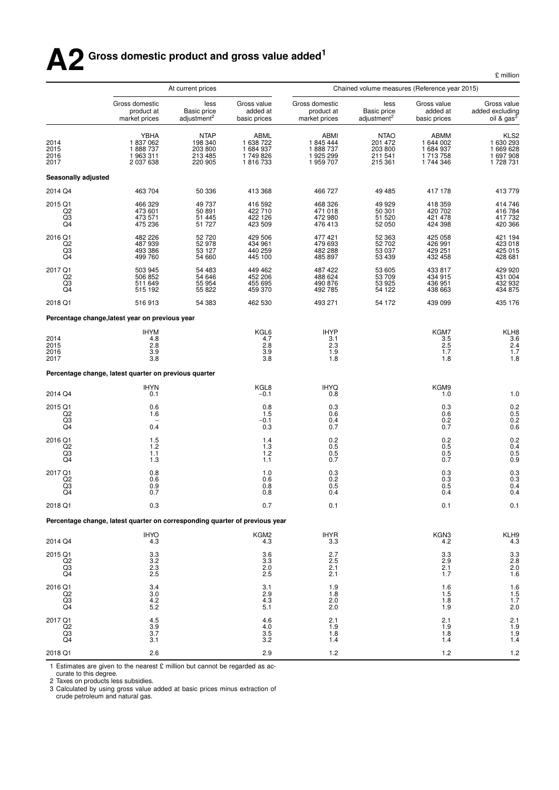# **A2 Gross domestic product and gross value added<sup>1</sup>**

|                                                               |                                                                             |                                                         | £ million<br>Chained volume measures (Reference year 2015) |                                                   |                                                         |                                                         |                                                                      |  |  |  |  |
|---------------------------------------------------------------|-----------------------------------------------------------------------------|---------------------------------------------------------|------------------------------------------------------------|---------------------------------------------------|---------------------------------------------------------|---------------------------------------------------------|----------------------------------------------------------------------|--|--|--|--|
|                                                               |                                                                             | At current prices                                       |                                                            |                                                   |                                                         |                                                         |                                                                      |  |  |  |  |
|                                                               | Gross domestic<br>product at<br>market prices                               | less<br><b>Basic price</b><br>adjustment <sup>2</sup>   | Gross value<br>added at<br>basic prices                    | Gross domestic<br>product at<br>market prices     | less<br><b>Basic price</b><br>adjustment <sup>2</sup>   | Gross value<br>added at<br>basic prices                 | Gross value<br>added excluding<br>oil & gas <sup>3</sup>             |  |  |  |  |
| 2014<br>2015<br>2016<br>2017                                  | YBHA<br>1837062<br>1888737<br>1 963 311<br>2 037 638                        | <b>NTAP</b><br>198 340<br>203 800<br>213 485<br>220 905 | ABML<br>1 638 722<br>1 684 937<br>1749826<br>1816733       | ABMI<br>1845444<br>1888737<br>1925 299<br>1959707 | <b>NTAO</b><br>201 472<br>203 800<br>211 541<br>215 361 | ABMM<br>1 644 002<br>1684937<br>1 713 758<br>1744346    | KLS <sub>2</sub><br>1 630 293<br>1 669 628<br>1 697 908<br>1 728 731 |  |  |  |  |
| Seasonally adjusted                                           |                                                                             |                                                         |                                                            |                                                   |                                                         |                                                         |                                                                      |  |  |  |  |
| 2014 Q4                                                       | 463 704                                                                     | 50 336                                                  | 413 368                                                    | 466 727                                           | 49 4 85                                                 | 417 178                                                 | 413779                                                               |  |  |  |  |
| 2015 Q1<br>Q2<br>$\overline{Q}3$                              | 466 329<br>473 601<br>473 571<br>475 236                                    | 49 737<br>50 891<br>51 445<br>51 727                    | 416 592<br>422 710<br>422 126<br>423 509                   | 468 326<br>471 018<br>472 980<br>476 413          | 49 929<br>50 301<br>51 520<br>52 050                    | 418 359<br>420 702<br>421 478<br>424 398                | 414 746<br>416 784<br>417 732<br>420 366                             |  |  |  |  |
| 2016 Q1<br>Q <sub>2</sub><br>Q <sub>3</sub><br>Q <sub>4</sub> | 482 226<br>487 939<br>493 386<br>499 760                                    | 52 720<br>52 978<br>53 127<br>54 660                    | 429 506<br>434 961<br>440 259<br>445 100                   | 477 421<br>479 693<br>482 288<br>485 897          | 52 363<br>52702<br>53 037<br>53 439                     | 425 058<br>426 991<br>429 251<br>432 458                | 421 194<br>423 018<br>425 015<br>428 681                             |  |  |  |  |
| 2017 Q1<br>Q2<br>Q <sub>3</sub><br>Q4                         | 503 945<br>506 852<br>511 649<br>515 192                                    | 54 483<br>54 646<br>55 954<br>55 822                    | 449 462<br>452 206<br>455 695<br>459 370                   | 487 422<br>488 624<br>490 876<br>492 785          | 53 605<br>53 709<br>53 925<br>54 122                    | 433 817<br>434 915<br>436 951<br>438 663                | 429 920<br>431 004<br>432 932<br>434 875                             |  |  |  |  |
| 2018 Q1                                                       | 516913                                                                      | 54 383                                                  | 462 530                                                    | 493 271                                           | 54 172                                                  | 439 099                                                 | 435 176                                                              |  |  |  |  |
|                                                               | Percentage change, latest year on previous year                             |                                                         |                                                            |                                                   |                                                         |                                                         |                                                                      |  |  |  |  |
| 2014<br>2015<br>2016<br>2017                                  | <b>IHYM</b><br>4.8<br>2.8<br>3.9<br>3.8                                     |                                                         | KGL6<br>4.7<br>2.8<br>3.9<br>3.8                           | <b>IHYP</b><br>3.1<br>2.3<br>1.9<br>1.8           |                                                         | KGM7<br>$\frac{3.5}{2.5}$<br>1.7<br>1.8                 | KLH8<br>3.6<br>2.4<br>1.7<br>1.8                                     |  |  |  |  |
|                                                               | Percentage change, latest quarter on previous quarter                       |                                                         |                                                            |                                                   |                                                         |                                                         |                                                                      |  |  |  |  |
| 2014 Q4                                                       | <b>IHYN</b><br>0.1                                                          |                                                         | KGL8<br>$-0.1$                                             | <b>IHYQ</b><br>0.8                                |                                                         | KGM9<br>1.0                                             | 1.0                                                                  |  |  |  |  |
| 2015 Q1<br>Q <sub>2</sub><br>$^{Q3}_{Q4}$                     | 0.6<br>1.6<br>0.4                                                           |                                                         | 0.8<br>1.5<br>$-0.1$<br>0.3                                | 0.3<br>0.6<br>0.4<br>0.7                          |                                                         | 0.3<br>0.6<br>${}^{0.2}_{0.7}$                          | 0.2<br>$0.5 \\ 0.2$<br>0.6                                           |  |  |  |  |
| 2016 Q1<br>Q2<br>Q3<br>Q <sub>4</sub>                         | 1.5<br>$1.2$<br>1.1<br>1.3                                                  |                                                         | 1.4<br>1.3<br>1.2<br>1.1                                   | 0.2<br>0.5<br>0.5<br>0.7                          |                                                         | 0.2<br>$0.5$<br>0.5<br>0.7                              | 0.2<br>0.4<br>0.5<br>0.9                                             |  |  |  |  |
| 2017 Q1<br>Q <sub>2</sub><br>Q3<br>Q <sub>4</sub>             | 0.8<br>0.6<br>0.9<br>0.7                                                    |                                                         | 1.0<br>0.6<br>0.8<br>0.8                                   | $0.3 \ 0.2$<br>0.5<br>0.4                         |                                                         | $\begin{array}{c} 0.3 \\ 0.3 \end{array}$<br>0.5<br>0.4 | $0.3$<br>$0.3$<br>0.4<br>0.4                                         |  |  |  |  |
| 2018 Q1                                                       | 0.3                                                                         |                                                         | 0.7                                                        | 0.1                                               |                                                         | 0.1                                                     | 0.1                                                                  |  |  |  |  |
|                                                               | Percentage change, latest quarter on corresponding quarter of previous year |                                                         |                                                            |                                                   |                                                         |                                                         |                                                                      |  |  |  |  |
| 2014 Q4                                                       | <b>IHYO</b><br>4.3                                                          |                                                         | KGM2<br>4.3                                                | <b>IHYR</b><br>3.3                                |                                                         | KGN3<br>4.2                                             | KLH9<br>4.3                                                          |  |  |  |  |
| 2015 Q1<br>Q <sub>2</sub><br>$\overline{Q}3$                  | $\frac{3.3}{3.2}$<br>$^{2.3}_{2.5}$                                         |                                                         | 3.6<br>3.3<br>2.0<br>2.5                                   | 2.7<br>2.5<br>2.1<br>2.1                          |                                                         | 3.3<br>2.9<br>2.1<br>1.7                                | 3.3<br>2.8<br>2.0<br>1.6                                             |  |  |  |  |
| 2016 Q1<br>Q <sub>2</sub><br>Q <sub>3</sub><br>Q4             | $3.4$<br>$3.0$<br>4.2<br>5.2                                                |                                                         | 3.1<br>2.9<br>4.3<br>5.1                                   | 1.9<br>1.8<br>2.0<br>2.0                          |                                                         | 1.6<br>1.5<br>1.8<br>1.9                                | $1.6$<br>$1.5$<br>1.7<br>2.0                                         |  |  |  |  |
| 2017 Q1<br>Q2<br>$\overline{Q3}$<br>$\overline{Q4}$           | 4.5<br>3.9<br>3.7<br>3.1                                                    |                                                         | 4.6<br>4.0<br>3.5<br>3.2                                   | 2.1<br>1.9<br>1.8<br>1.4                          |                                                         | $^{2.1}_{1.9}$<br>1.8<br>1.4                            | $^{2.1}_{1.9}$<br>1.9<br>1.4                                         |  |  |  |  |
| 2018 Q1                                                       | 2.6                                                                         |                                                         | 2.9                                                        | 1.2                                               |                                                         | 1.2                                                     | 1.2                                                                  |  |  |  |  |

1 Estimates are given to the nearest £ million but cannot be regarded as ac-curate to this degree.

2 Taxes on products less subsidies.

3 Calculated by using gross value added at basic prices minus extraction of cr ude petroleum and natural gas.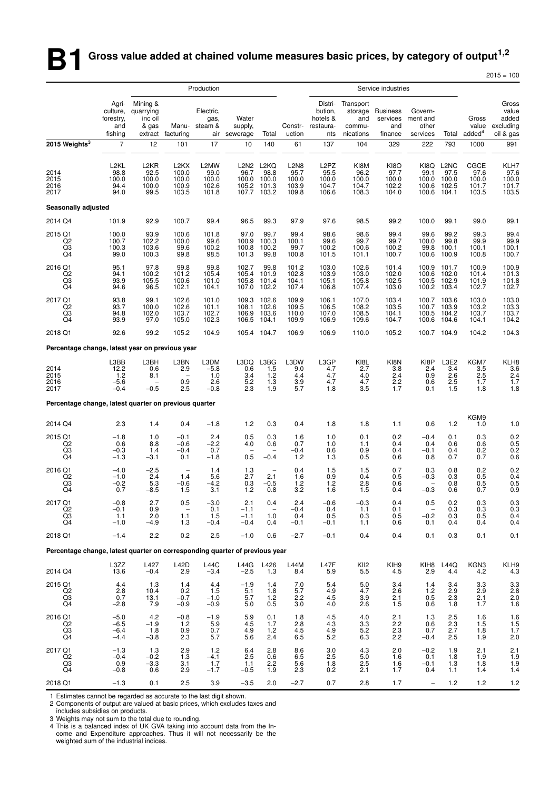## **B1** Gross value added at chained volume measures basic prices, by category of output<sup>1,2</sup>

|                                                                             |                                                                    |                                                            |                                                       |                                         |                                        |                                              |                                                |                                                           |                                                           |                                                      |                                                     |                                                                  |                                              | $2015 = 100$                                             |
|-----------------------------------------------------------------------------|--------------------------------------------------------------------|------------------------------------------------------------|-------------------------------------------------------|-----------------------------------------|----------------------------------------|----------------------------------------------|------------------------------------------------|-----------------------------------------------------------|-----------------------------------------------------------|------------------------------------------------------|-----------------------------------------------------|------------------------------------------------------------------|----------------------------------------------|----------------------------------------------------------|
|                                                                             |                                                                    |                                                            |                                                       | Production                              |                                        |                                              |                                                | Service industries                                        |                                                           |                                                      |                                                     |                                                                  |                                              |                                                          |
| 2015 Weights <sup>3</sup>                                                   | Agri-<br>culture,<br>forestry,<br>and<br>fishing<br>$\overline{7}$ | Mining &<br>quarrying<br>inc oil<br>& gas<br>extract<br>12 | Manu-<br>facturing<br>101                             | Electric,<br>gas,<br>steam &<br>17      | Water<br>supply,<br>air sewerage<br>10 | Total<br>140                                 | Constr-<br>uction<br>61                        | Distri-<br>bution,<br>hotels &<br>restaura-<br>nts<br>137 | Transport<br>storage<br>and<br>commu-<br>nications<br>104 | <b>Business</b><br>services<br>and<br>finance<br>329 | Govern-<br>ment and<br>other<br>services<br>222     | Total<br>793                                                     | Gross<br>value<br>added <sup>4</sup><br>1000 | Gross<br>value<br>added<br>excluding<br>oil & gas<br>991 |
| 2014<br>2015<br>2016<br>2017                                                | L <sub>2KL</sub><br>98.8<br>100.0<br>94.4<br>94.0                  | L <sub>2</sub> KR<br>92.5<br>100.0<br>100.0<br>99.5        | L <sub>2</sub> KX<br>100.0<br>100.0<br>100.9<br>103.5 | L2MW<br>99.0<br>100.0<br>102.6<br>101.8 | 96.7<br>100.0<br>105.2<br>107.7        | L2N2 L2KQ<br>98.8<br>100.0<br>101.3<br>103.2 | <b>L2N8</b><br>95.7<br>100.0<br>103.9<br>109.8 | L <sub>2</sub> PZ<br>95.5<br>100.0<br>104.7<br>106.6      | KI8M<br>96.2<br>100.0<br>104.7<br>108.3                   | <b>KI8O</b><br>97.7<br>100.0<br>102.2<br>104.0       | KI8Q<br>99.1<br>100.0<br>100.6<br>100.6             | L <sub>2</sub> N <sub>C</sub><br>97.5<br>100.0<br>102.5<br>104.1 | CGCE<br>97.6<br>100.0<br>101.7<br>103.5      | KLH7<br>97.6<br>100.0<br>101.7<br>103.5                  |
| Seasonally adjusted                                                         |                                                                    |                                                            |                                                       |                                         |                                        |                                              |                                                |                                                           |                                                           |                                                      |                                                     |                                                                  |                                              |                                                          |
| 2014 Q4                                                                     | 101.9                                                              | 92.9                                                       | 100.7                                                 | 99.4                                    | 96.5                                   | 99.3                                         | 97.9                                           | 97.6                                                      | 98.5                                                      | 99.2                                                 | 100.0                                               | 99.1                                                             | 99.0                                         | 99.1                                                     |
| 2015 Q1<br>Q2<br>Q3<br>Q4                                                   | 100.0<br>100.7<br>100.3<br>99.0                                    | 93.9<br>102.2<br>103.6<br>100.3                            | 100.6<br>100.0<br>99.6<br>99.8                        | 101.8<br>99.6<br>100.2<br>98.5          | 97.0<br>100.9<br>100.8<br>101.3        | 99.7<br>100.3<br>100.2<br>99.8               | 99.4<br>100.1<br>99.7<br>100.8                 | 98.6<br>99.6<br>100.2<br>101.5                            | 98.6<br>99.7<br>100.6<br>101.1                            | 99.4<br>99.7<br>100.2<br>100.7                       | 99.6<br>100.0<br>99.8<br>100.6                      | 99.2<br>99.8<br>100.1<br>100.9                                   | 99.3<br>99.9<br>100.1<br>100.8               | 99.4<br>99.9<br>100.1<br>100.7                           |
| 2016 Q1<br>Q2<br>Q3<br>Q4                                                   | 95.1<br>94.1<br>93.9<br>94.6                                       | 97.8<br>100.2<br>105.5<br>96.5                             | 99.8<br>101.2<br>100.6<br>102.1                       | 99.8<br>105.4<br>101.0<br>104.1         | 102.7<br>105.4<br>105.8<br>107.0       | 99.8<br>101.9<br>101.4<br>102.2              | 101.2<br>102.8<br>104.1<br>107.4               | 103.0<br>103.9<br>105.1<br>106.8                          | 102.6<br>103.0<br>105.8<br>107.4                          | 101.4<br>102.0<br>102.5<br>103.0                     | 100.9<br>100.6<br>100.5                             | 101.7<br>102.0<br>102.9<br>100.2 103.4                           | 100.9<br>101.4<br>101.9<br>102.7             | 100.9<br>101.3<br>101.8<br>102.7                         |
| 2017 Q1<br>Q2<br>Q3<br>Q4                                                   | 93.8<br>93.7<br>94.8<br>93.9                                       | 99.1<br>100.0<br>102.0<br>97.0                             | 102.6<br>102.6<br>103.7<br>105.0                      | 101.0<br>101.1<br>102.7<br>102.3        | 109.3<br>108.1<br>106.9<br>106.5       | 102.6<br>102.6<br>103.6<br>104.1             | 109.9<br>109.5<br>110.0<br>109.9               | 106.1<br>106.5<br>107.0<br>106.9                          | 107.0<br>108.2<br>108.5<br>109.6                          | 103.4<br>103.5<br>104.1<br>104.7                     | 100.7<br>100.7<br>100.5<br>100.6                    | 103.6<br>103.9<br>104.2<br>104.6                                 | 103.0<br>103.2<br>103.7<br>104.1             | 103.0<br>103.3<br>103.7<br>104.2                         |
| 2018 Q1                                                                     | 92.6                                                               | 99.2                                                       | 105.2                                                 | 104.9                                   |                                        | 105.4 104.7                                  | 106.9                                          | 106.9                                                     | 110.0                                                     | 105.2                                                |                                                     | 100.7 104.9                                                      | 104.2                                        | 104.3                                                    |
| Percentage change, latest year on previous year                             |                                                                    |                                                            |                                                       |                                         |                                        |                                              |                                                |                                                           |                                                           |                                                      |                                                     |                                                                  |                                              |                                                          |
| 2014<br>2015<br>2016<br>2017                                                | L3BB<br>12.2<br>1.2<br>$-5.6$<br>$-0.4$                            | L3BH<br>0.6<br>8.1<br>$\overline{a}$<br>$-0.5$             | L3BN<br>2.9<br>$\overline{\phantom{a}}$<br>0.9<br>2.5 | L3DM<br>$-5.8$<br>1.0<br>2.6<br>$-0.8$  | L3DQ<br>0.6<br>3.4<br>5.2<br>2.3       | L3BG<br>1.5<br>1.2<br>1.3<br>1.9             | L3DW<br>9.0<br>4.4<br>3.9<br>5.7               | L3GP<br>4.7<br>4.7<br>4.7<br>1.8                          | KI8L<br>2.7<br>4.0<br>4.7<br>3.5                          | KI8N<br>3.8<br>2.4<br>2.2<br>1.7                     | KI8P<br>2.4<br>0.9<br>0.6<br>0.1                    | L3E2<br>3.4<br>2.6<br>2.5<br>1.5                                 | KGM7<br>3.5<br>2.5<br>1.7<br>1.8             | KLH8<br>3.6<br>$2.4$<br>1.7<br>1.8                       |
| Percentage change, latest quarter on previous quarter                       |                                                                    |                                                            |                                                       |                                         |                                        |                                              |                                                |                                                           |                                                           |                                                      |                                                     |                                                                  |                                              |                                                          |
| 2014 Q4                                                                     | 2.3                                                                | 1.4                                                        | 0.4                                                   | $-1.8$                                  | 1.2                                    | 0.3                                          | 0.4                                            | 1.8                                                       | 1.8                                                       | 1.1                                                  | 0.6                                                 | 1.2                                                              | KGM9<br>1.0                                  | 1.0                                                      |
| 2015 Q1<br>$^{Q2}_{Q3}$<br>Q4                                               | $-1.8$<br>0.6<br>$-0.3$<br>$-1.3$                                  | 1.0<br>8.8<br>1.4<br>$-3.1$                                | $-0.1$<br>$-0.6$<br>$-0.4$<br>0.1                     | 2.4<br>$-2.2$<br>0.7<br>$-1.8$          | 0.5<br>4.0<br>0.5                      | 0.3<br>0.6<br>$-0.4$                         | 1.6<br>0.7<br>$-0.4$<br>1.2                    | 1.0<br>1.0<br>0.6<br>1.3                                  | 0.1<br>1.1<br>0.9<br>0.5                                  | 0.2<br>0.4<br>0.4<br>0.6                             | $-0.4$<br>0.4<br>$-0.1$<br>0.8                      | 0.1<br>0.6<br>0.4<br>0.7                                         | 0.3<br>0.6<br>0.2<br>0.7                     | 0.2<br>$0.5 \\ 0.2$<br>0.6                               |
| 2016 Q1<br>Q <sub>2</sub><br>Q3<br>Q4                                       | $-4.0$<br>$-1.0$<br>$-0.2$<br>0.7                                  | $-2.5$<br>2.4<br>5.3<br>$-8.5$                             | $\overline{\phantom{a}}$<br>1.4<br>$-0.6$<br>1.5      | 1.4<br>5.6<br>$-4.2$<br>3.1             | 1.3<br>2.7<br>0.3<br>1.2               | $\overline{a}$<br>2.1<br>$-0.5$<br>0.8       | 0.4<br>1.6<br>1.2<br>3.2                       | 1.5<br>0.9<br>1.2<br>1.6                                  | 1.5<br>0.4<br>2.8<br>1.5                                  | 0.7<br>0.5<br>0.6<br>0.4                             | 0.3<br>$-0.3$<br>$\overline{\phantom{a}}$<br>$-0.3$ | 0.8<br>0.3<br>0.8<br>0.6                                         | 0.2<br>0.5<br>0.5<br>0.7                     | 0.2<br>0.4<br>0.5<br>0.9                                 |
| 2017 Q1<br>Q2<br>Q3<br>Q4                                                   | $-0.8$<br>$-0.1$<br>1.1<br>$-1.0$                                  | $^{2.7}_{0.9}$<br>2.0<br>$-4.9$                            | 0.5<br>$\overline{\phantom{0}}$<br>1.1<br>1.3         | $-3.0$<br>0.1<br>1.5<br>$-0.4$          | 2.1<br>$-1.1$<br>$-1.1$<br>$-0.4$      | 0.4<br>1.0<br>0.4                            | 2.4<br>$-0.4$<br>0.4<br>$-0.1$                 | $-0.6$<br>0.4<br>0.5<br>$-0.1$                            | $-0.3$<br>1.1<br>0.3<br>1.1                               | 0.4<br>0.1<br>0.5<br>0.6                             | 0.5<br>$-0.2$<br>0.1                                | ${}^{0.2}_{0.3}$<br>0.3<br>0.4                                   | $\substack{0.3 \\ 0.3}$<br>0.5<br>0.4        | $\begin{array}{c} 0.3 \\ 0.3 \\ 0.4 \end{array}$<br>0.4  |
| 2018 Q1                                                                     | $-1.4$                                                             | 2.2                                                        | 0.2                                                   | 2.5                                     | $-1.0$                                 | 0.6                                          | $-2.7$                                         | $-0.1$                                                    | 0.4                                                       | 0.4                                                  | 0.1                                                 | 0.3                                                              | 0.1                                          | 0.1                                                      |
| Percentage change, latest quarter on corresponding quarter of previous year |                                                                    |                                                            |                                                       |                                         |                                        |                                              |                                                |                                                           |                                                           |                                                      |                                                     |                                                                  |                                              |                                                          |
| 2014 Q4                                                                     | L3ZZ<br>13.6                                                       | L427<br>$-0.4$                                             | <b>L42D</b><br>2.9                                    | <b>L44C</b><br>$-3.4$                   | L44G<br>$-2.5$                         | L426<br>1.3                                  | L44M<br>8.4                                    | L47F<br>5.9                                               | KII2<br>5.5                                               | KIH <sub>9</sub><br>4.5                              | KIH <sub>8</sub><br>2.9                             | L44Q<br>4.4                                                      | KGN3<br>4.2                                  | KLH9<br>4.3                                              |
| 2015 Q1<br>Q2<br>Q3<br>Q4                                                   | 4.4<br>2.8<br>0.7<br>$-2.8$                                        | 1.3<br>10.4<br>13.1<br>7.9                                 | 1.4<br>0.2<br>$-0.7$<br>$-0.9$                        | 4.4<br>1.5<br>$-1.0$<br>$-0.9$          | $-1.9$<br>5.1<br>5.7<br>5.0            | 1.4<br>1.8<br>1.2<br>0.5                     | 7.0<br>5.7<br>2.2<br>3.0                       | 5.4<br>4.9<br>4.5<br>4.0                                  | 5.0<br>4.7<br>3.9<br>2.6                                  | $\frac{3.4}{2.6}$<br>2.1<br>1.5                      | 1.4<br>1.2<br>0.5<br>0.6                            | $\frac{3.4}{2.9}$<br>2.3<br>1.8                                  | 3.3<br>2.9<br>2.1<br>1.7                     | $\begin{array}{c} 3.3 \\ 2.8 \\ 2.0 \end{array}$<br>1.6  |
| 2016 Q1<br>$^{Q2}_{Q3}$<br>Q4                                               | $-5.0$<br>$-6.5$<br>$-6.4$<br>$-4.4$                               | 4.2<br>$-1.9$<br>1.8<br>$-3.8$                             | $-0.8$<br>1.2<br>0.9<br>2.3                           | $-1.9$<br>$^{5.9}_{0.7}$<br>5.7         | 5.9<br>$\frac{4.5}{4.9}$<br>5.6        | 0.1<br>1.7<br>1.2<br>2.4                     | 1.8<br>$^{2.8}_{4.5}$<br>6.5                   | 4.5<br>$^{4.3}_{4.9}$<br>5.2                              | 4.0<br>$\frac{3.3}{5.2}$<br>6.3                           | 2.1<br>$^{2.2}_{2.3}$<br>2.2                         | 1.3<br>0.6<br>0.7<br>$-0.4$                         | 2.5<br>$^{2.3}_{2.7}$<br>2.5                                     | 1.6<br>1.5<br>1.8<br>1.9                     | $\begin{array}{c} 1.6 \\ 1.5 \\ 1.7 \end{array}$<br>2.0  |
| 2017 Q1<br>Q2<br>$^{Q3}_{Q4}$                                               | $-1.3$<br>$-0.4$<br>0.9<br>$-0.8$                                  | 1.3<br>$-0.2$<br>$-3.3$<br>0.6                             | 2.9<br>1.3<br>$\frac{3.1}{2.9}$                       | 1.2<br>$-4.1$<br>1.7<br>$-1.7$          | 6.4<br>2.5<br>1.1<br>$-0.5$            | 2.8<br>0.6<br>2.2<br>1.9                     | 8.6<br>6.5<br>$\frac{5.6}{2.3}$                | 3.0<br>2.5<br>${}^{1.8}_{0.2}$                            | 4.3<br>5.0<br>$^{2.5}_{2.1}$                              | 2.0<br>1.6<br>1.6<br>1.7                             | $-0.2$<br>0.1<br>$-0.1$<br>0.4                      | 1.9<br>1.8<br>1.3<br>1.1                                         | 2.1<br>1.9<br>1.8<br>1.4                     | $^{2.1}_{1.9}$<br>$\frac{1.9}{1.4}$                      |
| 2018 Q1                                                                     | $-1.3$                                                             | 0.1                                                        | 2.5                                                   | 3.9                                     | $-3.5$                                 | 2.0                                          | $-2.7$                                         | 0.7                                                       | 2.8                                                       | 1.7                                                  | $\overline{\phantom{a}}$                            | $1.2$                                                            | 1.2                                          | $1.2$                                                    |

1 Estimates cannot be regarded as accurate to the last digit shown.

2 Components of output are valued at basic prices, which excludes taxes and

includes subsidies on products. 3 Weights may not sum to the total due to rounding.

4 This is a balanced index of UK GVA taking into account data from the Income and Expenditure approaches. Thus it will not necessarily be the weighted sum of the industrial indices.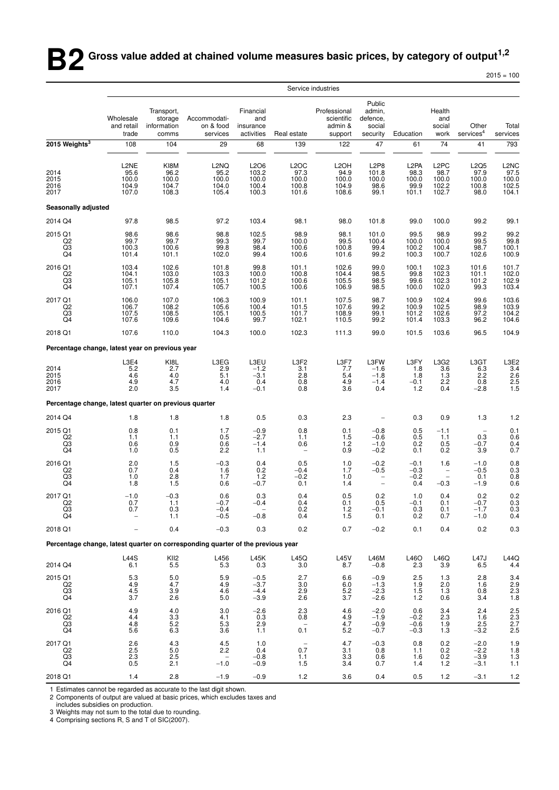**B2** Gross value added at chained volume measures basic prices, by category of output<sup>1,2</sup>

 $2015 = 100$ 

|                                                                                 |                                                  |                                                         |                                                      |                                             |                                                      | Service industries                                   |                                                                 |                                                       |                                                      |                                                                 |                                                          |
|---------------------------------------------------------------------------------|--------------------------------------------------|---------------------------------------------------------|------------------------------------------------------|---------------------------------------------|------------------------------------------------------|------------------------------------------------------|-----------------------------------------------------------------|-------------------------------------------------------|------------------------------------------------------|-----------------------------------------------------------------|----------------------------------------------------------|
|                                                                                 | Wholesale<br>and retail<br>trade                 | Transport,<br>storage<br>information<br>comms           | Accommodati-<br>on & food<br>services                | Financial<br>and<br>insurance<br>activities | Real estate                                          | Professional<br>scientific<br>admin &<br>support     | Public<br>admin,<br>defence.<br>social<br>security              | Education                                             | Health<br>and<br>social<br>work                      | Other<br>$s$ ervices <sup>4</sup>                               | Total<br>services                                        |
| 2015 Weights <sup>3</sup>                                                       | 108                                              | 104                                                     | 29                                                   | 68                                          | 139                                                  | 122                                                  | 47                                                              | 61                                                    | 74                                                   | 41                                                              | 793                                                      |
| 2014<br>2015<br>2016<br>2017                                                    | L2NE<br>95.6<br>100.0<br>104.9<br>107.0          | KI8M<br>96.2<br>100.0<br>104.7<br>108.3                 | L <sub>2</sub> NQ<br>95.2<br>100.0<br>104.0<br>105.4 | L2O6<br>103.2<br>100.0<br>100.4<br>100.3    | L <sub>2</sub> OC<br>97.3<br>100.0<br>100.8<br>101.6 | L <sub>2</sub> OH<br>94.9<br>100.0<br>104.9<br>108.6 | L <sub>2</sub> P <sub>8</sub><br>101.8<br>100.0<br>98.6<br>99.1 | L <sub>2</sub> PA<br>$98.3$<br>100.0<br>99.9<br>101.1 | L <sub>2</sub> PC<br>98.7<br>100.0<br>102.2<br>102.7 | L <sub>2</sub> Q <sub>5</sub><br>97.9<br>100.0<br>100.8<br>98.0 | L2NC<br>97.5<br>100.0<br>102.5<br>104.1                  |
| Seasonally adjusted                                                             |                                                  |                                                         |                                                      |                                             |                                                      |                                                      |                                                                 |                                                       |                                                      |                                                                 |                                                          |
| 2014 Q4                                                                         | 97.8                                             | 98.5                                                    | 97.2                                                 | 103.4                                       | 98.1                                                 | 98.0                                                 | 101.8                                                           | 99.0                                                  | 100.0                                                | 99.2                                                            | 99.1                                                     |
| 2015 Q1<br>Q <sub>2</sub><br>Q3<br>Q <sub>4</sub>                               | 98.6<br>99.7<br>100.3<br>101.4                   | 98.6<br>99.7<br>100.6<br>101.1                          | 98.8<br>99.3<br>99.8<br>102.0                        | 102.5<br>99.7<br>98.4<br>99.4               | 98.9<br>100.0<br>100.6<br>100.6                      | 98.1<br>99.5<br>100.8<br>101.6                       | 101.0<br>100.4<br>99.4<br>99.2                                  | 99.5<br>100.0<br>100.2<br>100.3                       | 98.9<br>100.0<br>100.4<br>100.7                      | 99.2<br>99.5<br>98.7<br>102.6                                   | 99.2<br>99.8<br>100.1<br>100.9                           |
| 2016 Q1<br>$^{Q2}_{Q3}$<br>Q <sub>4</sub>                                       | 103.4<br>104.1<br>105.1<br>107.1                 | 102.6<br>103.0<br>105.8<br>107.4                        | 101.8<br>103.3<br>105.1<br>105.7                     | 99.8<br>100.0<br>101.2<br>100.5             | 101.1<br>100.8<br>100.6<br>100.6                     | 102.6<br>104.4<br>105.5<br>106.9                     | 99.0<br>98.5<br>98.5<br>98.5                                    | 100.1<br>99.8<br>99.6<br>100.0                        | 102.3<br>102.3<br>102.3<br>102.0                     | 101.6<br>101.1<br>101.2<br>99.3                                 | 101.7<br>$102.0$<br>$102.9$<br>$103.4$                   |
| 2017 Q1<br>Q2<br>$^{Q3}_{Q4}$                                                   | 106.0<br>106.7<br>107.5<br>107.6                 | 107.0<br>108.2<br>108.5<br>109.6                        | 106.3<br>105.6<br>105.1<br>104.6                     | 100.9<br>100.4<br>100.5<br>99.7             | 101.1<br>101.5<br>101.7<br>102.1                     | 107.5<br>107.6<br>108.9<br>110.5                     | 98.7<br>99.2<br>99.1<br>99.2                                    | 100.9<br>100.9<br>101.2<br>101.4                      | 102.4<br>102.5<br>102.6<br>103.3                     | 99.6<br>98.9<br>97.2<br>96.2                                    | 103.6<br>103.9<br>104.2<br>104.6                         |
| 2018 Q1                                                                         | 107.6                                            | 110.0                                                   | 104.3                                                | 100.0                                       | 102.3                                                | 111.3                                                | 99.0                                                            | 101.5                                                 | 103.6                                                | 96.5                                                            | 104.9                                                    |
| Percentage change, latest year on previous year                                 |                                                  |                                                         |                                                      |                                             |                                                      |                                                      |                                                                 |                                                       |                                                      |                                                                 |                                                          |
| 2014<br>2015<br>2016<br>2017                                                    | L3E4<br>5.2<br>4.6<br>4.9<br>2.0                 | KI8L<br>2.7<br>4.0<br>4.7<br>3.5                        | L3EG<br>2.9<br>5.1<br>4.0<br>1.4                     | L3EU<br>$-1.2$<br>$-3.1$<br>0.4<br>$-0.1$   | L3F2<br>3.1<br>2.8<br>0.8<br>0.8                     | L3F7<br>7.7<br>5.4<br>4.9<br>3.6                     | L3FW<br>$-1.6$<br>$-1.8$<br>$-1.4$<br>0.4                       | L3FY<br>1.8<br>1.8<br>$-0.1$<br>1.2                   | L3G2<br>3.6<br>1.3<br>$2.\overline{2}$<br>0.4        | L3GT<br>6.3<br>2.2<br>0.8<br>$-2.8$                             | L3E2<br>3.4<br>2.6<br>2.5<br>1.5                         |
| Percentage change, latest quarter on previous quarter                           |                                                  |                                                         |                                                      |                                             |                                                      |                                                      |                                                                 |                                                       |                                                      |                                                                 |                                                          |
| 2014 Q4                                                                         | 1.8                                              | 1.8                                                     | 1.8                                                  | 0.5                                         | 0.3                                                  | 2.3                                                  | $\overline{\phantom{a}}$                                        | 0.3                                                   | 0.9                                                  | 1.3                                                             | 1.2                                                      |
| 2015 Q1<br>$_{\text{Q3}}^{\text{Q2}}$<br>Q <sub>4</sub>                         | 0.8<br>1.1<br>0.6<br>1.0                         | 0.1<br>1.1<br>0.9 0.5                                   | 1.7<br>0.5<br>0.6<br>2.2                             | $-0.9$<br>$-2.7$<br>$-1.4$<br>1.1           | 0.8<br>1.1<br>0.6                                    | 0.1<br>1.5<br>$1.2$<br>0.9                           | $-0.8$<br>$-0.6$<br>$-1.0$<br>$-0.2$                            | 0.5<br>0.5<br>0.2<br>0.1                              | $-1.1$<br>1.1<br>$0.5 \\ 0.2$                        | $\overline{\phantom{0}}$<br>0.3<br>-0.7<br>3.9                  | 0.1<br>$0.6$<br>$0.4$<br>$0.7$                           |
| 2016 Q1<br>Q2<br>$\frac{Q3}{Q4}$                                                | 2.0<br>0.7<br>1.0<br>1.8                         | 1.5<br>0.4<br>2.8<br>1.5                                | $-0.3$<br>1.6<br>1.7<br>0.6                          | 0.4<br>0.2<br>1.2<br>$-0.7$                 | 0.5<br>$-0.4$<br>$-0.2$<br>0.1                       | 1.0<br>1.7<br>1.0<br>1.4                             | $-0.2$<br>$-0.5$<br>$\overline{a}$<br>$\qquad \qquad -$         | $-0.1$<br>$-0.3$<br>$-0.2$<br>0.4                     | 1.6<br>$\qquad \qquad -$<br>$-0.3$                   | $-1.0$<br>$-0.5$<br>0.1<br>$-1.9$                               | $\begin{array}{c} 0.8 \\ 0.3 \\ 0.8 \\ 0.6 \end{array}$  |
| 2017 Q1<br>Q2<br>Q3<br>Q4                                                       | $-1.0$<br>0.7<br>0.7<br>$\overline{\phantom{a}}$ | $-0.3$<br>1.1<br>0.3<br>1.1                             | 0.6<br>-0.7<br>$-0.4$<br>$-0.5$                      | 0.3<br>-0.4<br>$-0.8$                       | 0.4<br>0.4<br>0.2<br>0.4                             | 0.5<br>0.1<br>$1.2$<br>1.5                           | 0.2<br>0.5<br>$-0.1$<br>0.1                                     | 1.0<br>-0.1<br>0.3<br>0.2                             | 0.4<br>0.1<br>0.1<br>0.7                             | 0.2<br>$-0.7$<br>$-1.7$<br>$-1.0$                               | 0.2<br>$\frac{0.3}{0.3}$<br>0.4                          |
| 2018 Q1                                                                         | $\qquad \qquad -$                                | 0.4                                                     | $-0.3$                                               | 0.3                                         | 0.2                                                  | 0.7                                                  | $-0.2$                                                          | 0.1                                                   | 0.4                                                  | 0.2                                                             | 0.3                                                      |
| Percentage change, latest quarter on corresponding quarter of the previous year |                                                  |                                                         |                                                      |                                             |                                                      |                                                      |                                                                 |                                                       |                                                      |                                                                 |                                                          |
| 2014 Q4                                                                         | <b>L44S</b><br>6.1                               | KII2<br>5.5                                             | L456<br>5.3                                          | L45K<br>0.3                                 | L45Q<br>3.0                                          | <b>L45V</b><br>8.7                                   | L46M<br>$-0.8$                                                  | L46O<br>2.3                                           | L46Q<br>3.9                                          | <b>L47J</b><br>6.5                                              | $\begin{array}{c} \text{L44Q} \\ \text{4.4} \end{array}$ |
| 2015 Q1<br>Q <sub>2</sub><br>Q <sub>3</sub><br>Q4                               | 5.3<br>4.9<br>4.5<br>3.7                         | 5.0<br>4.7<br>3.9<br>2.6                                | 5.9<br>4.9<br>4.6<br>5.0                             | $-0.5$<br>$-3.7$<br>$-4.4$<br>$-3.9$        | 2.7<br>3.0<br>2.9<br>2.6                             | 6.6<br>6.0<br>5.2<br>3.7                             | $-0.9$<br>$-1.3$<br>$-2.3$<br>$-2.6$                            | 2.5<br>1.9<br>1.5<br>1.2                              | 1.3<br>2.0<br>1.3<br>0.6                             | 2.8<br>1.6<br>0.8<br>3.4                                        | $3.4$<br>$2.9$<br>$2.3$<br>$1.8$                         |
| 2016 Q1<br>Q2<br>$^{Q3}_{Q4}$                                                   | 4.9<br>4.4<br>4.8<br>5.6                         | 4.0<br>3.3<br>$\begin{array}{c} 5.2 \\ 6.3 \end{array}$ | 3.0<br>4.1<br>5.3<br>3.6                             | $-2.6$<br>0.3<br>$^{2.9}_{1.1}$             | 2.3<br>0.8<br>0.1                                    | 4.6<br>4.9<br>4.7<br>5.2                             | $-2.0$<br>$-1.9$<br>$-0.9$<br>$-0.7$                            | 0.6<br>$-0.2$<br>$-0.6$<br>$-0.3$                     | 3.4<br>2.3<br>$\frac{1.9}{1.3}$                      | 2.4<br>1.6<br>$\frac{2.5}{-3.2}$                                | 2.5<br>2.3<br>2.7<br>2.5                                 |
| 2017 Q1<br>Q2<br>$\frac{Q3}{Q4}$                                                | 2.6<br>$2.\overline{5}$<br>2.3<br>0.5            | 4.3<br>5.0<br>2.5<br>2.1                                | 4.5<br>2.2<br>$\overline{\phantom{0}}$<br>$-1.0$     | 1.0<br>0.4<br>$-0.8$<br>$-0.9$              | 0.7<br>1.1<br>1.5                                    | 4.7<br>3.1<br>3.3<br>3.4                             | $-0.3$<br>0.8<br>0.6<br>0.7                                     | 0.8<br>1.1<br>1.6<br>1.4                              | 0.2<br>0.2<br>0.2<br>1.2                             | $-2.0$<br>$-2.2$<br>-3.9<br>$-3.1$                              | $\frac{1.9}{1.8}$<br>1.3<br>1.1                          |
| 2018 Q1                                                                         | 1.4                                              | 2.8                                                     | $-1.9$                                               | $-0.9$                                      | 1.2                                                  | 3.6                                                  | 0.4                                                             | 0.5                                                   | 1.2                                                  | $-3.1$                                                          | $1.2$                                                    |

1 Estimates cannot be regarded as accurate to the last digit shown.

2 Components of output are valued at basic prices, which excludes taxes and

includes subsidies on production. 3 Weights may not sum to the total due to rounding.

4 Comprising sections R, S and T of SIC(2007).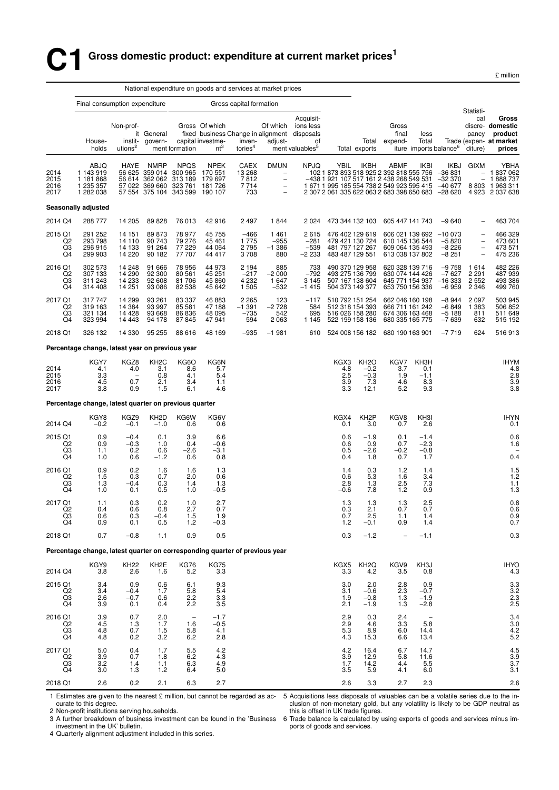£ million

|                                                   | National expenditure on goods and services at market prices                 |                                             |                                                                                                     |                                                      |                                                        |                                          |                                                                                                             |                                                                                                             |                                  |                                                                          |                                                                                                                                                                                               |                                                                               |                                            |                                                                                  |                                                                           |
|---------------------------------------------------|-----------------------------------------------------------------------------|---------------------------------------------|-----------------------------------------------------------------------------------------------------|------------------------------------------------------|--------------------------------------------------------|------------------------------------------|-------------------------------------------------------------------------------------------------------------|-------------------------------------------------------------------------------------------------------------|----------------------------------|--------------------------------------------------------------------------|-----------------------------------------------------------------------------------------------------------------------------------------------------------------------------------------------|-------------------------------------------------------------------------------|--------------------------------------------|----------------------------------------------------------------------------------|---------------------------------------------------------------------------|
|                                                   | Final consumption expenditure                                               |                                             |                                                                                                     |                                                      |                                                        | Gross capital formation                  |                                                                                                             |                                                                                                             |                                  |                                                                          |                                                                                                                                                                                               |                                                                               |                                            | Statisti-                                                                        |                                                                           |
|                                                   | House-<br>holds                                                             | Non-prof-<br>instit-<br>utions <sup>2</sup> | it General<br>govern-                                                                               | ment formation                                       | Gross Of which<br>capital investme-<br>$nt^3$          | inven-<br>tories <sup>4</sup>            | Of which<br>adjust-                                                                                         | Acquisit-<br>ions less<br>fixed business Change in alignment disposals<br>of<br>ment valuables <sup>5</sup> |                                  | Total<br>Total exports                                                   | Gross<br>final<br>expend-                                                                                                                                                                     | less<br>Total                                                                 | iture imports balance <sup>6</sup>         | cal<br>pancy<br>diture)                                                          | Gross<br>discre- domestic<br>product<br>Trade (expen- at market<br>prices |
| 2014<br>2015<br>2016<br>2017                      | ABJQ<br>1 143 919<br>1 181 868<br>1 235 357<br>1 282 038                    | HAYE                                        | <b>NMRP</b><br>56 625 359 014 300 965<br>56 614 362 062<br>57 022 369 660<br>57 554 375 104 343 599 | <b>NPQS</b><br>313 189<br>323 761                    | <b>NPEK</b><br>170 551<br>179 697<br>181726<br>190 107 | CAEX<br>13 268<br>7812<br>7 7 1 4<br>733 | <b>DMUN</b><br>$\overline{\phantom{a}}$<br>$\overline{\phantom{a}}$<br>$\equiv$<br>$\overline{\phantom{a}}$ | <b>NPJQ</b>                                                                                                 | YBIL                             | <b>IKBH</b>                                                              | ABMF<br>102 1 873 893 518 925 2 392 818 555 756<br>-438 1 921 107 517 161 2 438 268 549 531<br>1 671 1 995 185 554 738 2 549 923 595 415<br>2 307 2 061 335 622 063 2 683 398 650 683 -28 620 | IKBI                                                                          | IKBJ<br>$-36831$<br>$-32370$<br>-40 677    | <b>GIXM</b><br>$\overline{\phantom{0}}$                                          | YBHA<br>$-1837062$<br>1888737<br>8 803 1 963 311<br>4 923 2 037 638       |
|                                                   | Seasonally adjusted                                                         |                                             |                                                                                                     |                                                      |                                                        |                                          |                                                                                                             |                                                                                                             |                                  |                                                                          |                                                                                                                                                                                               |                                                                               |                                            |                                                                                  |                                                                           |
| 2014 Q4                                           | 288 777                                                                     | 14 205                                      | 89 828                                                                                              | 76 013                                               | 42916                                                  | 2 4 9 7                                  | 1844                                                                                                        | 2 0 2 4                                                                                                     |                                  |                                                                          | 473 344 132 103 605 447 141 743                                                                                                                                                               |                                                                               | $-9640$                                    |                                                                                  | 463 704                                                                   |
| 2015 Q1<br>Q2<br>Q3<br>Q4                         | 291 252<br>293 798<br>296 915<br>299 903                                    | 14 151<br>14 110<br>14 133<br>14 2 20       | 89 873<br>90 743<br>91 264<br>90 182                                                                | 78 977<br>79 276<br>77 229<br>77 707                 | 45 755<br>45 461<br>44 064<br>44 417                   | $-466$<br>1 7 7 5<br>2795<br>3708        | 1461<br>$-955$<br>$-1.386$<br>880                                                                           | 2615<br>$-281$<br>$-539$<br>$-2233$                                                                         |                                  | 476 402 129 619<br>479 421 130 724<br>481 797 127 267<br>483 487 129 551 | 606 021 139 692<br>610 145 136 544<br>609 064 135 493<br>613 038 137 802                                                                                                                      |                                                                               | $-100073$<br>$-5820$<br>$-8226$<br>$-8251$ | $\overline{\phantom{m}}$<br>$\overline{\phantom{0}}$<br>$\overline{\phantom{0}}$ | 466 329<br>473 601<br>473 571<br>475 236                                  |
| 2016 Q1<br>Q2<br>Q3<br>Q4                         | 302 573<br>307 133<br>311 243<br>314 408                                    | 14 248<br>14 290<br>14 233<br>14 251        | 91 666<br>92 300<br>92 608<br>93 086                                                                | 78 956<br>80 561<br>81 706<br>82 538                 | 44 973<br>45 251<br>45 860<br>45 642                   | 2 1 9 4<br>$-217$<br>4 2 3 2<br>1 505    | 885<br>$-2000$<br>1647<br>$-532$                                                                            | 733<br>$-792$<br>3 1 4 5<br>$-1415$                                                                         |                                  | 490 370 129 958<br>493 275 136 799<br>507 167 138 604<br>504 373 149 377 | 620 328 139 716<br>630 074 144 426<br>645 771 154 937<br>653 750 156 336                                                                                                                      |                                                                               | $-9758$<br>$-7627$<br>$-16333$<br>$-6959$  | 1 6 1 4<br>2 2 9 1<br>2 5 5 2<br>2 3 4 6                                         | 482 226<br>487 939<br>493 386<br>499 760                                  |
| 2017 Q1<br>Q <sub>2</sub><br>Q3<br>Q4             | 317747<br>319 163<br>321 134<br>323 994                                     | 14 299<br>14 3 84<br>14 4 28<br>14 4 43     | 93 261<br>93 997<br>93 668<br>94 178                                                                | 83 337<br>85 581<br>86 836<br>87 845                 | 46 883<br>47 188<br>48 095<br>47 941                   | 2 2 6 5<br>$-1.391$<br>$-735$<br>594     | 123<br>$-2728$<br>542<br>2 0 6 3                                                                            | $-117$<br>584<br>695<br>1 1 4 5                                                                             |                                  | 510 792 151 254<br>512 318 154 393<br>516 026 158 280<br>522 199 158 136 | 662 046 160 198<br>666 711 161 242<br>674 306 163 468<br>680 335 165 775                                                                                                                      |                                                                               | $-8944$<br>$-6849$<br>$-5188$<br>$-7639$   | 2 0 9 7<br>1 3 8 3<br>811<br>632                                                 | 503 945<br>506 852<br>511 649<br>515 192                                  |
| 2018 Q1                                           | 326 132                                                                     | 14 3 30                                     | 95 255                                                                                              | 88 616                                               | 48 169                                                 | $-935$                                   | $-1981$                                                                                                     | 610                                                                                                         |                                  |                                                                          | 524 008 156 182 680 190 163 901                                                                                                                                                               |                                                                               | $-7719$                                    | 624                                                                              | 516913                                                                    |
|                                                   | Percentage change, latest year on previous year                             |                                             |                                                                                                     |                                                      |                                                        |                                          |                                                                                                             |                                                                                                             |                                  |                                                                          |                                                                                                                                                                                               |                                                                               |                                            |                                                                                  |                                                                           |
| 2014<br>2015<br>2016<br>2017                      | KGY7<br>4.1<br>3.3<br>4.5<br>3.8                                            | KGZ8<br>4.0<br>0.7<br>0.9                   | KH <sub>2</sub> C<br>3.1<br>0.8<br>2.1<br>1.5                                                       | KG6O<br>8.6<br>4.1<br>3.4<br>6.1                     | KG6N<br>5.7<br>5.4<br>1.1<br>4.6                       |                                          |                                                                                                             |                                                                                                             | KGX3<br>4.8<br>2.5<br>3.9<br>3.3 | KH <sub>2</sub> O<br>$-0.2$<br>$-0.3$<br>7.3<br>12.1                     | KGV7<br>3.7<br>1.9<br>4.6<br>5.2                                                                                                                                                              | KH3H<br>0.1<br>$-1.1$<br>8.3<br>9.3                                           |                                            |                                                                                  | <b>IHYM</b><br>4.8<br>2.8<br>3.9<br>3.8                                   |
|                                                   | Percentage change, latest quarter on previous quarter                       |                                             |                                                                                                     |                                                      |                                                        |                                          |                                                                                                             |                                                                                                             |                                  |                                                                          |                                                                                                                                                                                               |                                                                               |                                            |                                                                                  |                                                                           |
| 2014 Q4                                           | KGY8<br>$-0.2$                                                              | KGZ9<br>$-0.1$                              | KH <sub>2</sub> D<br>$-1.0$                                                                         | KG6W<br>0.6                                          | KG6V<br>0.6                                            |                                          |                                                                                                             |                                                                                                             | KGX4<br>0.1                      | KH <sub>2</sub> P<br>3.0                                                 | KGV8<br>0.7                                                                                                                                                                                   | KH3I<br>2.6                                                                   |                                            |                                                                                  | <b>IHYN</b><br>0.1                                                        |
| 2015 Q1<br>$^{Q2}_{Q3}$<br>Q4                     | 0.9<br>0.9<br>1.1<br>1.0                                                    | $-0.4$<br>$-0.3$<br>0.2<br>0.6              | 0.1<br>1.0<br>0.6<br>$-1.2$                                                                         | 3.9<br>0.4<br>$-2.6$<br>0.6                          | 6.6<br>$-0.6$<br>$-3.1$<br>0.8                         |                                          |                                                                                                             |                                                                                                             | 0.6<br>0.6<br>0.5<br>0.4         | $-1.9$<br>0.9<br>$-2.6$<br>1.8                                           | 0.1<br>0.7<br>$-0.2$<br>0.7                                                                                                                                                                   | $-1.4$<br>$-2.3$<br>$-0.8$<br>1.7                                             |                                            |                                                                                  | 0.6<br>1.6<br>0.4                                                         |
| 2016 Q1<br>Q2<br>Q3<br>Q4                         | 0.9<br>1.5<br>1.3<br>1.0                                                    | 0.2<br>0.3<br>$-0.4$<br>0.1                 | 1.6<br>0.7<br>0.3<br>0.5                                                                            | 1.6<br>2.0<br>1.4<br>1.0                             | 1.3<br>0.6<br>$1.3 - 0.5$                              |                                          |                                                                                                             |                                                                                                             | 1.4<br>0.6<br>2.8<br>$-0.6$      | 0.3<br>5.3<br>1.3<br>7.8                                                 | $1.2$<br>1.6<br>$^{2.5}_{1.2}$                                                                                                                                                                | 1.4<br>3.4<br>$\!\!\!\!\begin{array}{c} 7.3 \\ 0.9 \end{array}\!\!\!\!\!\!\!$ |                                            |                                                                                  | 1.5<br>1.2<br>$\frac{1}{1}$ .3                                            |
| 2017 Q1<br>Q2<br>Q3<br>Q4                         | 1.1<br>0.4<br>0.6<br>0.9                                                    | 0.3<br>0.6<br>0.3<br>0.1                    | 0.2<br>0.8<br>$-0.4$<br>0.5                                                                         | 1.0<br>2.7<br>1.5<br>1.2                             | 2.7<br>0.7<br>1.9<br>$-0.3$                            |                                          |                                                                                                             |                                                                                                             | $1.3$<br>0.3<br>0.7<br>1.2       | 1.3<br>2.1<br>2.5<br>$-0.1$                                              | 1.3<br>0.7<br>1.1<br>0.9                                                                                                                                                                      | 2.5<br>0.7<br>1.4<br>1.4                                                      |                                            |                                                                                  | $0.8 \\ 0.6$<br>$0.9$<br>$0.7$                                            |
| 2018 Q1                                           | 0.7                                                                         | $-0.8$                                      | 1.1                                                                                                 | 0.9                                                  | 0.5                                                    |                                          |                                                                                                             |                                                                                                             | 0.3                              | $-1.2$                                                                   | $\overline{\phantom{a}}$                                                                                                                                                                      | $-1.1$                                                                        |                                            |                                                                                  | 0.3                                                                       |
|                                                   | Percentage change, latest quarter on corresponding quarter of previous year |                                             |                                                                                                     |                                                      |                                                        |                                          |                                                                                                             |                                                                                                             |                                  |                                                                          |                                                                                                                                                                                               |                                                                               |                                            |                                                                                  |                                                                           |
| 2014 Q4                                           | KGY9<br>$3.\overline{8}$                                                    | <b>KH22</b><br>2.6                          | KH2E<br>1.6                                                                                         | <b>KG76</b><br>5.2                                   | <b>KG75</b><br>$3.\overline{3}$                        |                                          |                                                                                                             |                                                                                                             | KGX5<br>3.3                      | KH <sub>2</sub> Q<br>4.2                                                 | KGV9<br>3.5                                                                                                                                                                                   | KH3J<br>0.8                                                                   |                                            |                                                                                  | IHYO<br>4.3                                                               |
| 2015 Q1<br>Q <sub>2</sub><br>Q3<br>Q <sub>4</sub> | $3.4$<br>$3.4$<br>2.6<br>3.9                                                | 0.9<br>$-0.4$<br>$-0.7$<br>0.1              | $0.6$<br>1.7<br>0.6<br>0.4                                                                          | $6.1$<br>$5.8$<br>2.2<br>2.2                         | $\frac{9.3}{5.4}$<br>3.3<br>3.5                        |                                          |                                                                                                             |                                                                                                             | $\frac{3.0}{3.1}$<br>1.9<br>2.1  | 2.0<br>$-0.6$<br>$-0.8$<br>$-1.9$                                        | $^{2.8}_{2.3}$<br>1.3<br>1.3                                                                                                                                                                  | $0.9 - 0.7$<br>$-1.9$<br>$-2.8$                                               |                                            |                                                                                  | $3.3$<br>$3.2$<br>$2.3$<br>2.5                                            |
| 2016 Q1<br>$\frac{Q2}{Q3}$<br>Q4                  | 3.9<br>$\begin{array}{c} 4.5 \\ 4.8 \end{array}$<br>4.8                     | 0.7<br>$^{1.3}_{0.7}$<br>0.2                | 2.0<br>1.7<br>1.5<br>3.2                                                                            | $\hspace{0.1mm}-\hspace{0.1mm}$<br>1.6<br>5.8<br>6.2 | $-1.7$<br>$-0.5$<br>4.1<br>2.8                         |                                          |                                                                                                             |                                                                                                             | 2.9<br>$^{2.9}_{5.3}$<br>4.3     | 0.3<br>4.6<br>8.9<br>15.3                                                | 2.4<br>3.3<br>6.0<br>6.6                                                                                                                                                                      | 5.8<br>14.4<br>13.4                                                           |                                            |                                                                                  | 3.4<br>$3.0$<br>$4.2$<br>$5.2$                                            |
| 2017 Q1<br>Q2<br>$^{Q3}_{Q4}$                     | 5.0<br>3.9<br>$\substack{3.2\\ 3.0}$                                        | 0.4<br>0.7<br>1.4<br>1.3                    | 1.7<br>1.8<br>1.1<br>1.2                                                                            | 5.5<br>6.2<br>6.3<br>6.4                             | 4.2<br>4.3<br>4.9<br>5.0                               |                                          |                                                                                                             |                                                                                                             | 4.2<br>3.9<br>1.7<br>3.5         | 16.4<br>12.9<br>14.2<br>5.9                                              | 6.7<br>5.8<br>4.4<br>4.1                                                                                                                                                                      | 14.7<br>11.6<br>$\begin{array}{c} 5.5 \\ 6.0 \end{array}$                     |                                            |                                                                                  | 4.5<br>3.9<br>$\frac{3.7}{3.1}$                                           |
| 2018 Q1                                           | 2.6                                                                         | 0.2                                         | 2.1                                                                                                 | 6.3                                                  | 2.7                                                    |                                          |                                                                                                             |                                                                                                             | 2.6                              | 3.3                                                                      | 2.7                                                                                                                                                                                           | 2.3                                                                           |                                            |                                                                                  | 2.6                                                                       |

1 Estimates are given to the nearest  $\epsilon$  million, but cannot be regarded as accurate to this degree.

2 Non-profit institutions serving households.

5 Acquisitions less disposals of valuables can be a volatile series due to the inclusion of non-monetary gold, but any volatility is likely to be GDP neutral as this is offset in UK trade figures.

investment in the UK' bulletin.

4 Quarterly alignment adjustment included in this series.

3 A further breakdown of business investment can be found in the 'Business 6 Trade balance is calculated by using exports of goods and services minus imports of goods and services.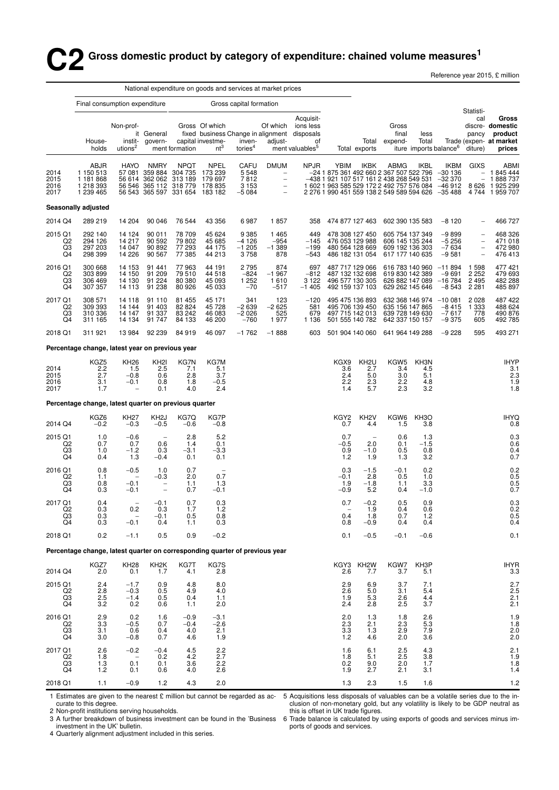## **C**2 Gross domestic product by category of expenditure: chained volume measures<sup>1</sup>

Reference year 2015, £ million

|                                                   | National expenditure on goods and services at market prices                 |                                                        |                                                  |                                                                            |                                                                                |                                               |                                                                                                                             |                                                             |                                               |                                                                          |                                                                                                                                                                                                       |                                  |                                            |                                                                           |                                                                           |
|---------------------------------------------------|-----------------------------------------------------------------------------|--------------------------------------------------------|--------------------------------------------------|----------------------------------------------------------------------------|--------------------------------------------------------------------------------|-----------------------------------------------|-----------------------------------------------------------------------------------------------------------------------------|-------------------------------------------------------------|-----------------------------------------------|--------------------------------------------------------------------------|-------------------------------------------------------------------------------------------------------------------------------------------------------------------------------------------------------|----------------------------------|--------------------------------------------|---------------------------------------------------------------------------|---------------------------------------------------------------------------|
|                                                   | Final consumption expenditure                                               |                                                        |                                                  |                                                                            |                                                                                | Gross capital formation                       |                                                                                                                             |                                                             |                                               |                                                                          |                                                                                                                                                                                                       |                                  |                                            | Statisti-                                                                 |                                                                           |
|                                                   | House-<br>holds                                                             | Non-prof-<br>instit-<br>utions <sup>2</sup>            | it General<br>govern-                            | ment formation                                                             | Gross Of which<br>capital investme-<br>$nt^3$                                  | inven-<br>tories <sup>4</sup>                 | Of which<br>fixed business Change in alignment disposals<br>adjust-                                                         | Acquisit-<br>ions less<br>of<br>ment valuables <sup>5</sup> |                                               | Total exports                                                            | Gross<br>final<br>Total expend-                                                                                                                                                                       | less<br>Total                    | iture imports balance <sup>6</sup>         | cal<br>pancy<br>diture)                                                   | Gross<br>discre- domestic<br>product<br>Trade (expen- at market<br>prices |
| 2014<br>2015<br>2016<br>2017                      | ABJR<br>1 150 513<br>1 181 868<br>1 218 393<br>1 239 465                    | HAYO                                                   | <b>NMRY</b><br>57 081 359 884                    | <b>NPQT</b><br>304 735<br>56 614 362 062 313 189<br>56 546 365 112 318 779 | <b>NPEL</b><br>173 239<br>179 697<br>178 835<br>56 543 365 597 331 654 183 182 | CAFU<br>5 5 4 8<br>7812<br>3 1 5 3<br>$-5084$ | <b>DMUM</b><br>$\overline{\phantom{m}}$<br>$\overline{\phantom{a}}$<br>$\overline{\phantom{a}}$<br>$\overline{\phantom{a}}$ | <b>NPJR</b>                                                 | YBIM                                          | IKBK                                                                     | ABMG<br>-24 1 875 361 492 660 2 367 507 522 796<br>-438 1 921 107 517 161 2 438 268 549 531<br>1 602 1 963 585 529 172 2 492 757 576 084 -46 912<br>2 276 1 990 451 559 138 2 549 589 594 626 -35 488 | <b>IKBL</b>                      | <b>IKBM</b><br>$-30136$<br>$-32370$        | <b>GIXS</b>                                                               | ABMI<br>$-1845444$<br>$-1888737$<br>8 626 1 925 299<br>4 744 1 959 707    |
|                                                   | Seasonally adjusted                                                         |                                                        |                                                  |                                                                            |                                                                                |                                               |                                                                                                                             |                                                             |                                               |                                                                          |                                                                                                                                                                                                       |                                  |                                            |                                                                           |                                                                           |
| 2014 Q4                                           | 289 219                                                                     | 14 204                                                 | 90 046                                           | 76 544                                                                     | 43 356                                                                         | 6987                                          | 1857                                                                                                                        | 358                                                         |                                               | 474 877 127 463                                                          | 602 390 135 583                                                                                                                                                                                       |                                  | $-8120$                                    |                                                                           | 466 727                                                                   |
| 2015 Q1<br>Q2<br>Q3<br>Q4                         | 292 140<br>294 126<br>297 203<br>298 399                                    | 14 124<br>14 217<br>14 047<br>14 2 26                  | 90 011<br>90 592<br>90 892<br>90 567             | 78 709<br>79 802<br>77 293<br>77 385                                       | 45 624<br>45 685<br>44 175<br>44 213                                           | 9 3 8 5<br>$-4126$<br>$-1205$<br>3758         | 1 4 6 5<br>$-954$<br>$-1.389$<br>878                                                                                        | 449<br>$-145$<br>$-199$<br>$-543$                           |                                               | 478 308 127 450<br>476 053 129 988<br>480 564 128 669<br>486 182 131 054 | 605 754 137 349<br>606 145 135 244<br>609 192 136 303<br>617 177 140 635                                                                                                                              |                                  | $-9899$<br>$-5256$<br>$-7634$<br>$-9581$   | $\qquad \qquad -$<br>$\overline{\phantom{0}}$<br>$\overline{\phantom{0}}$ | 468 326<br>471 018<br>472 980<br>476 413                                  |
| 2016 Q1<br>Q <sub>2</sub><br>Q3<br>Q4             | 300 668<br>303 899<br>306 469<br>307 357                                    | 14 153<br>14 150<br>14 130<br>14 113                   | 91 441<br>91 209<br>91 224<br>91 238             | 77963<br>79 510<br>80 380<br>80 926                                        | 44 191<br>44 518<br>45 093<br>45 033                                           | 2 7 9 5<br>$-824$<br>1 2 5 2<br>$-70$         | 874<br>$-1967$<br>1610<br>$-517$                                                                                            | 697<br>$-812$<br>3 1 2 2<br>$-1405$                         |                                               | 487 717 129 066<br>487 132 132 698<br>496 577 130 305<br>492 159 137 103 | 616 783 140 960<br>619 830 142 389<br>626 882 147 089<br>629 262 145 646                                                                                                                              |                                  | $-11894$<br>$-9691$<br>$-16784$<br>$-8543$ | 1 5 9 8<br>2 2 5 2<br>2 4 9 5<br>2 2 8 1                                  | 477 421<br>479 693<br>482 288<br>485 897                                  |
| 2017 Q1<br>Q <sub>2</sub><br>Q3<br>Q <sub>4</sub> | 308 571<br>309 393<br>310 336<br>311 165                                    | 14 118<br>14 144<br>14 147<br>14 134                   | 91 110<br>91 403<br>91 337<br>91 747             | 81 455<br>82 824<br>83 24 2<br>84 133                                      | 45 171<br>45 728<br>46 083<br>46 200                                           | 341<br>$-2639$<br>$-2026$<br>$-760$           | 123<br>$-2625$<br>525<br>1977                                                                                               | $-120$<br>581<br>679<br>1 1 3 6                             |                                               | 495 475 136 893<br>495 706 139 450<br>497 715 142 013<br>501 555 140 782 | 632 368 146 974<br>635 156 147 865<br>639 728 149 630<br>642 337 150 157                                                                                                                              |                                  | $-100081$<br>$-8415$<br>$-7617$<br>$-9375$ | 2 0 2 8<br>1 3 3 3<br>778<br>605                                          | 487 422<br>488 624<br>490 876<br>492 785                                  |
| 2018 Q1                                           | 311 921                                                                     | 13 984                                                 | 92 239                                           | 84 919                                                                     | 46 097                                                                         | $-1762$                                       | $-1888$                                                                                                                     | 603                                                         |                                               |                                                                          | 501 904 140 060 641 964 149 288                                                                                                                                                                       |                                  | $-9228$                                    | 595                                                                       | 493 271                                                                   |
|                                                   | Percentage change, latest year on previous year                             |                                                        |                                                  |                                                                            |                                                                                |                                               |                                                                                                                             |                                                             |                                               |                                                                          |                                                                                                                                                                                                       |                                  |                                            |                                                                           |                                                                           |
| 2014<br>2015<br>2016<br>2017                      | KGZ5<br>2.2<br>2.7<br>3.1<br>1.7                                            | <b>KH26</b><br>1.5<br>$-0.8$<br>$-0.1$                 | KH <sub>2</sub><br>2.5<br>0.6<br>0.8<br>0.1      | KG7N<br>7.1<br>2.8<br>1.8<br>4.0                                           | KG7M<br>5.1<br>3.7<br>$-0.5$<br>2.4                                            |                                               |                                                                                                                             |                                                             | KGX9<br>3.6<br>2.4<br>2.2<br>1.4              | KH <sub>2U</sub><br>2.7<br>5.0<br>2.3<br>5.7                             | KGW <sub>5</sub><br>3.4<br>3.0<br>2.2<br>2.3                                                                                                                                                          | KH3N<br>4.5<br>5.1<br>4.8<br>3.2 |                                            |                                                                           | <b>IHYP</b><br>3.1<br>2.3<br>1.9<br>1.8                                   |
|                                                   | Percentage change, latest quarter on previous quarter                       |                                                        |                                                  |                                                                            |                                                                                |                                               |                                                                                                                             |                                                             |                                               |                                                                          |                                                                                                                                                                                                       |                                  |                                            |                                                                           |                                                                           |
| 2014 Q4                                           | KGZ6<br>$-0.2$                                                              | <b>KH27</b><br>$-0.3$                                  | KH <sub>2</sub> J<br>$-0.5$                      | KG7Q<br>$-0.6$                                                             | KG7P<br>$-0.8$                                                                 |                                               |                                                                                                                             |                                                             | KGY <sub>2</sub><br>0.7                       | KH <sub>2</sub> V<br>4.4                                                 | KGW6<br>1.5                                                                                                                                                                                           | KH <sub>3</sub> O<br>3.8         |                                            |                                                                           | <b>IHYQ</b><br>0.8                                                        |
| 2015 Q1<br>Q2<br>Q3<br>Q4                         | 1.0<br>0.7<br>1.0<br>0.4                                                    | $-0.6$<br>0.7<br>$-1.2$<br>1.3                         | $\overline{\phantom{m}}$<br>0.6<br>0.3<br>$-0.4$ | 2.8<br>1.4<br>$-3.1$<br>0.1                                                | 5.2<br>0.1<br>$-3.3$<br>0.1                                                    |                                               |                                                                                                                             |                                                             | 0.7<br>$-0.5$<br>0.9<br>1.2                   | $\overline{\phantom{a}}$<br>2.0<br>$-1.0$<br>1.9                         | 0.6<br>0.1<br>0.5<br>1.3                                                                                                                                                                              | 1.3<br>$-1.5$<br>0.8<br>3.2      |                                            |                                                                           | 0.3<br>0.6<br>0.4<br>0.7                                                  |
| 2016 Q1<br>Q2<br>Q3<br>Q4                         | 0.8<br>1.1<br>0.8<br>0.3                                                    | $-0.5$<br>$\overline{\phantom{a}}$<br>$-0.1$<br>$-0.1$ | 1.0<br>$-0.3$<br>$\bar{a}$                       | 0.7<br>2.0<br>1.1<br>0.7                                                   | 0.7<br>1.3<br>$-0.1$                                                           |                                               |                                                                                                                             |                                                             | 0.3<br>$-0.1$<br>1.9<br>$-0.9$                | $-1.5$<br>2.8<br>$-1.8$<br>5.2                                           | $-0.1$<br>0.5<br>1.1<br>0.4                                                                                                                                                                           | 0.2<br>1.0<br>3.3<br>$-1.0$      |                                            |                                                                           | $0.2 \\ 0.5$<br>0.5<br>0.7                                                |
| 2017 Q1<br>Q2<br>Q3<br>Q4                         | 0.4<br>0.3<br>0.3<br>0.3                                                    | 0.2<br>$\overline{\phantom{0}}$<br>$-0.1$              | $-0.1$<br>0.3<br>$-0.1$<br>0.4                   | 0.7<br>1.7<br>0.5<br>1.1                                                   | 0.3<br>$1.2$<br>0.8<br>0.3                                                     |                                               |                                                                                                                             |                                                             | 0.7<br>$\overline{\phantom{0}}$<br>0.4<br>0.8 | $-0.2$<br>1.9<br>1.8<br>$-0.9$                                           | 0.5<br>0.4<br>0.7<br>0.4                                                                                                                                                                              | 0.9<br>0.6<br>1.2<br>0.4         |                                            |                                                                           | $\begin{array}{c} 0.3 \\ 0.2 \\ 0.5 \end{array}$<br>0.4                   |
| 2018 Q1                                           | 0.2                                                                         | $-1.1$                                                 | 0.5                                              | 0.9                                                                        | $-0.2$                                                                         |                                               |                                                                                                                             |                                                             | 0.1                                           | $-0.5$                                                                   | $-0.1$                                                                                                                                                                                                | $-0.6$                           |                                            |                                                                           | 0.1                                                                       |
|                                                   | Percentage change, latest quarter on corresponding quarter of previous year |                                                        |                                                  |                                                                            |                                                                                |                                               |                                                                                                                             |                                                             |                                               |                                                                          |                                                                                                                                                                                                       |                                  |                                            |                                                                           |                                                                           |
| 2014 Q4                                           | KGZ7<br>2.0                                                                 | <b>KH28</b><br>0.1                                     | KH <sub>2</sub> K<br>1.7                         | KG7T<br>4.1                                                                | KG7S<br>2.8                                                                    |                                               |                                                                                                                             |                                                             | KGY3<br>2.6                                   | KH <sub>2</sub> W<br>7.7                                                 | KGW7<br>3.7                                                                                                                                                                                           | KH3P<br>5.1                      |                                            |                                                                           | <b>IHYR</b><br>3.3                                                        |
| 2015 Q1<br>Q <sub>2</sub><br>Q3<br>Q4             | 2.4<br>$^{2.8}_{2.5}$<br>3.2                                                | $-1.7$<br>$-0.3$<br>$-1.4$<br>0.2                      | 0.9<br>0.5<br>0.5<br>0.6                         | 4.8<br>4.9<br>0.4<br>1.1                                                   | 8.0<br>4.0<br>1.1<br>2.0                                                       |                                               |                                                                                                                             |                                                             | 2.9<br>2.6<br>1.9<br>2.4                      | 6.9<br>5.0<br>5.3<br>2.8                                                 | 3.7<br>3.1<br>2.6<br>2.5                                                                                                                                                                              | 7.1<br>5.4<br>4.4<br>3.7         |                                            |                                                                           | 2.7<br>$2.5$<br>$2.1$<br>2.1                                              |
| 2016 Q1<br>Q <sub>2</sub><br>Q3<br>Q4             | 2.9<br>3.3<br>3.1<br>3.0                                                    | 0.2<br>$-0.5$<br>0.6<br>$-0.8$                         | 1.6<br>0.7<br>0.4<br>0.7                         | $-0.9$<br>$-0.4$<br>4.0<br>4.6                                             | $-3.1$<br>$-2.6$<br>2.1<br>1.9                                                 |                                               |                                                                                                                             |                                                             | 2.0<br>2.3<br>3.3<br>1.2                      | 1.3<br>2.1<br>1.3<br>4.6                                                 | 1.8<br>2.3<br>2.9<br>2.0                                                                                                                                                                              | 2.6<br>5.3<br>7.9<br>3.6         |                                            |                                                                           | 1.9<br>1.8<br>$2.0$<br>$2.0$                                              |
| 2017 Q1<br>Q <sub>2</sub><br>Q3<br>Q4             | 2.6<br>1.8<br>1.3<br>1.2                                                    | $-0.2$<br>$\overline{\phantom{a}}$<br>0.1<br>0.1       | $-0.4$<br>0.2<br>0.1<br>0.6                      | 4.5<br>4.2<br>3.6<br>4.0                                                   | $2.2$<br>2.7<br>2.2<br>2.6                                                     |                                               |                                                                                                                             |                                                             | 1.6<br>1.8<br>0.2<br>1.9                      | 6.1<br>5.1<br>9.0<br>2.7                                                 | 2.5<br>2.5<br>2.0<br>2.1                                                                                                                                                                              | 4.3<br>3.8<br>1.7<br>3.1         |                                            |                                                                           | $^{2.1}_{1.9}$<br>1.8<br>1.4                                              |
| 2018 Q1                                           | 1.1                                                                         | $-0.9$                                                 | 1.2                                              | 4.3                                                                        | 2.0                                                                            |                                               |                                                                                                                             |                                                             | 1.3                                           | 2.3                                                                      | 1.5                                                                                                                                                                                                   | 1.6                              |                                            |                                                                           | 1.2                                                                       |

1 Estimates are given to the nearest £ million but cannot be regarded as accurate to this degree.

2 Non-profit institutions serving households.

5 Acquisitions less disposals of valuables can be a volatile series due to the inclusion of non-monetary gold, but any volatility is likely to be GDP neutral as this is offset in UK trade figures.

3 A further breakdown of business investment can be found in the 'Business 6 Trade balance is calculated by using exports of goods and services minus iminvestment in the UK' bulletin.

4 Quarterly alignment adjustment included in this series.

ports of goods and services.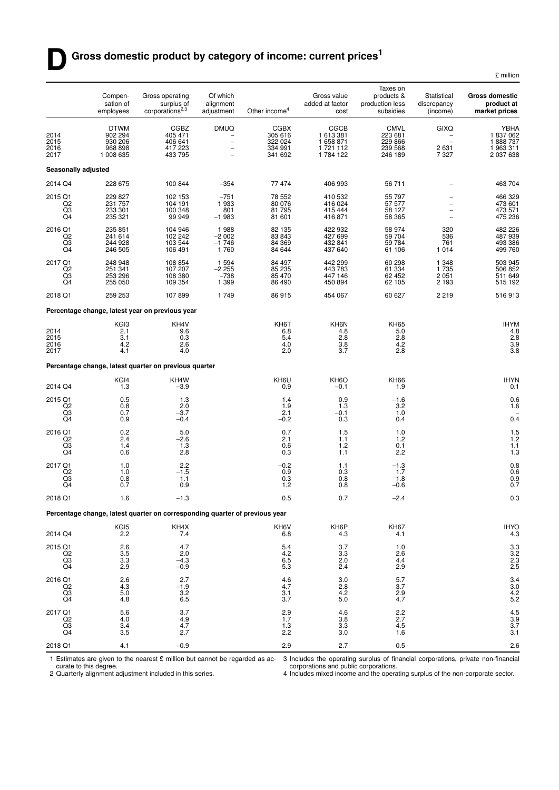## **O** Gross domestic product by category of income: current prices<sup>1</sup>

|                                        |                                                           |                                                                             |                                         |                                                            |                                                                       |                                                        |                                                      | £ million                                              |
|----------------------------------------|-----------------------------------------------------------|-----------------------------------------------------------------------------|-----------------------------------------|------------------------------------------------------------|-----------------------------------------------------------------------|--------------------------------------------------------|------------------------------------------------------|--------------------------------------------------------|
|                                        | Compen-<br>sation of<br>employees                         | Gross operating<br>surplus of<br>corporations <sup>2,3</sup>                | Of which<br>alignment<br>adjustment     | Other income <sup>4</sup>                                  | Gross value<br>added at factor<br>cost                                | Taxes on<br>products &<br>production less<br>subsidies | Statistical<br>discrepancy<br>(income)               | <b>Gross domestic</b><br>product at<br>market prices   |
| 2014<br>2015<br>2016<br>2017           | <b>DTWM</b><br>902 294<br>930 206<br>968 898<br>1 008 635 | <b>CGBZ</b><br>405 471<br>406 641<br>417 223<br>433 795                     | <b>DMUQ</b><br>$\overline{\phantom{0}}$ | CGBX<br>305 616<br>322 024<br>334 991<br>341 692           | <b>CGCB</b><br>1 613 381<br>1 658 871<br>1 721 112<br>1 784 122       | <b>CMVL</b><br>223 681<br>239 568<br>246 189           | <b>GIXQ</b><br>2631<br>7 3 2 7                       | YBHA<br>1 837 062<br>1 888 737<br>1963311<br>2 037 638 |
| Seasonally adjusted                    |                                                           |                                                                             |                                         |                                                            |                                                                       |                                                        |                                                      |                                                        |
| 2014 Q4                                | 228 675                                                   | 100 844                                                                     | $-354$                                  | 77 474                                                     | 406 993                                                               | 56 711                                                 |                                                      | 463 704                                                |
| 2015 Q1<br>Q2<br>Q3<br>Q <sub>4</sub>  | 229 827<br>231 757<br>233 301<br>235 321                  | 102 153<br>104 191<br>100 348<br>99 949                                     | $-751$<br>1933<br>801<br>$-1983$        | 78 552<br>80 076<br>81 795<br>81 601                       | 410 532<br>416 024<br>415 444<br>416 871                              | 55 797<br>57 577<br>58 127<br>58 365                   | $\overline{\phantom{0}}$<br>$\overline{\phantom{0}}$ | 466 329<br>473 601<br>473 571<br>475 236               |
| 2016 Q1<br>$\overline{Q}2$<br>Q3<br>Q4 | 235 851<br>241 614<br>244 928<br>246 505                  | 104 946<br>102 242<br>103 544<br>106 491                                    | 1988<br>$-2002$<br>$-1746$<br>1760      | 82 135<br>83 843<br>84 369<br>84 644                       | 422 932<br>427 699<br>432 841<br>437 640                              | 58 974<br>59 704<br>59 784<br>61 106                   | 320<br>536<br>761<br>1014                            | 482 226<br>487 939<br>493 386<br>499 760               |
| 2017 Q1<br>Q2<br>Q3<br>Q4              | 248 948<br>251 341<br>253 296<br>255 050                  | 108 854<br>107 207<br>108 380<br>109 354                                    | 1 5 9 4<br>$-2255$<br>$-738$<br>1 3 9 9 | 84 497<br>85 235<br>85 470<br>86 490                       | 442 299<br>443 783<br>447 146<br>450 894                              | 60 298<br>61 334<br>62 452<br>62 105                   | 1 348<br>1 735<br>2 0 5 1<br>2 1 9 3                 | 503 945<br>506 852<br>511 649<br>515 192               |
| 2018 Q1                                | 259 253                                                   | 107899                                                                      | 1749                                    | 86915                                                      | 454 067                                                               | 60 627                                                 | 2 2 1 9                                              | 516913                                                 |
|                                        |                                                           | Percentage change, latest year on previous year                             |                                         |                                                            |                                                                       |                                                        |                                                      |                                                        |
| 2014<br>2015<br>2016<br>2017           | KGI3<br>2.1<br>3.1<br>4.2<br>4.1                          | KH <sub>4</sub> V<br>9.6<br>0.3<br>2.6<br>4.0                               |                                         | KH6T<br>6.8<br>5.4<br>4.0<br>2.0                           | KH6N<br>4.8<br>2.8<br>3.8<br>3.7                                      | KH65<br>5.0<br>2.8<br>$\frac{4.2}{2.8}$                |                                                      | IHYM<br>4.8<br>2.8<br>3.9<br>3.8                       |
|                                        |                                                           | Percentage change, latest quarter on previous quarter                       |                                         |                                                            |                                                                       |                                                        |                                                      |                                                        |
| 2014 Q4                                | KGI4<br>1.3                                               | KH4W<br>$-3.9$                                                              |                                         | KH6U<br>0.9                                                | KH <sub>6</sub> O<br>$-0.1$                                           | <b>KH66</b><br>1.9                                     |                                                      | <b>IHYN</b><br>0.1                                     |
| 2015 Q1<br>Q2<br>Q3<br>Q <sub>4</sub>  | 0.5<br>0.8<br>0.7<br>0.9                                  | 1.3<br>2.0<br>$-3.7$<br>$-0.4$                                              |                                         | 1.4<br>1.9<br>2.1<br>$-0.2$                                | 0.9<br>1.3<br>$-0.1$<br>0.3                                           | $-1.6$<br>3.2<br>1.0<br>0.4                            |                                                      | 0.6<br>1.6<br>0.4                                      |
| 2016 Q1<br>Q2<br>Q3<br>Q4              | $^{0.2}_{2.4}$<br>1.4<br>0.6                              | $\begin{array}{c} 5.0 \\ -2.6 \end{array}$<br>1.3<br>2.8                    |                                         | $0.7$<br>$2.1$<br>0.6<br>0.3                               | $\frac{1.5}{1.1}$<br>1.2<br>1.1                                       | 1.0<br>1.2<br>0.1<br>2.2                               |                                                      | $\frac{1.5}{1.2}$<br>$1.1$<br>1.3                      |
| 2017 Q1<br>$^{Q2}_{Q3}$<br>Q4          | 1.0<br>1.0<br>0.8<br>0.7                                  | 2.2<br>$-1.5$<br>1.1<br>0.9                                                 |                                         | $-0.2$<br>$\begin{array}{c} 0.9 \\ 0.3 \end{array}$<br>1.2 | 1.1<br>$\!\!\!\begin{array}{c} 0.3 \\ 0.8 \end{array}\!\!\!\!$<br>0.8 | $-1.3$<br>1.7<br>1.8<br>$-0.6$                         |                                                      | 0.8<br>$0.6$<br>$0.9$<br>0.7                           |
| 2018 Q1                                | 1.6                                                       | $-1.3$                                                                      |                                         | 0.5                                                        | 0.7                                                                   | $-2.4$                                                 |                                                      | 0.3                                                    |
|                                        |                                                           | Percentage change, latest quarter on corresponding quarter of previous year |                                         |                                                            |                                                                       |                                                        |                                                      |                                                        |
| 2014 Q4                                | KGI5<br>2.2                                               | KH4X<br>7.4                                                                 |                                         | KH6V<br>6.8                                                | KH6P<br>4.3                                                           | <b>KH67</b><br>4.1                                     |                                                      | IHYO<br>4.3                                            |
| 2015 Q1<br>$^{Q2}_{Q3}$<br>Q4          | 2.6<br>$\begin{array}{c} 3.5 \\ 3.3 \end{array}$<br>2.9   | 4.7<br>2.0<br>$-4.\overline{3}$<br>$-0.9$                                   |                                         | 5.4<br>$^{4.2}_{6.5}$<br>$5.3\,$                           | 3.7<br>$\frac{3.3}{2.0}$<br>2.4                                       | 1.0<br>2.6<br>4.4<br>2.9                               |                                                      | 3.3<br>3.2<br>2.3<br>2.5                               |
| 2016 Q1<br>Q2<br>$^{Q3}_{Q4}$          | 2.6<br>4.3<br>5.0<br>4.8                                  | 2.7<br>$-1.9$<br>$\begin{array}{c} 3.2 \\ 6.5 \end{array}$                  |                                         | 4.6<br>4.7<br>$\frac{3.1}{3.7}$                            | 3.0<br>2.8<br>$\frac{4.2}{5.0}$                                       | 5.7<br>3.7<br>$^{2.9}_{4.7}$                           |                                                      | 3.4<br>$3.0$<br>$4.2$<br>$5.2$                         |
| 2017 Q1<br>Q2<br>Q3<br>Q4              | $\frac{5.6}{4.0}$<br>3.4<br>3.5                           | $3.7$<br>4.9<br>4.7<br>2.7                                                  |                                         | $^{2.9}_{1.7}$<br>1.3<br>2.2                               | $\frac{4.6}{3.8}$<br>3.3<br>3.0                                       | $^{2.2}_{2.7}$<br>4.5<br>1.6                           |                                                      | $\frac{4.5}{3.9}$<br>3.7<br>3.1                        |
| 2018 Q1                                | 4.1                                                       | $-0.9$                                                                      |                                         | 2.9                                                        | 2.7                                                                   | 0.5                                                    |                                                      | 2.6                                                    |

3 Includes the operating surplus of financial corporations, private non-financial<br>corporations and public corporations.<br>4 Includes mixed income and the operating surplus of the non-corporate sector.

1 Estimates are given to the nearest £ million but cannot be regarded as ac-curate to this degree. 2 Quar terly alignment adjustment included in this series.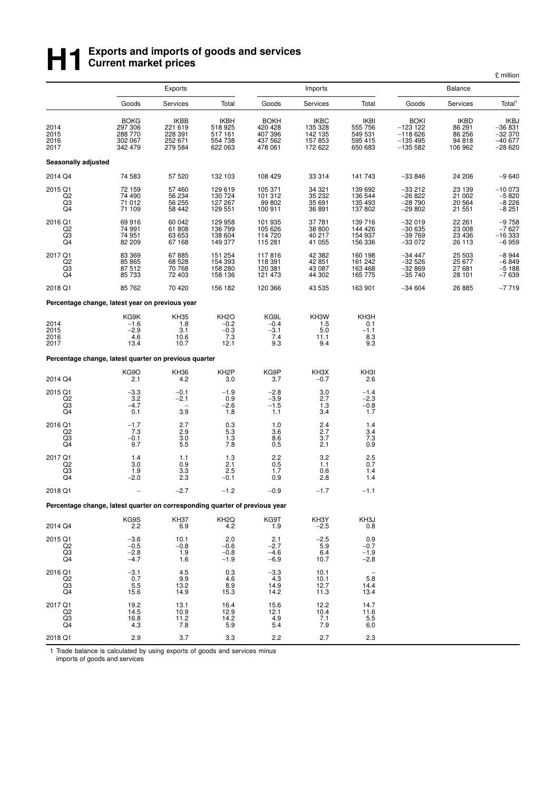## **H**<br>**H Exports and imports of goods and services**<br> **H Exports and imports of goods and services Current market prices**

|                                                                             |                                                         |                                                         |                                                      |                                                         |                                                         |                                                           |                                                                 |                                                      | £ million                                            |
|-----------------------------------------------------------------------------|---------------------------------------------------------|---------------------------------------------------------|------------------------------------------------------|---------------------------------------------------------|---------------------------------------------------------|-----------------------------------------------------------|-----------------------------------------------------------------|------------------------------------------------------|------------------------------------------------------|
|                                                                             |                                                         | Exports                                                 |                                                      |                                                         | Imports                                                 |                                                           |                                                                 | <b>Balance</b>                                       |                                                      |
|                                                                             | Goods                                                   | Services                                                | Total                                                | Goods                                                   | Services                                                | Total                                                     | Goods                                                           | Services                                             | Total <sup>1</sup>                                   |
| 2014<br>2015<br>2016<br>2017                                                | <b>BOKG</b><br>297 306<br>288 770<br>302 067<br>342 479 | <b>IKBB</b><br>221 619<br>228 391<br>252 671<br>279 584 | IKBH<br>518 925<br>517 161<br>554 738<br>622 063     | <b>BOKH</b><br>420 428<br>407 396<br>437 562<br>478 061 | <b>IKBC</b><br>135 328<br>142 135<br>157 853<br>172 622 | IKBI<br>555 756<br>549 531<br>595 415<br>650 683          | <b>BOKI</b><br>$-123122$<br>$-118626$<br>$-135495$<br>$-135582$ | <b>IKBD</b><br>86 291<br>86 256<br>94 818<br>106 962 | IKBJ<br>$-36831$<br>$-32370$<br>$-40677$<br>$-28620$ |
| Seasonally adjusted                                                         |                                                         |                                                         |                                                      |                                                         |                                                         |                                                           |                                                                 |                                                      |                                                      |
| 2014 Q4                                                                     | 74 583                                                  | 57 520                                                  | 132 103                                              | 108 429                                                 | 33 314                                                  | 141 743                                                   | $-33846$                                                        | 24 206                                               | $-9640$                                              |
| 2015 Q1<br>Q <sub>2</sub><br>Q3<br>Q4                                       | 72 159<br>74 490<br>71 012<br>71 109                    | 57 460<br>56 234<br>56 255<br>58 442                    | 129 619<br>130 724<br>127 267<br>129 551             | 105 371<br>101 312<br>99 802<br>100 911                 | 34 321<br>35 232<br>35 691<br>36 891                    | 139 692<br>136 544<br>135 493<br>137 802                  | -33 212<br>$-26822$<br>$-28790$<br>$-29802$                     | 23 139<br>21 002<br>20 564<br>21 551                 | $-10073$<br>$-5820$<br>$-8226$<br>$-8251$            |
| 2016 Q1<br>Q2<br>Q3<br>Q4                                                   | 69 916<br>74 991<br>74 951<br>82 209                    | 60 042<br>61 808<br>63 653<br>67 168                    | 129 958<br>136 799<br>138 604<br>149 377             | 101 935<br>105 626<br>114 720<br>115 281                | 37 781<br>38 800<br>40 217<br>41 055                    | 139 716<br>144 426<br>154 937<br>156 336                  | $-32019$<br>$-30635$<br>-39 769<br>$-33072$                     | 22 261<br>23 008<br>23 4 36<br>26 113                | $-9$ 758<br>$-7$ 627<br>$-16$ 333<br>$-6959$         |
| 2017 Q1<br>Q <sub>2</sub><br>$^{Q3}_{Q4}$                                   | 83 369<br>85 865<br>87 512<br>85 733                    | 67885<br>68 528<br>70 768<br>72 403                     | 151 254<br>154 393<br>158 280<br>158 136             | 117816<br>118 391<br>120 381<br>121 473                 | 42 382<br>42 851<br>43 087<br>44 302                    | 160 198<br>161 242<br>163 468<br>165 775                  | $-34447$<br>$-32526$<br>-32 869<br>$-35740$                     | 25 503<br>25 677<br>27 681<br>28 101                 | $-8944$<br>$-6849$<br>$-5188$<br>$-7639$             |
| 2018 Q1                                                                     | 85 762                                                  | 70 420                                                  | 156 182                                              | 120 366                                                 | 43 535                                                  | 163 901                                                   | $-34604$                                                        | 26 885                                               | $-7719$                                              |
| Percentage change, latest year on previous year                             |                                                         |                                                         |                                                      |                                                         |                                                         |                                                           |                                                                 |                                                      |                                                      |
| 2014<br>2015<br>2016<br>2017                                                | KG9K<br>$-1.6$<br>$-2.9$<br>4.6<br>13.4                 | KH35<br>1.8<br>3.1<br>10.6<br>10.7                      | KH <sub>2</sub> O<br>$-0.2$<br>$-0.3$<br>7.3<br>12.1 | KG9L<br>$-0.4$<br>$-3.1$<br>7.4<br>9.3                  | KH3W<br>1.5<br>5.0<br>11.1<br>9.4                       | KH3H<br>0.1<br>$-1.1$<br>8.3<br>9.3                       |                                                                 |                                                      |                                                      |
| Percentage change, latest quarter on previous quarter                       |                                                         |                                                         |                                                      |                                                         |                                                         |                                                           |                                                                 |                                                      |                                                      |
| 2014 Q4                                                                     | KG9O<br>2.1                                             | KH36<br>4.2                                             | KH <sub>2</sub> P<br>3.0                             | KG9P<br>3.7                                             | KH3X<br>$-0.7$                                          | KH3I<br>2.6                                               |                                                                 |                                                      |                                                      |
| 2015 Q1<br>Q <sub>2</sub><br>Q3<br>Q4                                       | $-3.3$<br>3.2<br>$-4.7$<br>0.1                          | $-0.1$<br>$-2.1$<br>3.9                                 | $-1.9$<br>0.9<br>$-2.6$<br>1.8                       | $-2.8$<br>$-3.9$<br>$-1.5$<br>1.1                       | 3.0<br>2.7<br>1.3<br>3.4                                | $-1.4$<br>$-2.3$<br>$-0.8$<br>1.7                         |                                                                 |                                                      |                                                      |
| 2016 Q1<br>Q <sub>2</sub><br>$^{Q3}_{Q4}$                                   | $-1.7$<br>7.3<br>$-0.1$<br>9.7                          | 2.7<br>2.9<br>3.0<br>5.5                                | 0.3<br>5.3<br>$\frac{1.3}{7.8}$                      | 1.0<br>3.6<br>8.6<br>0.5                                | 2.4<br>2.7<br>$\frac{3.7}{2.1}$                         | 1.4<br>3.4<br>${}^{7.3}_{0.9}$                            |                                                                 |                                                      |                                                      |
| 2017 Q1<br>Q <sub>2</sub><br>Q3<br>Q <sub>4</sub>                           | 1.4<br>3.0<br>1.9<br>$-2.0$                             | 1.1<br>0.9<br>3.3<br>2.3                                | $\frac{1.3}{2.1}$<br>2.5<br>$-0.1$                   | $^{2.2}_{0.5}$<br>1.7<br>0.9                            | $3.2$<br>$1.1$<br>0.6<br>2.8                            | $^{2.5}_{0.7}$<br>1.4<br>1.4                              |                                                                 |                                                      |                                                      |
| 2018 Q1                                                                     |                                                         | $-2.7$                                                  | $-1.2$                                               | $-0.9$                                                  | $-1.7$                                                  | $-1.1$                                                    |                                                                 |                                                      |                                                      |
| Percentage change, latest quarter on corresponding quarter of previous year |                                                         |                                                         |                                                      |                                                         |                                                         |                                                           |                                                                 |                                                      |                                                      |
| 2014 Q4                                                                     | KG9S<br>2.2                                             | KH <sub>37</sub><br>6.9                                 | KH <sub>2</sub> Q<br>$\overline{4.2}$                | KG9T<br>1.9                                             | $KH3Y$ <sup>-2.5</sup>                                  | KH3J<br>0.8                                               |                                                                 |                                                      |                                                      |
| 2015 Q1<br>Q2<br>Q3<br>Q4                                                   | $-3.6$<br>$-0.5$<br>$-2.8$<br>$-4.7$                    | 10.1<br>$-0.8$<br>1.9<br>1.6                            | $^{2.0}_{-0.6}$<br>$-0.8$<br>$-1.9$                  | $^{2.1}_{-2.7}$<br>$-4.6$<br>$-6.9$                     | $-2.5$<br>5.9<br>6.4<br>10.7                            | $0.9 - 0.7$<br>$-1.9$<br>$-2.8$                           |                                                                 |                                                      |                                                      |
| 2016 Q1<br>$^{Q2}_{Q3}$<br>Q4                                               | $-3.1$<br>0.7<br>5.5<br>15.6                            | 4.5<br>$\frac{9.9}{13.2}$<br>14.9                       | 0.3<br>4.6<br>8.9<br>15.3                            | $-3.3$<br>$4.3$<br>14.9<br>14.2                         | 10.1<br>$10.1$<br>12.7<br>11.3                          | $\qquad \qquad -$<br>5.8<br>14.4<br>13.4                  |                                                                 |                                                      |                                                      |
| 2017 Q1<br>Q <sub>2</sub><br>$^{Q3}_{Q4}$                                   | 19.2<br>14.5<br>$16.8$<br>4.3                           | 13.1<br>10.9<br>$\frac{11.2}{7.8}$                      | 16.4<br>12.9<br>$14.2$<br>5.9                        | 15.6<br>12.1<br>$\frac{4.9}{5.4}$                       | 12.2<br>10.4<br>$\frac{7.1}{7.9}$                       | 14.7<br>11.6<br>$\begin{array}{c} 5.5 \\ 6.0 \end{array}$ |                                                                 |                                                      |                                                      |
| 2018 Q1                                                                     | 2.9                                                     | 3.7                                                     | 3.3                                                  | 2.2                                                     | 2.7                                                     | 2.3                                                       |                                                                 |                                                      |                                                      |

1 Trade balance is calculated by using exports of goods and services minus imports of goods and services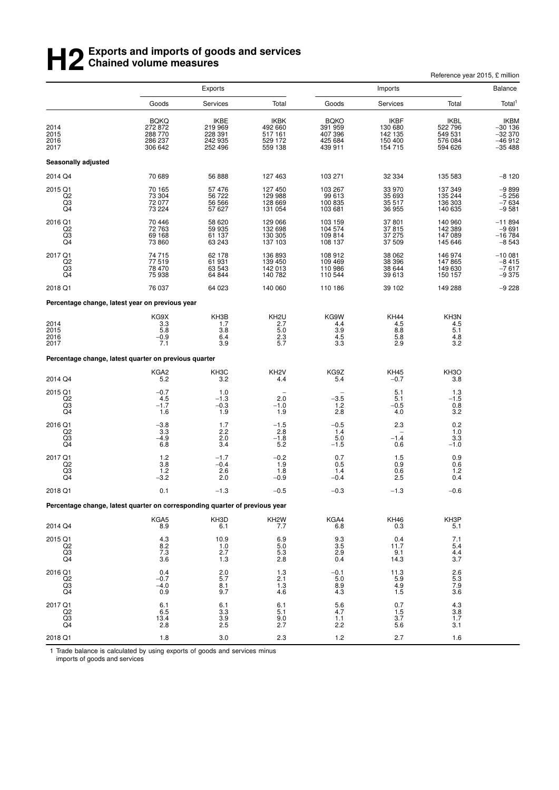## **H2** Exports and imports of goods and services<br> **H2** Chained volume measures **Chained volume measures**

|                                  |                                                                             |                                                  |                                                     | Reference year 2015, £ million                          |                                                         |                                                  |                                                              |  |  |
|----------------------------------|-----------------------------------------------------------------------------|--------------------------------------------------|-----------------------------------------------------|---------------------------------------------------------|---------------------------------------------------------|--------------------------------------------------|--------------------------------------------------------------|--|--|
|                                  |                                                                             | Exports                                          |                                                     |                                                         | Imports                                                 |                                                  | Balance                                                      |  |  |
|                                  | Goods                                                                       | Services                                         | Total                                               | Goods                                                   | Services                                                | Total                                            | Total <sup>1</sup>                                           |  |  |
| 2014<br>2015<br>2016<br>2017     | <b>BOKO</b><br>272 872<br>288 770<br>286 237<br>306 642                     | IKBE<br>219 969<br>228 391<br>242 935<br>252 496 | IKBK<br>492 660<br>517 161<br>529 172<br>559 138    | <b>BOKO</b><br>391 959<br>407 396<br>425 684<br>439 911 | <b>IKBF</b><br>130 680<br>142 135<br>150 400<br>154 715 | IKBL<br>522 796<br>549 531<br>576 084<br>594 626 | <b>IKBM</b><br>$-30$ 136<br>$-32370$<br>$-46912$<br>$-35488$ |  |  |
| Seasonally adjusted              |                                                                             |                                                  |                                                     |                                                         |                                                         |                                                  |                                                              |  |  |
| 2014 Q4                          | 70 689                                                                      | 56 888                                           | 127 463                                             | 103 271                                                 | 32 334                                                  | 135 583                                          | $-8120$                                                      |  |  |
| 2015 Q1<br>Q2<br>Q3<br>Q4        | 70 165<br>73 304<br>72 077<br>73 224                                        | 57 476<br>56 722<br>56 566<br>57 627             | 127 450<br>129 988<br>128 669<br>131 054            | 103 267<br>99 613<br>100 835<br>103 681                 | 33 970<br>35 693<br>35 517<br>36 955                    | 137 349<br>135 244<br>136 303<br>140 635         | $-9899$<br>$-5256$<br>$-7634$<br>$-9581$                     |  |  |
| 2016 Q1<br>Q2<br>Q3<br>Q4        | 70 446<br>72 763<br>69 168<br>73 860                                        | 58 620<br>59 935<br>61 137<br>63 243             | 129 066<br>132 698<br>130 305<br>137 103            | 103 159<br>104 574<br>109 814<br>108 137                | 37801<br>37815<br>37 275<br>37 509                      | 140 960<br>142 389<br>147 089<br>145 646         | $-11894$<br>$-9691$<br>$-16784$<br>$-8543$                   |  |  |
| 2017 Q1<br>Q2<br>$^{Q3}_{Q4}$    | 74 715<br>77519<br>78 470<br>75 938                                         | 62 178<br>61 931<br>63 543<br>64 844             | 136 893<br>139 450<br>142 013<br>140 782            | 108 912<br>109 469<br>110 986<br>110 544                | 38 062<br>38 396<br>38 644<br>39 613                    | 146 974<br>147 865<br>149 630<br>150 157         | $-100081$<br>$-8415$<br>$-7617$<br>$-9375$                   |  |  |
| 2018 Q1                          | 76 037                                                                      | 64 023                                           | 140 060                                             | 110 186                                                 | 39 102                                                  | 149 288                                          | $-9228$                                                      |  |  |
|                                  | Percentage change, latest year on previous year                             |                                                  |                                                     |                                                         |                                                         |                                                  |                                                              |  |  |
| 2014<br>2015<br>2016<br>2017     | KG9X<br>3.3<br>5.8<br>$-0.9$<br>7.1                                         | KH3B<br>1.7<br>3.8<br>6.4<br>3.9                 | KH <sub>2U</sub><br>$\frac{2.7}{5.0}$<br>2.3<br>5.7 | KG9W<br>4.4<br>3.9<br>4.5<br>3.3                        | <b>KH44</b><br>4.5<br>8.8<br>5.8<br>2.9                 | KH3N<br>4.5<br>5.1<br>4.8<br>3.2                 |                                                              |  |  |
|                                  | Percentage change, latest quarter on previous quarter                       |                                                  |                                                     |                                                         |                                                         |                                                  |                                                              |  |  |
| 2014 Q4                          | KGA2<br>5.2                                                                 | KH3C<br>3.2                                      | KH <sub>2</sub> V<br>4.4                            | KG9Z<br>5.4                                             | KH45<br>$-0.7$                                          | KH <sub>3</sub> O<br>3.8                         |                                                              |  |  |
| 2015 Q1<br>Q2<br>Q3<br>Q4        | $-0.7$<br>4.5<br>$-1.7$<br>1.6                                              | 1.0<br>$-1.3$<br>$-0.3$<br>1.9                   | 2.0<br>$-1.0$<br>1.9                                | $-3.5$<br>1.2<br>2.8                                    | 5.1<br>5.1<br>$-0.5$<br>4.0                             | 1.3<br>$-1.5$<br>0.8<br>3.2                      |                                                              |  |  |
| 2016 Q1<br>Q2<br>$^{Q3}_{Q4}$    | $-3.8$<br>3.3<br>$-4.9$<br>6.8                                              | 1.7<br>2.2<br>2.0<br>3.4                         | $-1.5$<br>2.8<br>$-1.8$<br>5.2                      | $-0.5$<br>1.4<br>5.0<br>$-1.5$                          | 2.3<br>$-1.4$<br>0.6                                    | 0.2<br>1.0<br>3.3<br>$-1.0$                      |                                                              |  |  |
| 2017 Q1<br>Q2<br>$\frac{Q3}{Q4}$ | 1.2<br>3.8<br>1.2<br>$-3.2$                                                 | $-1.7$<br>$-0.4$<br>2.6<br>2.0                   | $-0.2$<br>1.9<br>1.8<br>$-0.9$                      | 0.7<br>0.5<br>1.4<br>$-0.4$                             | 1.5<br>$0.9$<br>$0.6$<br>2.5                            | 0.9<br>0.6<br>1.2<br>0.4                         |                                                              |  |  |
| 2018 Q1                          | 0.1                                                                         | $-1.3$                                           | $-0.5$                                              | $-0.3$                                                  | $-1.3$                                                  | $-0.6$                                           |                                                              |  |  |
|                                  | Percentage change, latest quarter on corresponding quarter of previous year |                                                  |                                                     |                                                         |                                                         |                                                  |                                                              |  |  |
| 2014 Q4                          | KGA5<br>8.9                                                                 | KH3D<br>6.1                                      | KH <sub>2</sub> W<br>7.7                            | KGA4<br>6.8                                             | <b>KH46</b><br>0.3                                      | KH3P<br>5.1                                      |                                                              |  |  |
| 2015 Q1<br>Q2<br>Q3<br>Q4        | 4.3<br>8.2<br>7.3<br>3.6                                                    | 10.9<br>1.0<br>2.7<br>1.3                        | 6.9<br>5.0<br>5.3<br>2.8                            | $\frac{9.3}{3.5}$<br>2.9<br>0.4                         | 0.4<br>11.7<br>9.1<br>14.3                              | 7.1<br>5.4<br>4.4<br>3.7                         |                                                              |  |  |
| 2016 Q1<br>Q2<br>Q3<br>Q4        | 0.4<br>$-0.7$<br>$-4.0$<br>0.9                                              | 2.0<br>5.7<br>8.1<br>9.7                         | 1.3<br>2.1<br>1.3<br>4.6                            | $-0.1$<br>5.0<br>8.9<br>4.3                             | 11.3<br>$\frac{5.9}{4.9}$<br>1.5                        | 2.6<br>$\frac{5.3}{7.9}$<br>3.6                  |                                                              |  |  |
| 2017 Q1<br>Q2<br>$^{Q3}_{Q4}$    | 6.1<br>6.5<br>13.4<br>2.8                                                   | 6.1<br>3.3<br>$\frac{3.9}{2.5}$                  | 6.1<br>5.1<br>9.0<br>2.7                            | 5.6<br>4.7<br>1.1<br>2.2                                | 0.7<br>1.5<br>3.7<br>5.6                                | 4.3<br>3.8<br>1.7<br>3.1                         |                                                              |  |  |
| 2018 Q1                          | 1.8                                                                         | 3.0                                              | 2.3                                                 | 1.2                                                     | 2.7                                                     | 1.6                                              |                                                              |  |  |

1 Trade balance is calculated by using exports of goods and services minus imports of goods and services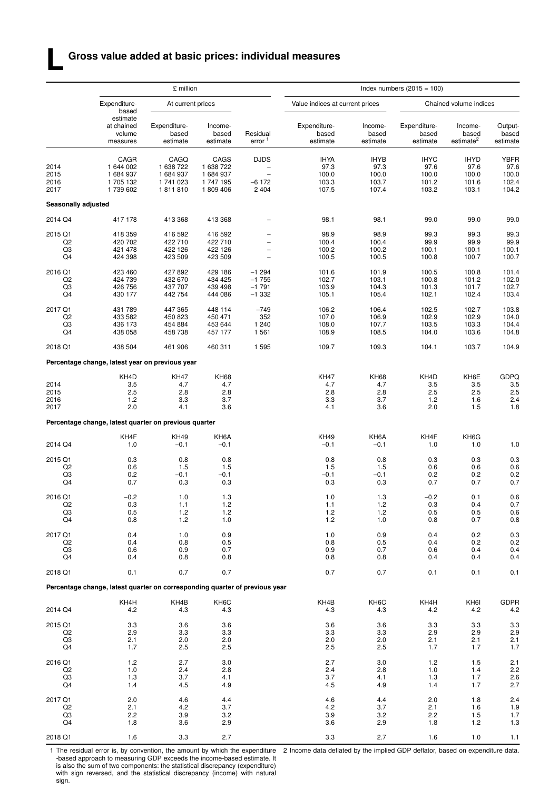### **Gross value added at basic prices: individual measures**

**L**

|                     |                                                                             | £ million                         |                              |                                | Index numbers $(2015 = 100)$      |                              |                                   |                                           |                              |  |  |
|---------------------|-----------------------------------------------------------------------------|-----------------------------------|------------------------------|--------------------------------|-----------------------------------|------------------------------|-----------------------------------|-------------------------------------------|------------------------------|--|--|
|                     | Expenditure-<br>based                                                       | At current prices                 |                              |                                | Value indices at current prices   |                              |                                   | Chained volume indices                    |                              |  |  |
|                     | estimate<br>at chained<br>volume<br>measures                                | Expenditure-<br>based<br>estimate | Income-<br>based<br>estimate | Residual<br>error <sup>1</sup> | Expenditure-<br>based<br>estimate | Income-<br>based<br>estimate | Expenditure-<br>based<br>estimate | Income-<br>based<br>estimate <sup>2</sup> | Output-<br>based<br>estimate |  |  |
|                     | CAGR                                                                        | CAGQ                              | CAGS                         | <b>DJDS</b>                    | <b>IHYA</b>                       | <b>IHYB</b>                  | <b>IHYC</b>                       | <b>IHYD</b>                               | <b>YBFR</b>                  |  |  |
| 2014                | 1 644 002                                                                   | 1 638 722                         | 1 638 722                    | $\overline{\phantom{a}}$       | 97.3                              | 97.3                         | 97.6                              | 97.6                                      | 97.6                         |  |  |
| 2015                | 1684937                                                                     | 1 684 937                         | 1 684 937                    | $\qquad \qquad -$              | 100.0                             | 100.0                        | 100.0                             | 100.0                                     | 100.0                        |  |  |
| 2016                | 1705132                                                                     | 1 741 023                         | 1 747 195                    | $-6172$                        | 103.3                             | 103.7                        | 101.2                             | 101.6                                     | 102.4                        |  |  |
| 2017                | 1739 602                                                                    | 1811810                           | 1809406                      | 2 4 0 4                        | 107.5                             | 107.4                        | 103.2                             | 103.1                                     | 104.2                        |  |  |
| Seasonally adjusted |                                                                             |                                   |                              |                                |                                   |                              |                                   |                                           |                              |  |  |
| 2014 Q4             | 417178                                                                      | 413 368                           | 413 368                      |                                | 98.1                              | 98.1                         | 99.0                              | 99.0                                      | 99.0                         |  |  |
| 2015 Q1             | 418 359                                                                     | 416 592                           | 416 592                      |                                | 98.9                              | 98.9                         | 99.3                              | 99.3                                      | 99.3                         |  |  |
| Q2                  | 420 702                                                                     | 422 710                           | 422 710                      |                                | 100.4                             | 100.4                        | 99.9                              | 99.9                                      | 99.9                         |  |  |
| Q3                  | 421 478                                                                     | 422 126                           | 422 126                      | $\overline{\phantom{a}}$       | 100.2                             | 100.2                        | 100.1                             | 100.1                                     | 100.1                        |  |  |
| Q4                  | 424 398                                                                     | 423 509                           | 423 509                      | $\overline{a}$                 | 100.5                             | 100.5                        | 100.8                             | 100.7                                     | 100.7                        |  |  |
| 2016 Q1             | 423 460                                                                     | 427 892                           | 429 186                      | $-1294$                        | 101.6                             | 101.9                        | 100.5                             | 100.8                                     | 101.4                        |  |  |
| Q2                  | 424 739                                                                     | 432 670                           | 434 425                      | $-1755$                        | 102.7                             | 103.1                        | 100.8                             | 101.2                                     | 102.0                        |  |  |
| Q3                  | 426 756                                                                     | 437 707                           | 439 498                      | $-1791$                        | 103.9                             | 104.3                        | 101.3                             | 101.7                                     | 102.7                        |  |  |
| Q4                  | 430 177                                                                     | 442 754                           | 444 086                      | $-1332$                        | 105.1                             | 105.4                        | 102.1                             | 102.4                                     | 103.4                        |  |  |
| 2017 Q1             | 431 789                                                                     | 447 365                           | 448 114                      | $-749$                         | 106.2                             | 106.4                        | 102.5                             | 102.7                                     | 103.8                        |  |  |
| Q2                  | 433 582                                                                     | 450 823                           | 450 471                      | 352                            | 107.0                             | 106.9                        | 102.9                             | 102.9                                     | 104.0                        |  |  |
| Q3                  | 436 173                                                                     | 454 884                           | 453 644                      | 1 2 4 0                        | 108.0                             | 107.7                        | 103.5                             | 103.3                                     | 104.4                        |  |  |
| Q4                  | 438 058                                                                     | 458 738                           | 457 177                      | 1561                           | 108.9                             | 108.5                        | 104.0                             | 103.6                                     | 104.8                        |  |  |
|                     |                                                                             |                                   |                              |                                |                                   |                              |                                   |                                           |                              |  |  |
| 2018 Q1             | 438 504                                                                     | 461 906                           | 460 311                      | 1595                           | 109.7                             | 109.3                        | 104.1                             | 103.7                                     | 104.9                        |  |  |
|                     | Percentage change, latest year on previous year                             |                                   |                              |                                |                                   |                              |                                   |                                           |                              |  |  |
|                     | KH4D                                                                        | <b>KH47</b>                       | <b>KH68</b>                  |                                | <b>KH47</b>                       | <b>KH68</b>                  | KH4D                              | KH6E                                      | <b>GDPQ</b>                  |  |  |
| 2014                | 3.5                                                                         | 4.7                               | 4.7                          |                                | 4.7                               | 4.7                          | 3.5                               | 3.5                                       | 3.5                          |  |  |
| 2015                | 2.5                                                                         | 2.8                               | 2.8                          |                                | 2.8                               | 2.8                          | 2.5                               | 2.5                                       | 2.5                          |  |  |
| 2016                | 1.2                                                                         | 3.3                               | 3.7                          |                                | 3.3<br>4.1                        | 3.7                          | 1.2                               | 1.6                                       | 2.4                          |  |  |
| 2017                | 2.0                                                                         | 4.1                               | 3.6                          |                                |                                   | 3.6                          | 2.0                               | 1.5                                       | 1.8                          |  |  |
|                     | Percentage change, latest quarter on previous quarter                       |                                   |                              |                                |                                   |                              |                                   |                                           |                              |  |  |
| 2014 Q4             | KH4F<br>1.0                                                                 | <b>KH49</b><br>$-0.1$             | KH6A<br>$-0.1$               |                                | <b>KH49</b><br>$-0.1$             | KH6A<br>$-0.1$               | KH4F<br>1.0                       | KH6G<br>1.0                               | 1.0                          |  |  |
|                     |                                                                             |                                   |                              |                                |                                   |                              |                                   |                                           |                              |  |  |
| 2015 Q1             | 0.3                                                                         | 0.8                               | 0.8                          |                                | 0.8                               | 0.8                          | 0.3                               | 0.3                                       | 0.3                          |  |  |
| Q2                  | 0.6                                                                         | 1.5                               | 1.5                          |                                | 1.5                               | 1.5                          | 0.6                               | 0.6                                       | 0.6                          |  |  |
| Q3                  | 0.2                                                                         | $-0.1$                            | $-0.1$                       |                                | $-0.1$                            | $-0.1$                       | 0.2                               | 0.2                                       | 0.2                          |  |  |
| Q4                  | 0.7                                                                         | 0.3                               | 0.3                          |                                | 0.3                               | 0.3                          | 0.7                               | 0.7                                       | 0.7                          |  |  |
| 2016 Q1             | $-0.2$                                                                      | 1.0                               | 1.3                          |                                | 1.0                               | 1.3                          | $-0.2$                            | 0.1                                       | 0.6                          |  |  |
| Q2                  | 0.3                                                                         | 1.1                               | 1.2                          |                                | 1.1                               | 1.2                          | 0.3                               | 0.4                                       | 0.7                          |  |  |
| Q3                  | 0.5                                                                         | 1.2                               | 1.2                          |                                | 1.2                               | 1.2                          | 0.5                               | 0.5                                       | 0.6                          |  |  |
| Q4                  | 0.8                                                                         | 1.2                               | 1.0                          |                                | 1.2                               | 1.0                          | 0.8                               | 0.7                                       | 0.8                          |  |  |
|                     |                                                                             |                                   |                              |                                |                                   |                              |                                   |                                           |                              |  |  |
| 2017 Q1             | 0.4                                                                         | 1.0                               | 0.9                          |                                | 1.0                               | 0.9                          | 0.4                               | 0.2                                       | 0.3                          |  |  |
| Q2<br>Q3            | 0.4<br>0.6                                                                  | 0.8<br>0.9                        | 0.5<br>0.7                   |                                | 0.8<br>0.9                        | 0.5<br>0.7                   | 0.4<br>0.6                        | 0.2<br>0.4                                | 0.2<br>0.4                   |  |  |
| Q4                  | 0.4                                                                         | 0.8                               | 0.8                          |                                | 0.8                               | 0.8                          | 0.4                               | 0.4                                       | 0.4                          |  |  |
|                     |                                                                             |                                   |                              |                                |                                   |                              |                                   |                                           |                              |  |  |
| 2018 Q1             | 0.1                                                                         | 0.7                               | 0.7                          |                                | 0.7                               | 0.7                          | 0.1                               | 0.1                                       | 0.1                          |  |  |
|                     | Percentage change, latest quarter on corresponding quarter of previous year |                                   |                              |                                |                                   |                              |                                   |                                           |                              |  |  |
| 2014 Q4             | KH4H<br>4.2                                                                 | KH4B<br>4.3                       | KH <sub>6</sub> C<br>4.3     |                                | KH4B<br>4.3                       | KH6C<br>4.3                  | KH4H<br>4.2                       | KH <sub>6</sub><br>4.2                    | <b>GDPR</b><br>4.2           |  |  |
|                     |                                                                             |                                   |                              |                                |                                   |                              |                                   |                                           |                              |  |  |
| 2015 Q1<br>Q2       | 3.3<br>2.9                                                                  | 3.6<br>3.3                        | 3.6<br>3.3                   |                                | 3.6<br>3.3                        | 3.6<br>3.3                   | 3.3<br>2.9                        | 3.3<br>2.9                                | 3.3<br>2.9                   |  |  |
| Q3                  | 2.1                                                                         | 2.0                               | 2.0                          |                                | 2.0                               | 2.0                          | 2.1                               | 2.1                                       | 2.1                          |  |  |
| Q4                  | 1.7                                                                         | 2.5                               | 2.5                          |                                | 2.5                               | 2.5                          | 1.7                               | 1.7                                       | 1.7                          |  |  |
| 2016 Q1             | 1.2                                                                         | 2.7                               | 3.0                          |                                | 2.7                               | 3.0                          | 1.2                               | 1.5                                       | 2.1                          |  |  |
| Q2                  | 1.0                                                                         | 2.4                               | 2.8                          |                                | 2.4                               | 2.8                          | $1.0$                             | 1.4                                       | 2.2                          |  |  |
| Q3                  | 1.3                                                                         | 3.7                               | 4.1                          |                                | 3.7                               | 4.1                          | 1.3                               | 1.7                                       | 2.6                          |  |  |
| Q4                  | 1.4                                                                         | 4.5                               | 4.9                          |                                | 4.5                               | 4.9                          | 1.4                               | 1.7                                       | 2.7                          |  |  |
|                     |                                                                             |                                   |                              |                                |                                   |                              |                                   |                                           |                              |  |  |
| 2017 Q1<br>Q2       | 2.0<br>2.1                                                                  | 4.6<br>4.2                        | 4.4<br>3.7                   |                                | 4.6<br>4.2                        | 4.4<br>3.7                   | 2.0<br>2.1                        | 1.8<br>1.6                                | 2.4<br>1.9                   |  |  |
| Q3                  | 2.2                                                                         | 3.9                               | 3.2                          |                                | 3.9                               | 3.2                          | 2.2                               | 1.5                                       | 1.7                          |  |  |
| Q4                  | 1.8                                                                         | 3.6                               | 2.9                          |                                | 3.6                               | 2.9                          | 1.8                               | 1.2                                       | 1.3                          |  |  |
|                     |                                                                             |                                   |                              |                                |                                   |                              |                                   |                                           |                              |  |  |
| 2018 Q1             | 1.6                                                                         | 3.3                               | 2.7                          |                                | 3.3                               | 2.7                          | 1.6                               | 1.0                                       | 1.1                          |  |  |

1 The residual error is, by convention, the amount by which the expenditure -based approach to measuring GDP exceeds the income-based estimate. It is also the sum of two components: the statistical discrepancy (expenditure) with sign reversed, and the statistical discrepancy (income) with natural sign.

2 Income data deflated by the implied GDP deflator, based on expenditure data.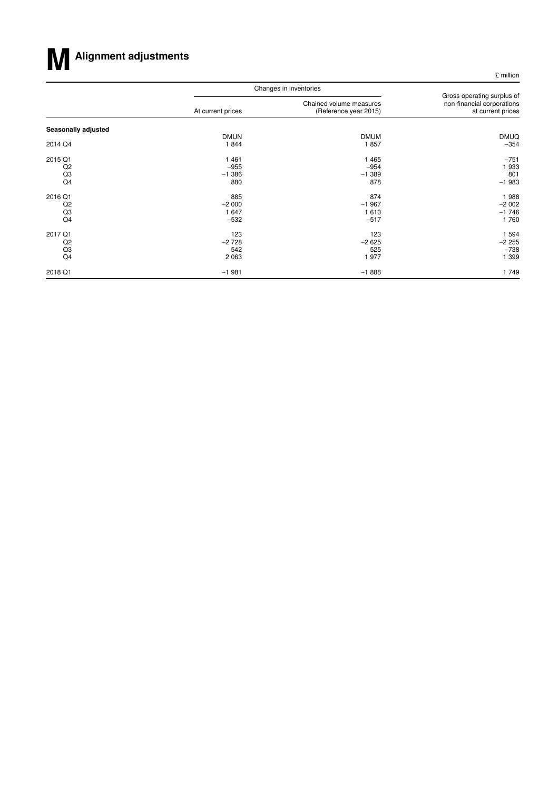# **MAlignment adjustments**

£ million

|                     |                   | Changes in inventories                           |                                                                               |  |
|---------------------|-------------------|--------------------------------------------------|-------------------------------------------------------------------------------|--|
|                     | At current prices | Chained volume measures<br>(Reference year 2015) | Gross operating surplus of<br>non-financial corporations<br>at current prices |  |
| Seasonally adjusted |                   |                                                  |                                                                               |  |
|                     | <b>DMUN</b>       | <b>DMUM</b>                                      | <b>DMUQ</b>                                                                   |  |
| 2014 Q4             | 1844              | 1857                                             | $-354$                                                                        |  |
| 2015 Q1             | 1461              | 1 4 6 5                                          | $-751$                                                                        |  |
| Q2                  | $-955$            | $-954$                                           | 1933                                                                          |  |
| Q3                  | $-1.386$          | $-1.389$                                         | 801                                                                           |  |
| Q4                  | 880               | 878                                              | $-1983$                                                                       |  |
| 2016 Q1             | 885               | 874                                              | 1988                                                                          |  |
| Q2                  | $-2000$           | $-1967$                                          | $-2002$                                                                       |  |
| Q3                  | 1647              | 1610                                             | $-1746$                                                                       |  |
| Q4                  | $-532$            | $-517$                                           | 1760                                                                          |  |
| 2017 Q1             | 123               | 123                                              | 1 5 9 4                                                                       |  |
| Q <sub>2</sub>      | $-2728$           | $-2625$                                          | $-2255$                                                                       |  |
| Q3                  | 542               | 525                                              | $-738$                                                                        |  |
| Q4                  | 2 0 6 3           | 1977                                             | 1 3 9 9                                                                       |  |
| 2018 Q1             | $-1981$           | $-1888$                                          | 1749                                                                          |  |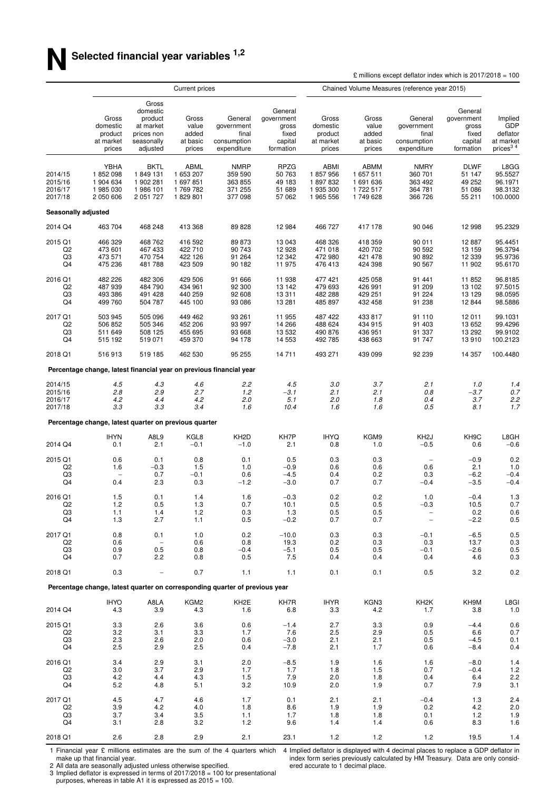|                                                   |                                                       |                                                                                   | <b>Current prices</b>                                |                                                                             |                                                                 | Chained Volume Measures (reference year 2015)        |                                                       |                                                              |                                                                 |                                                                 |
|---------------------------------------------------|-------------------------------------------------------|-----------------------------------------------------------------------------------|------------------------------------------------------|-----------------------------------------------------------------------------|-----------------------------------------------------------------|------------------------------------------------------|-------------------------------------------------------|--------------------------------------------------------------|-----------------------------------------------------------------|-----------------------------------------------------------------|
|                                                   | Gross<br>domestic<br>product<br>at market<br>prices   | Gross<br>domestic<br>product<br>at market<br>prices non<br>seasonally<br>adjusted | Gross<br>value<br>added<br>at basic<br>prices        | General<br>government<br>final<br>consumption<br>expenditure                | General<br>government<br>gross<br>fixed<br>capital<br>formation | Gross<br>domestic<br>product<br>at market<br>prices  | Gross<br>value<br>added<br>at basic<br>prices         | General<br>government<br>final<br>consumption<br>expenditure | General<br>government<br>gross<br>fixed<br>capital<br>formation | Implied<br>GDP<br>deflator<br>at market<br>prices <sup>34</sup> |
| 2014/15<br>2015/16<br>2016/17<br>2017/18          | YBHA<br>1852098<br>1 904 634<br>1985030<br>2 050 606  | <b>BKTL</b><br>1849131<br>1 902 281<br>1986 101<br>2 051 727                      | ABML<br>1 653 207<br>1 697 851<br>1769782<br>1829801 | <b>NMRP</b><br>359 590<br>363 855<br>371 255<br>377 098                     | RPZG<br>50 763<br>49 183<br>51 689<br>57 062                    | ABMI<br>1857956<br>1897832<br>1 935 300<br>1 965 556 | ABMM<br>1 657 511<br>1 691 636<br>1722 517<br>1749628 | <b>NMRY</b><br>360 701<br>363 492<br>364 781<br>366 726      | <b>DLWF</b><br>51 147<br>49 252<br>51 086<br>55 211             | L8GG<br>95.5527<br>96.1971<br>98.3132<br>100.0000               |
| Seasonally adjusted                               |                                                       |                                                                                   |                                                      |                                                                             |                                                                 |                                                      |                                                       |                                                              |                                                                 |                                                                 |
| 2014 Q4                                           | 463 704                                               | 468 248                                                                           | 413 368                                              | 89828                                                                       | 12 984                                                          | 466727                                               | 417 178                                               | 90 046                                                       | 12 998                                                          | 95.2329                                                         |
| 2015 Q1<br>Q <sub>2</sub><br>Q3<br>Q4             | 466 329<br>473 601<br>473 571<br>475 236              | 468 762<br>467 433<br>470 754<br>481788                                           | 416 592<br>422 710<br>422 126<br>423 509             | 89873<br>90 743<br>91 264<br>90 182                                         | 13 043<br>12 928<br>12 342<br>11 975                            | 468 326<br>471 018<br>472 980<br>476 413             | 418 359<br>420 702<br>421 478<br>424 398              | 90 011<br>90 592<br>90 892<br>90 567                         | 12 887<br>13 159<br>12 339<br>11 902                            | 95.4451<br>96.3794<br>95.9736<br>95.6170                        |
| 2016 Q1<br>Q <sub>2</sub><br>Q <sub>3</sub><br>Q4 | 482 226<br>487939<br>493 386<br>499 760               | 482 306<br>484 790<br>491 428<br>504 787                                          | 429 506<br>434 961<br>440 259<br>445 100             | 91 666<br>92 300<br>92 608<br>93 086                                        | 11 938<br>13 142<br>13 311<br>13 281                            | 477421<br>479 693<br>482 288<br>485 897              | 425 058<br>426 991<br>429 251<br>432 458              | 91 441<br>91 209<br>91 224<br>91 238                         | 11 852<br>13 102<br>13 129<br>12 844                            | 96.8185<br>97.5015<br>98.0595<br>98.5886                        |
| 2017 Q1<br>Q <sub>2</sub><br>Q3<br>Q <sub>4</sub> | 503 945<br>506 852<br>511 649<br>515 192              | 505 096<br>505 346<br>508 125<br>519 071                                          | 449 462<br>452 206<br>455 695<br>459 370             | 93 261<br>93 997<br>93 668<br>94 178                                        | 11 955<br>14 266<br>13 532<br>14 5 53                           | 487 422<br>488 624<br>490 876<br>492 785             | 433 817<br>434 915<br>436 951<br>438 663              | 91 110<br>91 403<br>91 337<br>91 747                         | 12 011<br>13 652<br>13 29 2<br>13910                            | 99.1031<br>99.4296<br>99.9102<br>100.2123                       |
| 2018 Q1                                           | 516913                                                | 519 185                                                                           | 462 530                                              | 95 255                                                                      | 14 711                                                          | 493 271                                              | 439 099                                               | 92 239                                                       | 14 357                                                          | 100.4480                                                        |
|                                                   |                                                       |                                                                                   |                                                      | Percentage change, latest financial year on previous financial year         |                                                                 |                                                      |                                                       |                                                              |                                                                 |                                                                 |
| 2014/15<br>2015/16<br>2016/17<br>2017/18          | 4.5<br>2.8<br>4.2<br>3.3                              | 4.3<br>2.9<br>4.4<br>3.3                                                          | 4.6<br>2.7<br>4.2<br>3.4                             | $2.2\,$<br>1.2<br>2.0<br>1.6                                                | 4.5<br>$-3.1$<br>5.1<br>10.4                                    | 3.0<br>2.1<br>2.0<br>1.6                             | 3.7<br>2.1<br>1.8<br>1.6                              | 2.1<br>0.8<br>0.4<br>0.5                                     | 1.0<br>$-3.7$<br>3.7<br>8.1                                     | 1.4<br>0.7<br>2.2<br>1.7                                        |
|                                                   | Percentage change, latest quarter on previous quarter |                                                                                   |                                                      |                                                                             |                                                                 |                                                      |                                                       |                                                              |                                                                 |                                                                 |
| 2014 Q4                                           | <b>IHYN</b><br>0.1                                    | A8L9<br>2.1                                                                       | KGL8<br>$-0.1$                                       | KH <sub>2</sub> D<br>$-1.0$                                                 | KH7P<br>2.1                                                     | <b>IHYQ</b><br>0.8                                   | KGM9<br>1.0                                           | KH <sub>2</sub> J<br>$-0.5$                                  | KH <sub>9</sub> C<br>0.6                                        | L8GH<br>$-0.6$                                                  |
| 2015 Q1<br>Q <sub>2</sub><br>Q3<br>Q4             | 0.6<br>1.6<br>0.4                                     | 0.1<br>$-0.3$<br>0.7<br>2.3                                                       | 0.8<br>1.5<br>$-0.1$<br>0.3                          | 0.1<br>1.0<br>0.6<br>$-1.2$                                                 | 0.5<br>$-0.9$<br>$-4.5$<br>$-3.0$                               | 0.3<br>0.6<br>0.4<br>0.7                             | 0.3<br>0.6<br>0.2<br>0.7                              | 0.6<br>0.3<br>$-0.4$                                         | $-0.9$<br>2.1<br>$-6.2$<br>$-3.5$                               | 0.2<br>1.0<br>$-0.4$<br>$-0.4$                                  |
| 2016 Q1<br>Q <sub>2</sub><br>Q <sub>3</sub><br>Q4 | 1.5<br>1.2<br>1.1<br>1.3                              | 0.1<br>0.5<br>1.4<br>2.7                                                          | 1.4<br>1.3<br>1.2<br>1.1                             | 1.6<br>0.7<br>0.3<br>0.5                                                    | $-0.3$<br>10.1<br>1.3<br>$-0.2$                                 | 0.2<br>0.5<br>0.5<br>0.7                             | 0.2<br>0.5<br>0.5<br>0.7                              | 1.0<br>$-0.3$                                                | $-0.4$<br>10.5<br>0.2<br>$-2.2$                                 | 1.3<br>0.7<br>0.6<br>0.5                                        |
| 2017 Q1<br>Q2<br>Q3<br>Q4                         | 0.8<br>0.6<br>0.9<br>0.7                              | 0.1<br>$\overline{\phantom{0}}$<br>0.5<br>2.2                                     | 1.0<br>0.6<br>0.8<br>0.8                             | 0.2<br>0.8<br>$-0.4$<br>0.5                                                 | $-10.0$<br>19.3<br>$-5.1$<br>7.5                                | 0.3<br>0.2<br>0.5<br>0.4                             | 0.3<br>0.3<br>0.5<br>0.4                              | $-0.1$<br>0.3<br>$-0.1$<br>0.4                               | $-6.5$<br>13.7<br>$-2.6$<br>4.6                                 | 0.5<br>0.3<br>0.5<br>0.3                                        |
| 2018 Q1                                           | 0.3                                                   | $\overline{\phantom{a}}$                                                          | 0.7                                                  | 1.1                                                                         | 1.1                                                             | 0.1                                                  | 0.1                                                   | 0.5                                                          | 3.2                                                             | 0.2                                                             |
|                                                   |                                                       |                                                                                   |                                                      | Percentage change, latest quarter on corresponding quarter of previous year |                                                                 |                                                      |                                                       |                                                              |                                                                 |                                                                 |
| 2014 Q4                                           | <b>IHYO</b><br>4.3                                    | A8LA<br>3.9                                                                       | KGM <sub>2</sub><br>4.3                              | KH <sub>2</sub> E<br>1.6                                                    | KH7R<br>6.8                                                     | <b>IHYR</b><br>3.3                                   | KGN <sub>3</sub><br>4.2                               | KH <sub>2</sub> K<br>1.7                                     | KH9M<br>3.8                                                     | L8GI<br>1.0                                                     |
| 2015 Q1<br>Q <sub>2</sub><br>Q3<br>Q4             | 3.3<br>3.2<br>2.3<br>2.5                              | 2.6<br>3.1<br>2.6<br>2.9                                                          | 3.6<br>3.3<br>2.0<br>2.5                             | 0.6<br>1.7<br>0.6<br>0.4                                                    | $-1.4$<br>7.6<br>$-3.0$<br>$-7.8$                               | 2.7<br>2.5<br>2.1<br>2.1                             | 3.3<br>2.9<br>2.1<br>1.7                              | 0.9<br>0.5<br>0.5<br>0.6                                     | $-4.4$<br>6.6<br>$-4.5$<br>$-8.4$                               | 0.6<br>0.7<br>0.1<br>0.4                                        |
| 2016 Q1<br>Q2<br>Q3<br>Q4                         | 3.4<br>3.0<br>4.2<br>5.2                              | 2.9<br>3.7<br>4.4<br>4.8                                                          | 3.1<br>2.9<br>4.3<br>5.1                             | 2.0<br>1.7<br>1.5<br>3.2                                                    | $-8.5$<br>1.7<br>7.9<br>10.9                                    | 1.9<br>1.8<br>2.0<br>2.0                             | 1.6<br>1.5<br>1.8<br>1.9                              | 1.6<br>0.7<br>0.4<br>0.7                                     | $-8.0$<br>$-0.4$<br>6.4<br>7.9                                  | 1.4<br>1.2<br>2.2<br>3.1                                        |
| 2017 Q1<br>Q <sub>2</sub><br>Q3<br>Q <sub>4</sub> | 4.5<br>3.9<br>3.7<br>3.1                              | 4.7<br>4.2<br>3.4<br>2.8                                                          | 4.6<br>4.0<br>3.5<br>3.2                             | 1.7<br>1.8<br>1.1<br>$1.2$                                                  | 0.1<br>8.6<br>1.7<br>9.6                                        | 2.1<br>1.9<br>1.8<br>1.4                             | 2.1<br>1.9<br>1.8<br>1.4                              | $-0.4$<br>0.2<br>0.1<br>0.6                                  | 1.3<br>4.2<br>1.2<br>8.3                                        | 2.4<br>2.0<br>1.9<br>1.6                                        |
| 2018 Q1                                           | 2.6                                                   | 2.8                                                                               | 2.9                                                  | 2.1                                                                         | 23.1                                                            | 1.2                                                  | 1.2                                                   | 1.2                                                          | 19.5                                                            | 1.4                                                             |

make up that financial year.

2 All data are seasonally adjusted unless otherwise specified.

3 Implied deflator is expressed in terms of 2017/2018 = 100 for presentational purposes, whereas in table A1 it is expressed as 2015 = 100.

1 Financial year £ millions estimates are the sum of the 4 quarters which 4 Implied deflator is displayed with 4 decimal places to replace a GDP deflator in index form series previously calculated by HM Treasury. Data are only considered accurate to 1 decimal place.

£ millions except deflator index which is  $2017/2018 = 100$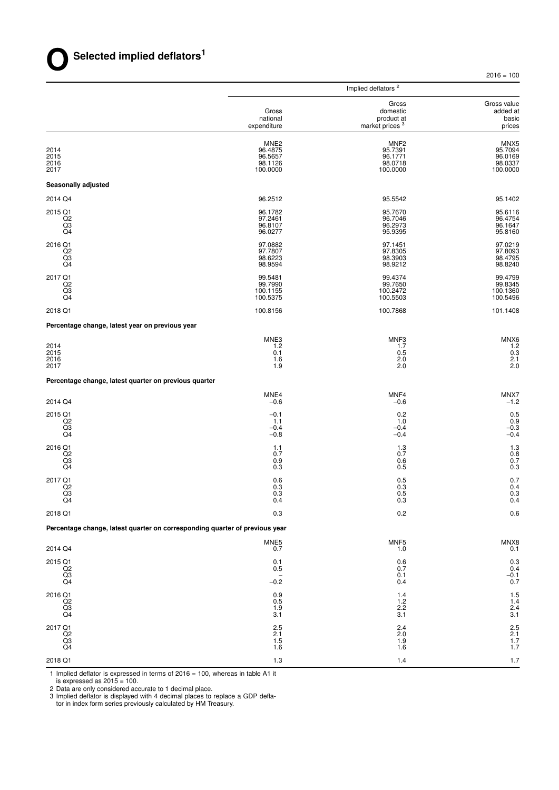|                                                                             |                                                               | Implied deflators <sup>2</sup>                                |                                                   |
|-----------------------------------------------------------------------------|---------------------------------------------------------------|---------------------------------------------------------------|---------------------------------------------------|
|                                                                             | Gross<br>national<br>expenditure                              | Gross<br>domestic<br>product at<br>market prices <sup>3</sup> | Gross value<br>added at<br>basic<br>prices        |
| 2014<br>2015<br>2016<br>2017                                                | MNE <sub>2</sub><br>96.4875<br>96.5657<br>98.1126<br>100.0000 | MNF <sub>2</sub><br>95.7391<br>96.1771<br>98.0718<br>100.0000 | MNX5<br>95.7094<br>96.0169<br>98.0337<br>100.0000 |
| Seasonally adjusted                                                         |                                                               |                                                               |                                                   |
| 2014 Q4                                                                     | 96.2512                                                       | 95.5542                                                       | 95.1402                                           |
| 2015 Q1<br>Q2<br>Q3<br>Q4                                                   | 96.1782<br>97.2461<br>96.8107<br>96.0277                      | 95.7670<br>96.7046<br>96.2973<br>95.9395                      | 95.6116<br>96.4754<br>96.1647<br>95.8160          |
| 2016 Q1<br>Q <sub>2</sub><br>Q <sub>3</sub><br>Q4                           | 97.0882<br>97.7807<br>98.6223<br>98.9594                      | 97.1451<br>97.8305<br>98.3903<br>98.9212                      | 97.0219<br>97.8093<br>98.4795<br>98.8240          |
| 2017 Q1<br>Q <sub>2</sub><br>$^{Q3}_{Q4}$                                   | 99.5481<br>99.7990<br>100.1155<br>100.5375                    | 99.4374<br>99.7650<br>100.2472<br>100.5503                    | 99.4799<br>99.8345<br>100.1360<br>100.5496        |
| 2018 Q1                                                                     | 100.8156                                                      | 100.7868                                                      | 101.1408                                          |
| Percentage change, latest year on previous year                             |                                                               |                                                               |                                                   |
| 2014<br>2015<br>2016<br>2017                                                | MNE3<br>1.2<br>0.1<br>1.6<br>1.9                              | MNF3<br>1.7<br>0.5<br>2.0<br>2.0                              | MNX6<br>1.2<br>0.3<br>2.1<br>2.0                  |
| Percentage change, latest quarter on previous quarter                       |                                                               |                                                               |                                                   |
| 2014 Q4                                                                     | MNE4<br>$-0.6$                                                | MNF4<br>$-0.6$                                                | MNX7<br>$-1.2$                                    |
| 2015 Q1<br>Q2<br>Q <sub>3</sub><br>Q4                                       | $-0.1$<br>1.1<br>$-0.4$<br>$-0.8$                             | 0.2<br>1.0<br>$-0.4$<br>$-0.4$                                | 0.5<br>0.9<br>$-0.3$<br>$-0.4$                    |
| 2016 Q1<br>Q <sub>2</sub><br>Q <sub>3</sub><br>Q <sub>4</sub>               | 1.1<br>0.7<br>0.9<br>0.3                                      | 1.3<br>0.7<br>0.6<br>0.5                                      | 1.3<br>0.8<br>0.7<br>0.3                          |
| 2017 Q1<br>Q2<br>Q3<br>Q4                                                   | 0.6<br>0.3<br>0.3<br>0.4                                      | $\begin{array}{c} 0.5 \\ 0.3 \end{array}$<br>0.5<br>0.3       | 0.7<br>0.4<br>0.3<br>0.4                          |
| 2018 Q1                                                                     | 0.3                                                           | 0.2                                                           | 0.6                                               |
| Percentage change, latest quarter on corresponding quarter of previous year |                                                               |                                                               |                                                   |
| 2014 Q4                                                                     | MNE5<br>0.7                                                   | MNF <sub>5</sub><br>1.0                                       | $MNX8$<br>$0.1$                                   |
| 2015 Q1<br>Q2                                                               | 0.1<br>0.5                                                    | 0.6<br>0.7<br>0.1                                             | 0.3<br>0.4                                        |
| $\frac{Q3}{Q4}$                                                             | $-0.2$                                                        | 0.4                                                           | $-0.1$<br>0.7                                     |
| 2016 Q1<br>Q2<br>Q <sub>3</sub><br>Q <sub>4</sub>                           | 0.9<br>0.5<br>1.9<br>3.1                                      | 1.4<br>$1.2$<br>2.2<br>3.1                                    | 1.5<br>1.4<br>2.4<br>3.1                          |
| 2017 Q1<br>Q2<br>$\overline{Q_3}$ <sub>Q4</sub>                             | 2.5<br>2.1<br>1.5<br>$1.\overline{6}$                         | 2.4<br>2.0<br>$\begin{array}{c} 1.9 \\ 1.6 \end{array}$       | $2.5$<br>$2.1$<br>$1.7$<br>$1.7$                  |

2018 Q1 1.3 1.4 1.7

1 Implied deflator is expressed in terms of 2016 = 100, whereas in table A1 it

is expressed as 2015 = 100.

2 Data are only considered accurate to 1 decimal place.

3 Implied deflator is displayed with 4 decimal places to replace a GDP defla-

tor in index form series previously calculated by HM Treasury.

 $2016 = 100$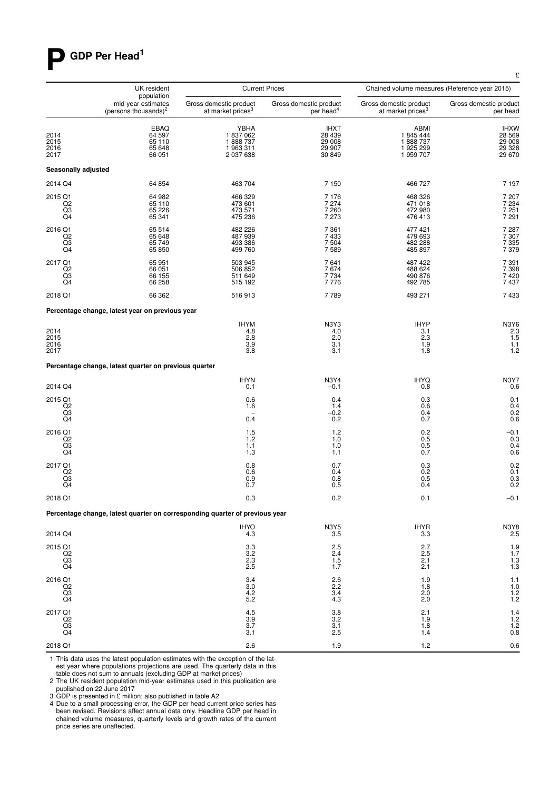## **P GDP Per Head<sup>1</sup>**

|                                       | UK resident                                                                 |                                                         | <b>Current Prices</b>                               | Chained volume measures (Reference year 2015)           |                                                     |
|---------------------------------------|-----------------------------------------------------------------------------|---------------------------------------------------------|-----------------------------------------------------|---------------------------------------------------------|-----------------------------------------------------|
|                                       | population<br>mid-year estimates<br>(persons thousands) <sup>2</sup>        | Gross domestic product<br>at market prices <sup>3</sup> | Gross domestic product<br>per head <sup>4</sup>     | Gross domestic product<br>at market prices <sup>3</sup> | Gross domestic product<br>per head                  |
| 2014<br>2015<br>2016<br>2017          | EBAQ<br>64 597<br>65 110<br>65 648<br>66 051                                | YBHA<br>1837062<br>1888737<br>1963311<br>2 037 638      | <b>IHXT</b><br>28 439<br>29 008<br>29 907<br>30 849 | ABMI<br>1 845 444<br>1888737<br>1 925 299<br>1 959 707  | <b>IHXW</b><br>28 569<br>29 008<br>29 328<br>29 670 |
| Seasonally adjusted                   |                                                                             |                                                         |                                                     |                                                         |                                                     |
| 2014 Q4                               | 64 854                                                                      | 463 704                                                 | 7 150                                               | 466 727                                                 | 7 1 9 7                                             |
| 2015 Q1<br>$^{Q2}_{Q3}$<br>Q4         | 64 982<br>65 110<br>65 226<br>65 341                                        | 466 329<br>473 601<br>473 571<br>475 236                | 7 1 7 6<br>7 2 7 4<br>$7\,260$<br>7 2 7 3           | 468 326<br>471 018<br>472 980<br>476 413                | 7 207<br>7 234<br>7 251<br>7 2 9 1                  |
| 2016 Q1<br>Q2<br>Q3<br>Q4             | 65 514<br>65 648<br>65 749<br>65 850                                        | 482 226<br>487 939<br>493 386<br>499 760                | 7 3 6 1<br>7 4 3 3<br>7504<br>7589                  | 477 421<br>479 693<br>482 288<br>485 897                | 7 2 8 7<br>7 3 0 7<br>7335<br>7379                  |
| 2017 Q1<br>Q <sub>2</sub><br>Q3<br>Q4 | 65 951<br>66 051<br>66 155<br>66 258                                        | 503 945<br>506 852<br>511 649<br>515 192                | 7641<br>7674<br>7 7 3 4<br>7776                     | 487 422<br>488 624<br>490 876<br>492 785                | 7391<br>7398<br>7420<br>7437                        |
| 2018 Q1                               | 66 362                                                                      | 516913                                                  | 7789                                                | 493 271                                                 | 7433                                                |
|                                       | Percentage change, latest year on previous year                             |                                                         |                                                     |                                                         |                                                     |
| 2014<br>2015<br>2016<br>2017          |                                                                             | <b>IHYM</b><br>4.8<br>2.8<br>$\frac{3.9}{3.8}$          | N3Y3<br>4.0<br>2.0<br>3.1<br>3.1                    | <b>IHYP</b><br>3.1<br>2.3<br>$\frac{1.9}{1.8}$          | N3Y6<br>2.3<br>1.5<br>1.1<br>1.2                    |
|                                       | Percentage change, latest quarter on previous quarter                       |                                                         |                                                     |                                                         |                                                     |
| 2014 Q4                               |                                                                             | <b>IHYN</b><br>0.1                                      | <b>N3Y4</b><br>$-0.1$                               | <b>IHYQ</b><br>0.8                                      | N3Y7<br>0.6                                         |
| 2015 Q1<br>$^{Q2}_{Q3}$<br>Q4         |                                                                             | 0.6<br>1.6<br>0.4                                       | 0.4<br>1.4<br>$-0.2$<br>0.2                         | 0.3<br>0.6<br>0.4<br>0.7                                | 0.1<br>$0.4$<br>$0.2$<br>0.6                        |
| 2016 Q1<br>Q2<br>Q3<br>Q4             |                                                                             | 1.5<br>1.2<br>1.1<br>1.3                                | 1.2<br>1.0<br>1.0<br>1.1                            | 0.2<br>0.5<br>$\begin{array}{c} 0.5 \\ 0.7 \end{array}$ | $-0.1$<br>0.3<br>0.4<br>0.6                         |
| 2017 Q1<br>Q2<br>Q3<br>Q4             |                                                                             | 0.8<br>0.6<br>0.9<br>0.7                                | 0.7<br>0.4<br>0.8<br>0.5                            | $\begin{array}{c} 0.3 \\ 0.2 \end{array}$<br>0.5<br>0.4 | 0.2<br>0.1<br>0.3<br>0.2                            |
| 2018 Q1                               |                                                                             | 0.3                                                     | 0.2                                                 | 0.1                                                     | $-0.1$                                              |
|                                       | Percentage change, latest quarter on corresponding quarter of previous year |                                                         |                                                     |                                                         |                                                     |
| 2014 Q4                               |                                                                             | <b>IHYO</b><br>4.3                                      | <b>N3Y5</b><br>3.5                                  | <b>IHYR</b><br>3.3                                      | N3Y8<br>2.5                                         |
| 2015 Q1<br>Q2<br>Q <sub>3</sub><br>Q4 |                                                                             | 3.3<br>3.2<br>2.3<br>2.5                                | 2.5<br>2.4<br>1.5<br>1.7                            | 2.7<br>2.5<br>$2.\overline{1}$<br>2.1                   | 1.9<br>1.7<br>1.3<br>1.3                            |
| 2016 Q1<br>Q2<br>$^{Q3}_{Q4}$         |                                                                             | 3.4<br>3.0<br>4.2<br>5.2                                | 2.6<br>2.2<br>3.4<br>4.3                            | 1.9<br>1.8<br>2.0<br>2.0                                | 1.1<br>1.0<br>1.2<br>1.2                            |
| 2017 Q1<br>Q2<br>Q3<br>Q4             |                                                                             | 4.5<br>3.9<br>3.7<br>3.1                                | 3.8<br>3.2<br>3.1<br>2.5                            | 2.1<br>1.9<br>1.8<br>1.4                                | 1.4<br>1.2<br>1.2<br>0.8                            |
| 2018 Q1                               |                                                                             | 2.6                                                     | 1.9                                                 | 1.2                                                     | 0.6                                                 |

1 This data uses the latest population estimates with the exception of the lat-<br>est year where populations projections are used. The quarterly data in this table does not sum to annuals (excluding GDP at market prices)

2 The UK resident population mid-year estimates used in this publication are published on 22 June 2017

3 GDP is presented in £ million; also published in table A2

4 Due to a small processing error, the GDP per head current price series has been revised. Revisions affect annual data only. Headline GDP per head in chained volume measures, quarterly levels and growth rates of the current price series are unaffected.

£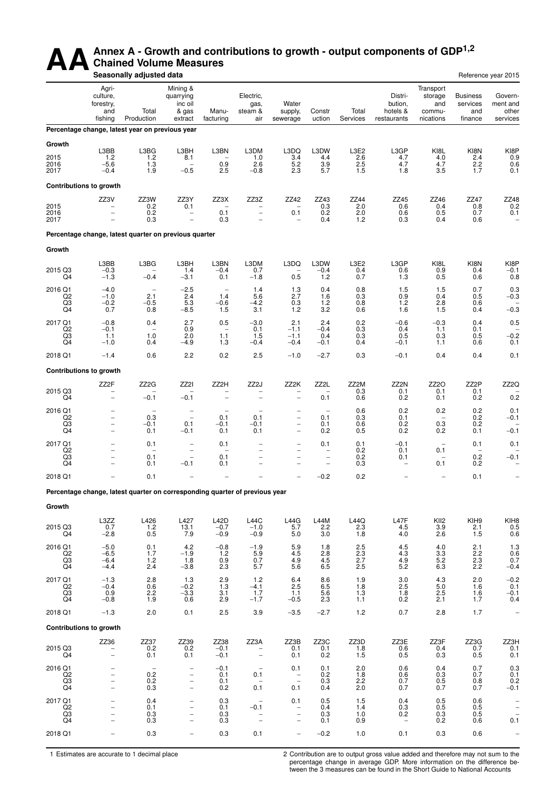## AA<sup>Annex A - Growth and contributions to growth - output components of GDP<sup>1,2</sup><br>Seasonally adjusted data</sup> **Chained Volume Measures**

|                                                    |                                                                                                | Seasonally adjusted data                                                    |                                                                                       |                                                  |                                                                                                       |                                                                                                       |                                                             |                                 |                                                  |                                                    |                                               | Reference year 2015                            |
|----------------------------------------------------|------------------------------------------------------------------------------------------------|-----------------------------------------------------------------------------|---------------------------------------------------------------------------------------|--------------------------------------------------|-------------------------------------------------------------------------------------------------------|-------------------------------------------------------------------------------------------------------|-------------------------------------------------------------|---------------------------------|--------------------------------------------------|----------------------------------------------------|-----------------------------------------------|------------------------------------------------|
|                                                    | Agri-<br>culture,<br>forestry,<br>and<br>fishing                                               | Total<br>Production                                                         | Mining &<br>quarrying<br>inc oil<br>& gas<br>extract                                  | Manu-<br>facturing                               | Electric,<br>gas,<br>steam &<br>air                                                                   | Water<br>supply,<br>sewerage                                                                          | Constr<br>uction                                            | Total<br>Services               | Distri-<br>bution,<br>hotels &<br>restaurants    | Transport<br>storage<br>and<br>commu-<br>nications | <b>Business</b><br>services<br>and<br>finance | Govern-<br>ment and<br>other<br>services       |
|                                                    |                                                                                                | Percentage change, latest year on previous year                             |                                                                                       |                                                  |                                                                                                       |                                                                                                       |                                                             |                                 |                                                  |                                                    |                                               |                                                |
| Growth<br>2015<br>2016<br>2017                     | L3BB<br>1.2<br>$-5.6$<br>$-0.4$                                                                | L3BG<br>1.2<br>1.3<br>1.9                                                   | L3BH<br>8.1<br>$-0.5$                                                                 | L3BN<br>0.9<br>2.5                               | L3DM<br>1.0<br>2.6<br>$-0.8$                                                                          | L3DQ<br>3.4<br>$\frac{5.2}{2.3}$                                                                      | L3DW<br>4.4<br>$\frac{3.9}{5.7}$                            | L3E2<br>2.6<br>$^{2.5}_{1.5}$   | L3GP<br>4.7<br>4.7<br>1.8                        | KI8L<br>4.0<br>4.7<br>3.5                          | KI8N<br>2.4<br>$2.2$<br>1.7                   | KI8P<br>0.9<br>$0.6$<br>$0.1$                  |
| Contributions to growth                            |                                                                                                |                                                                             |                                                                                       |                                                  |                                                                                                       |                                                                                                       |                                                             |                                 |                                                  |                                                    |                                               |                                                |
| 2015<br>2016<br>2017                               | ZZ3V<br>$\overline{\phantom{a}}$<br>$\qquad \qquad -$                                          | ZZ3W<br>${}^{0.2}_{0.2}$<br>0.3                                             | ZZ3Y<br>0.1<br>$\qquad \qquad -$<br>$\overline{\phantom{0}}$                          | ZZ3X<br>0.1<br>0.3                               | ZZ3Z<br>$\overline{\phantom{0}}$<br>$\overline{\phantom{0}}$                                          | ZZ42<br>0.1<br>$\overline{\phantom{0}}$                                                               | ZZ43<br>$0.3 \\ 0.2$<br>0.4                                 | ZZ44<br>2.0<br>2.0<br>1.2       | ZZ45<br>0.6<br>0.6<br>0.3                        | ZZ46<br>0.4<br>0.5<br>0.4                          | ZZ47<br>${}^{0.8}_{0.7}$<br>0.6               | ZZ48<br>0.2<br>0.1<br>$\overline{\phantom{0}}$ |
|                                                    |                                                                                                | Percentage change, latest quarter on previous quarter                       |                                                                                       |                                                  |                                                                                                       |                                                                                                       |                                                             |                                 |                                                  |                                                    |                                               |                                                |
| Growth                                             |                                                                                                |                                                                             |                                                                                       |                                                  |                                                                                                       |                                                                                                       |                                                             |                                 |                                                  |                                                    |                                               |                                                |
| 2015 Q3<br>Q4                                      | L3BB<br>$-0.3$<br>$-1.3$                                                                       | L3BG<br>$-0.4$                                                              | L3BH<br>1.4<br>$-3.1$                                                                 | L3BN<br>$-0.4$<br>0.1                            | L3DM<br>0.7<br>$-1.8$                                                                                 | L3DQ<br>0.5                                                                                           | L3DW<br>$-0.4$<br>1.2                                       | L3E2<br>0.4<br>0.7              | L3GP<br>0.6<br>1.3                               | KI8L<br>0.9<br>0.5                                 | KI8N<br>0.4<br>0.6                            | KI8P<br>$-0.1$<br>0.8                          |
| 2016 Q1<br>Q2<br>Q3<br>Q4                          | $-4.0$<br>$-1.0$<br>$-0.2$<br>0.7                                                              | $\qquad \qquad -$<br>2.1<br>$-0.5$<br>0.8                                   | $-2.5$<br>2.4<br>5.3<br>$-8.5$                                                        | $\overline{\phantom{m}}$<br>1.4<br>$-0.6$<br>1.5 | 1.4<br>5.6<br>$-4.2$<br>3.1                                                                           | 1.3<br>2.7<br>0.3<br>1.2                                                                              | 0.4<br>1.6<br>1.2<br>3.2                                    | 0.8<br>0.3<br>0.8<br>0.6        | 1.5<br>0.9<br>1.2<br>1.6                         | 1.5<br>0.4<br>2.8<br>1.5                           | 0.7<br>0.5<br>0.6<br>0.4                      | 0.3<br>$-0.3$<br>$-0.3$                        |
| 2017 Q1<br>Q <sub>2</sub><br>Q3<br>Q4              | $-0.8$<br>$-0.1$<br>1.1<br>$-1.0$                                                              | 0.4<br>1.0<br>0.4                                                           | 2.7<br>0.9<br>2.0<br>$-4.9$                                                           | 0.5<br>$\overline{\phantom{0}}$<br>1.1<br>1.3    | $-3.0$<br>0.1<br>1.5<br>$-0.4$                                                                        | 2.1<br>$-1.1$<br>$-1.1$<br>$-0.4$                                                                     | 2.4<br>$-0.4$<br>0.4<br>$-0.1$                              | 0.2<br>0.3<br>0.3<br>0.4        | $-0.6$<br>0.4<br>0.5<br>$-0.1$                   | $-0.3$<br>1.1<br>0.3<br>1.1                        | 0.4<br>0.1<br>0.5<br>0.6                      | 0.5<br>$-0.2$<br>0.1                           |
| 2018 Q1                                            | $-1.4$                                                                                         | 0.6                                                                         | 2.2                                                                                   | 0.2                                              | 2.5                                                                                                   | $-1.0$                                                                                                | $-2.7$                                                      | 0.3                             | $-0.1$                                           | 0.4                                                | 0.4                                           | 0.1                                            |
| <b>Contributions to growth</b>                     |                                                                                                |                                                                             |                                                                                       |                                                  |                                                                                                       |                                                                                                       |                                                             |                                 |                                                  |                                                    |                                               |                                                |
| 2015 Q3<br>Q4                                      | ZZ2F<br>$\qquad \qquad -$                                                                      | ZZ <sub>2</sub> G<br>$-0.1$                                                 | ZZ2I<br>$-0.1$                                                                        | ZZ2H<br>$\overline{\phantom{0}}$                 | ZZ2J<br>$\overline{a}$                                                                                | ZZ2K<br>$\overline{a}$                                                                                | ZZ2L<br>0.1                                                 | ZZ2M<br>0.3<br>0.6              | ZZ2N<br>0.1<br>0.2                               | ZZ <sub>20</sub><br>0.1<br>0.1                     | ZZ2P<br>0.1<br>0.2                            | ZZ <sub>2</sub> Q<br>0.2                       |
| 2016 Q1<br>$^{Q2}_{Q3}$<br>Q4                      | $\overline{\phantom{0}}$<br>$\qquad \qquad -$<br>$\overline{\phantom{a}}$<br>$\qquad \qquad -$ | $\qquad \qquad -$<br>0.3<br>$-0.1$<br>0.1                                   | $\qquad \qquad -$<br>$\overline{a}$<br>0.1<br>$-0.1$                                  | $\overline{\phantom{0}}$<br>0.1<br>$-0.1$<br>0.1 | $\overline{a}$<br>0.1<br>$-0.1$<br>0.1                                                                | $\qquad \qquad -$<br>$\overline{\phantom{0}}$<br>$\qquad \qquad -$<br>$\overline{\phantom{0}}$        | $\overline{\phantom{a}}$<br>0.1<br>0.1<br>0.2               | 0.6<br>0.3<br>0.6<br>0.5        | 0.2<br>0.1<br>0.2<br>0.2                         | 0.2<br>$\qquad \qquad -$<br>0.3<br>0.2             | 0.2<br>$0.2$<br>$0.2$<br>0.1                  | 0.1<br>$-0.1$<br>$-0.1$                        |
| 2017 Q1<br>Q <sub>2</sub><br>Q3<br>Q4              | $\overline{\phantom{0}}$<br>$\overline{\phantom{a}}$<br>-<br>$\overline{\phantom{0}}$          | 0.1<br>0.1<br>0.1                                                           | $\overline{\phantom{0}}$<br>$\overline{\phantom{a}}$<br>$\overline{a}$<br>$-0.1$      | 0.1<br>0.1<br>0.1                                | $\overline{\phantom{0}}$<br>$\qquad \qquad -$<br>$\overline{\phantom{0}}$<br>$\overline{\phantom{0}}$ | $\overline{\phantom{0}}$<br>$\qquad \qquad -$<br>$\overline{\phantom{0}}$<br>$\overline{\phantom{m}}$ | 0.1<br>$\overbrace{\phantom{1232211}}$<br>$\qquad \qquad -$ | 0.1<br>0.2<br>0.2<br>0.3        | $-0.1$<br>0.1<br>0.1<br>$\overline{\phantom{0}}$ | $\overline{\phantom{0}}$<br>0.1<br>0.1             | 0.1<br>0.2<br>0.2                             | 0.1<br>$-0.1$<br>$\qquad \qquad -$             |
| 2018 Q1                                            |                                                                                                | 0.1                                                                         |                                                                                       |                                                  |                                                                                                       |                                                                                                       | $-0.2$                                                      | 0.2                             |                                                  |                                                    | 0.1                                           |                                                |
|                                                    |                                                                                                | Percentage change, latest quarter on corresponding quarter of previous year |                                                                                       |                                                  |                                                                                                       |                                                                                                       |                                                             |                                 |                                                  |                                                    |                                               |                                                |
| Growth                                             |                                                                                                |                                                                             |                                                                                       |                                                  |                                                                                                       |                                                                                                       |                                                             |                                 |                                                  |                                                    |                                               |                                                |
| 2015 Q3<br>Q4                                      | L3ZZ<br>0.7<br>$-2.8$                                                                          | L426<br>1.2<br>0.5                                                          | L427<br>13.1<br>7.9                                                                   | <b>L42D</b><br>$-0.7$<br>$-0.9$                  | L44C<br>$-1.0$<br>$-0.9$                                                                              | L44G<br>5.7<br>5.0                                                                                    | L44M<br>2.2<br>3.0                                          | L44Q<br>2.3<br>1.8              | L47F<br>4.5<br>4.0                               | KII <sub>2</sub><br>3.9<br>2.6                     | KIH <sub>9</sub><br>2.1<br>1.5                | KIH <sub>8</sub><br>$0.5 \\ 0.6$               |
| 2016 Q1<br>Q2<br>Q3<br>Q4                          | $-5.0$<br>$-6.5$<br>$-6.4$<br>$-4.4$                                                           | 0.1<br>1.7<br>1.2<br>2.4                                                    | 4.2<br>$-1.9$<br>1.8<br>$-3.8$                                                        | $-0.8$<br>1.2<br>0.9<br>2.3                      | $-1.9$<br>5.9<br>0.7<br>5.7                                                                           | 5.9<br>4.5<br>4.9<br>5.6                                                                              | 1.8<br>2.8<br>4.5<br>6.5                                    | $2.5$<br>$2.3$<br>$2.7$<br>2.5  | 4.5<br>4.3<br>4.9<br>5.2                         | 4.0<br>3.3<br>$5.\overline{2}$<br>6.3              | 2.1<br>2.2<br>2.3<br>2.2                      | 1.3<br>0.6<br>0.7<br>$-0.4$                    |
| 2017 Q1<br>Q2<br>$_{\rm Q4}^{\rm Q3}$              | $-1.3$<br>$-0.4$<br>0.9<br>$-0.8$                                                              | 2.8<br>0.6<br>2.2<br>1.9                                                    | 1.3<br>$-0.2$<br>$-3.3$<br>0.6                                                        | 2.9<br>1.3<br>3.1<br>2.9                         | 1.2<br>$-4.1$<br>1.7<br>$-1.7$                                                                        | 6.4<br>2.5<br>1.1<br>$-0.5$                                                                           | 8.6<br>6.5<br>5.6<br>2.3                                    | 1.9<br>1.8<br>$\frac{1.3}{1.1}$ | 3.0<br>2.5<br>1.8<br>0.2                         | 4.3<br>5.0<br>2.5<br>2.1                           | 2.0<br>1.6<br>1.6<br>1.7                      | $-0.2$<br>0.1<br>$-0.1$<br>0.4                 |
| 2018 Q1                                            | $-1.3$                                                                                         | 2.0                                                                         | 0.1                                                                                   | 2.5                                              | 3.9                                                                                                   | $-3.5$                                                                                                | $-2.7$                                                      | $1.2$                           | 0.7                                              | 2.8                                                | 1.7                                           |                                                |
| <b>Contributions to growth</b>                     |                                                                                                |                                                                             |                                                                                       |                                                  |                                                                                                       |                                                                                                       |                                                             |                                 |                                                  |                                                    |                                               |                                                |
| 2015 Q3<br>Q4                                      | ZZ36<br>$\overline{a}$                                                                         | ZZ37<br>0.2<br>0.1                                                          | ZZ39<br>0.2<br>0.1                                                                    | ZZ38<br>$-0.1$<br>$-0.1$                         | ZZ3A<br>$\overline{a}$                                                                                | ZZ3B<br>0.1<br>0.1                                                                                    | ZZ3C<br>0.1<br>0.2                                          | ZZ3D<br>1.8<br>$1.5$            | ZZ3E<br>0.6<br>0.5                               | ZZ3F<br>0.4<br>0.3                                 | ZZ3G<br>0.7<br>0.5                            | ZZ3H<br>0.1<br>0.1                             |
| 2016 Q1<br>Q <sub>2</sub><br>$\overline{Q3}$<br>Q4 | $\qquad \qquad -$<br>$\overline{\phantom{0}}$                                                  | $\overline{\phantom{0}}$<br>0.2<br>0.2<br>0.3                               | $\qquad \qquad -$<br>$\qquad \qquad -$<br>$\overline{a}$                              | $-0.1$<br>0.1<br>0.1<br>0.2                      | 0.1<br>0.1                                                                                            | 0.1<br>$\overline{\phantom{a}}$<br>$\overline{\phantom{a}}$<br>0.1                                    | 0.1<br>0.2<br>0.3<br>0.4                                    | 2.0<br>1.8<br>2.2<br>2.0        | 0.6<br>0.6<br>0.7<br>0.7                         | 0.4<br>0.3<br>0.5<br>0.7                           | 0.7<br>0.7<br>0.8<br>0.7                      | $0.3$<br>$0.1$<br>0.2<br>$-0.1$                |
| 2017 Q1<br>Q2<br>Q3<br>Q4                          |                                                                                                | 0.4<br>0.1<br>0.3<br>0.3                                                    | -<br>$\overline{\phantom{0}}$<br>$\overline{\phantom{0}}$<br>$\overline{\phantom{0}}$ | 0.3<br>0.1<br>0.3<br>0.3                         | $-0.1$                                                                                                | 0.1<br>$\qquad \qquad -$<br>$\qquad \qquad -$<br>$\qquad \qquad -$                                    | 0.5<br>0.4<br>0.3<br>0.1                                    | 1.5<br>1.4<br>1.0<br>0.9        | 0.4<br>0.3<br>0.2<br>$\overline{\phantom{0}}$    | 0.5<br>0.5<br>0.3<br>0.2                           | 0.6<br>0.5<br>0.5<br>0.6                      | -<br>$\overline{a}$<br>0.1                     |
| 2018 Q1                                            |                                                                                                | 0.3                                                                         |                                                                                       | 0.3                                              | 0.1                                                                                                   |                                                                                                       | $-0.2$                                                      | 1.0                             | 0.1                                              | 0.3                                                | 0.6                                           |                                                |

1 Estimates are accurate to 1 decimal place 2 Contribution are to output gross value added and therefore may not sum to the percentage change in average GDP. More information on the difference between the 3 measures can be found in the Short Guide to National Accounts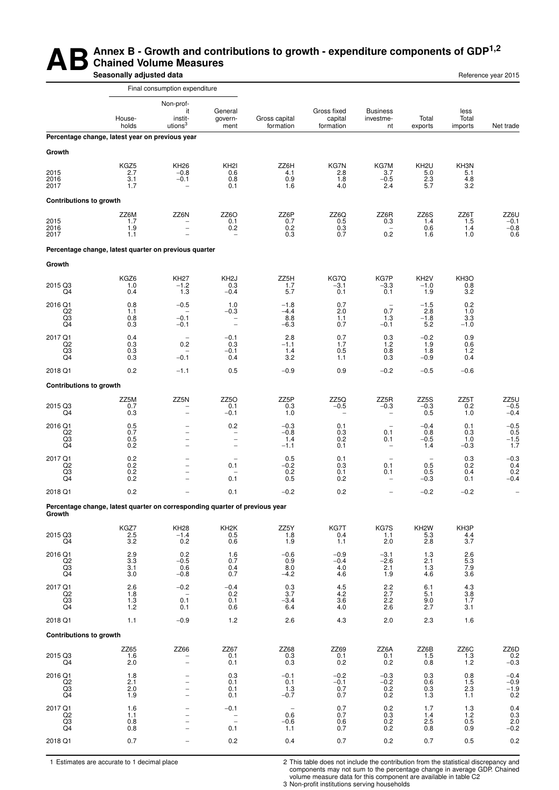### **AB** Annex B - Growth and contributions to growth - expenditure components of GDP<sup>1,2</sup><br>Seasonally adjusted data **Chained Volume Measures Seasonally adjusted data Reference year 2015**

|                                                   |                                                                             | Final consumption expenditure                                         |                                                                  |                                                  |                                     |                                                                    |                                       |                                              |                                                          |
|---------------------------------------------------|-----------------------------------------------------------------------------|-----------------------------------------------------------------------|------------------------------------------------------------------|--------------------------------------------------|-------------------------------------|--------------------------------------------------------------------|---------------------------------------|----------------------------------------------|----------------------------------------------------------|
|                                                   | House-<br>holds                                                             | Non-prof-<br>it<br>instit-<br>utions $3$                              | General<br>govern-<br>ment                                       | Gross capital<br>formation                       | Gross fixed<br>capital<br>formation | <b>Business</b><br>investme-<br>nt                                 | Total<br>exports                      | less<br>Total<br>imports                     | Net trade                                                |
|                                                   | Percentage change, latest year on previous year                             |                                                                       |                                                                  |                                                  |                                     |                                                                    |                                       |                                              |                                                          |
| Growth                                            |                                                                             |                                                                       |                                                                  |                                                  |                                     |                                                                    |                                       |                                              |                                                          |
| 2015<br>2016<br>2017                              | KGZ5<br>$\overline{2.7}$<br>3.1<br>1.7                                      | <b>KH26</b><br>$-0.8$<br>$-0.1$                                       | KH <sub>2</sub><br>0.6<br>0.8<br>0.1                             | ZZ6H<br>4.1<br>0.9<br>1.6                        | KG7N<br>2.8<br>1.8<br>4.0           | KG7M<br>3.7<br>$-0.5$<br>2.4                                       | KH <sub>2U</sub><br>5.0<br>2.3<br>5.7 | KH3N<br>5.1<br>4.8<br>3.2                    |                                                          |
| <b>Contributions to growth</b>                    |                                                                             |                                                                       |                                                                  |                                                  |                                     |                                                                    |                                       |                                              |                                                          |
| 2015<br>2016<br>2017                              | ZZ6M<br>1.7<br>1.9<br>1.1                                                   | ZZ6N<br>$\overline{\phantom{0}}$                                      | ZZ60<br>0.1<br>0.2                                               | ZZ6P<br>0.7<br>0.2<br>0.3                        | ZZ6Q<br>0.5<br>0.3<br>0.7           | ZZ6R<br>0.3<br>$\overline{\phantom{0}}$<br>0.2                     | ZZ6S<br>1.4<br>0.6<br>1.6             | ZZ6T<br>1.5<br>1.4<br>1.0                    | ZZ6U<br>$-0.1$<br>$-0.8$<br>0.6                          |
|                                                   | Percentage change, latest quarter on previous quarter                       |                                                                       |                                                                  |                                                  |                                     |                                                                    |                                       |                                              |                                                          |
| Growth                                            |                                                                             |                                                                       |                                                                  |                                                  |                                     |                                                                    |                                       |                                              |                                                          |
| 2015 Q3<br>Q4                                     | KGZ6<br>1.0<br>0.4                                                          | <b>KH27</b><br>$-1.2$<br>1.3                                          | KH <sub>2</sub> J<br>0.3<br>$-0.4$                               | ZZ5H<br>1.7<br>5.7                               | KG7Q<br>$-3.1$<br>0.1               | KG7P<br>$-3.3$<br>0.1                                              | KH <sub>2</sub> V<br>$-1.0$<br>1.9    | KH <sub>3</sub> O<br>0.8<br>3.2              |                                                          |
| 2016 Q1<br>Q <sub>2</sub><br>Q3<br>Q4             | 0.8<br>1.1<br>0.8<br>0.3                                                    | $-0.5$<br>$\overline{\phantom{0}}$<br>$-0.1$<br>$-0.1$                | 1.0<br>$-0.3$<br>$\qquad \qquad -$<br>$\overline{\phantom{m}}$   | $-1.8$<br>$-4.4$<br>8.8<br>$-6.3$                | 0.7<br>2.0<br>1.1<br>0.7            | 0.7<br>1.3<br>$-0.1$                                               | $-1.5$<br>2.8<br>$-1.8$<br>5.2        | 0.2<br>1.0<br>3.3<br>$-1.0$                  |                                                          |
| 2017 Q1<br>Q <sub>2</sub><br>Q3<br>Q4             | 0.4<br>0.3<br>0.3<br>0.3                                                    | $\overline{\phantom{0}}$<br>0.2<br>$\overline{\phantom{0}}$<br>$-0.1$ | $-0.1$<br>0.3<br>$-0.1$<br>0.4                                   | 2.8<br>$-1.1$<br>1.4<br>3.2                      | 0.7<br>1.7<br>0.5<br>1.1            | 0.3<br>1.2<br>0.8<br>0.3                                           | $-0.2$<br>1.9<br>1.8<br>$-0.9$        | 0.9<br>0.6<br>1.2<br>0.4                     |                                                          |
| 2018 Q1                                           | 0.2                                                                         | $-1.1$                                                                | 0.5                                                              | $-0.9$                                           | 0.9                                 | $-0.2$                                                             | $-0.5$                                | $-0.6$                                       |                                                          |
| <b>Contributions to growth</b>                    |                                                                             |                                                                       |                                                                  |                                                  |                                     |                                                                    |                                       |                                              |                                                          |
| 2015 Q3<br>Q4                                     | ZZ5M<br>0.7<br>0.3                                                          | ZZ5N<br>$\overline{\phantom{0}}$                                      | ZZ5O<br>0.1<br>$-0.1$                                            | ZZ5P<br>0.3<br>1.0                               | ZZ5Q<br>$-0.5$                      | ZZ5R<br>$-0.3$                                                     | ZZ5S<br>$-0.3$<br>0.5                 | ZZ5T<br>0.2<br>1.0                           | ZZ5U<br>$-0.5$<br>$-0.4$                                 |
| 2016 Q1<br>Q2<br>Q3<br>Q4                         | 0.5<br>$\begin{array}{c} 0.7 \\ 0.5 \end{array}$<br>0.2                     | -<br>$\overline{a}$<br>$\overline{a}$                                 | 0.2<br>-<br>$\overline{\phantom{0}}$<br>$\overline{\phantom{m}}$ | $-0.3$<br>$-0.8$<br>1.4<br>$-1.1$                | 0.1<br>0.3<br>0.2<br>0.1            | $\overline{\phantom{0}}$<br>0.1<br>0.1<br>$\overline{\phantom{0}}$ | $-0.4$<br>0.8<br>$-0.5$<br>1.4        | 0.1<br>0.3<br>1.0<br>$-0.3$                  | $-0.5$<br>$\frac{0.5}{-1.5}$<br>1.7                      |
| 2017 Q1<br>Q <sub>2</sub><br>Q3<br>Q4             | 0.2<br>0.2<br>${}^{0.2}_{0.2}$                                              | $\overline{a}$                                                        | 0.1<br>0.1                                                       | 0.5<br>$-0.2$<br>0.2<br>0.5                      | 0.1<br>0.3<br>0.1<br>0.2            | 0.1<br>0.1                                                         | 0.5<br>0.5<br>$-0.3$                  | 0.3<br>0.2<br>0.4<br>0.1                     | $^{-0.3}_{0.4}$<br>0.2<br>$-0.4$                         |
| 2018 Q1                                           | 0.2                                                                         |                                                                       | 0.1                                                              | $-0.2$                                           | 0.2                                 |                                                                    | $-0.2$                                | $-0.2$                                       |                                                          |
| Growth                                            | Percentage change, latest quarter on corresponding quarter of previous year |                                                                       |                                                                  |                                                  |                                     |                                                                    |                                       |                                              |                                                          |
| 2015 Q3<br>Q4                                     | KGZ7<br>$\frac{2.5}{3.2}$                                                   | <b>KH28</b><br>$-1.4$<br>0.2                                          | KH <sub>2</sub> K<br>0.5<br>0.6                                  | ZZ5Y<br>1.8<br>1.9                               | KG7T<br>0.4<br>1.1                  | KG7S<br>1.1<br>2.0                                                 | KH <sub>2</sub> W<br>5.3<br>2.8       | KH3P<br>4.4<br>3.7                           |                                                          |
| 2016 Q1<br>Q <sub>2</sub><br>$_{\rm Q4}^{\rm Q3}$ | 2.9<br>3.3<br>3.1<br>3.0                                                    | 0.2<br>$-0.5$<br>0.6<br>$-0.8$                                        | 1.6<br>0.7<br>0.4<br>0.7                                         | $-0.6$<br>0.9<br>8.0<br>$-4.2$                   | $-0.9$<br>$-0.4$<br>4.0<br>4.6      | $-3.1$<br>$-2.6$<br>2.1<br>1.9                                     | 1.3<br>2.1<br>1.3<br>4.6              | 2.6<br>$5.\overline{3}$<br>$\frac{7.9}{3.6}$ |                                                          |
| 2017 Q1<br>Q <sub>2</sub><br>Q3<br>Q4             | $\frac{2.6}{1.8}$<br>1.3<br>$1.2$                                           | $-0.2$<br>$\overline{\phantom{a}}$<br>0.1<br>0.1                      | $-0.4$<br>0.2<br>0.1<br>0.6                                      | 0.3<br>3.7<br>$-3.4$<br>6.4                      | 4.5<br>4.2<br>3.6<br>4.0            | 2.2<br>2.7<br>2.2<br>2.6                                           | 6.1<br>5.1<br>9.0<br>2.7              | 4.3<br>3.8<br>1.7<br>3.1                     |                                                          |
| 2018 Q1                                           | 1.1                                                                         | $-0.9$                                                                | 1.2                                                              | 2.6                                              | 4.3                                 | 2.0                                                                | 2.3                                   | 1.6                                          |                                                          |
| <b>Contributions to growth</b>                    |                                                                             |                                                                       |                                                                  |                                                  |                                     |                                                                    |                                       |                                              |                                                          |
| 2015 Q3<br>Q4                                     | ZZ65<br>1.6<br>2.0                                                          | ZZ66                                                                  | ZZ67<br>0.1<br>0.1                                               | ZZ68<br>0.3<br>0.3                               | ZZ69<br>0.1<br>0.2                  | ZZ6A<br>0.1<br>0.2                                                 | ZZ6B<br>1.5<br>0.8                    | ZZ6C<br>1.3<br>1.2                           | ZZ6D<br>$0.2 - 0.3$                                      |
| 2016 Q1<br>Q <sub>2</sub><br>$\frac{Q3}{Q4}$      | 1.8<br>2.1<br>2.0<br>1.9                                                    |                                                                       | 0.3<br>0.1<br>0.1<br>0.1                                         | $-0.1$<br>0.1<br>1.3<br>$-0.7$                   | $-0.2$<br>$-0.1$<br>0.7<br>0.7      | $-0.3$<br>$-0.2$<br>0.2<br>0.2                                     | 0.3<br>0.6<br>0.3<br>1.3              | 0.8<br>1.5<br>2.3<br>1.1                     | $-0.4$<br>$-0.9$<br>$-1.9$<br>0.2                        |
| 2017 Q1<br>Q2<br>Q3<br>Q4                         | 1.6<br>1.1<br>0.8<br>0.8                                                    |                                                                       | $-0.1$<br>$\overline{\phantom{0}}$<br>$\qquad \qquad -$<br>0.1   | $\overline{\phantom{a}}$<br>0.6<br>$-0.6$<br>1.1 | 0.7<br>0.7<br>0.6<br>0.7            | 0.2<br>$\begin{array}{c} 0.3 \\ 0.2 \end{array}$<br>0.2            | 1.7<br>1.4<br>2.5<br>0.8              | 1.3<br>$^{1.2}_{0.5}$<br>0.9                 | 0.4<br>$\begin{array}{c} 0.3 \\ 2.0 \\ -0.2 \end{array}$ |
| 2018 Q1                                           | 0.7                                                                         |                                                                       | $0.2\,$                                                          | 0.4                                              | 0.7                                 | 0.2                                                                | 0.7                                   | 0.5                                          | 0.2                                                      |

1 Estimates are accurate to 1 decimal place 2 This table does not include the contribution from the statistical discrepancy and components may not sum to the percentage change in average GDP. Chained volume measure data for this component are available in table C2 3 Non-profit institutions serving households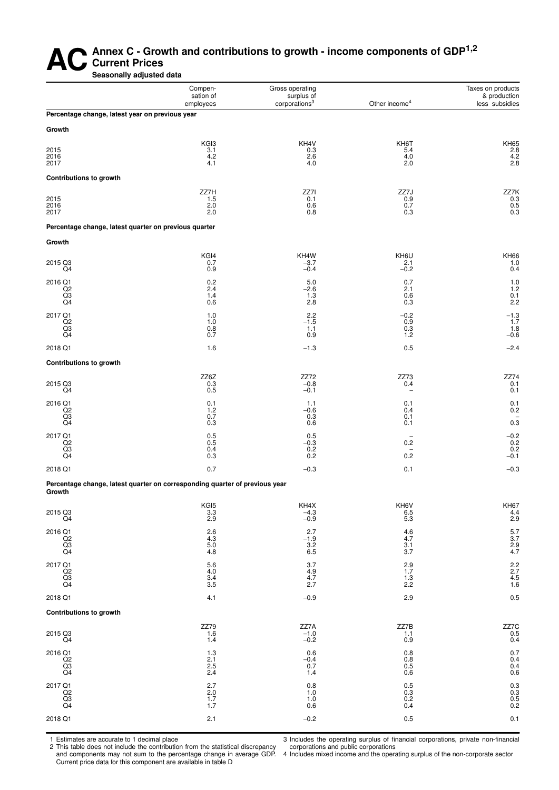#### AC<sup>Annex C - Growth and contributions to growth - income components of GDP<sup>1,2</sup><br>Seasonally adjusted data</sup> **Current Prices Seasonally adjusted data**

Compen-<br>
Gross operating Taxes on products<br>
Station of Surplus of Surplus of Surplus of Surplus of Surplus of Surplus of Surplus of Surplus of Surplus of Surplus of Surplus of Surplus of Surplus of Surplus of Surplus of Su sation of surplus of the income of the sation of the sation of the surplus of the corporations<sup>3</sup> Other income of the surpluse of the surplus of the surplus of the surplus of the surplus of the surplus of the surplus of th

less subsidies

| Percentage change, latest year on previous year       |                                                         |                                               |                                         |                                  |
|-------------------------------------------------------|---------------------------------------------------------|-----------------------------------------------|-----------------------------------------|----------------------------------|
| Growth                                                |                                                         |                                               |                                         |                                  |
| 2015<br>2016<br>2017                                  | $KGI3$<br>$3.1$<br>4.2<br>4.1                           | KH4V<br>0.3<br>$2.6\,$<br>4.0                 | KH <sub>6</sub> T<br>5.4<br>4.0<br>2.0  | KH65<br>2.8<br>4.2<br>2.8        |
| <b>Contributions to growth</b>                        |                                                         |                                               |                                         |                                  |
| 2015<br>2016<br>2017                                  | ZZ7H<br>1.5<br>2.0<br>2.0                               | ZZ7I<br>0.1<br>0.6<br>0.8                     | ZZ7J<br>0.9<br>0.7<br>0.3               | ZZ7k<br>0.3<br>0.5<br>0.3        |
| Percentage change, latest quarter on previous quarter |                                                         |                                               |                                         |                                  |
| Growth                                                |                                                         |                                               |                                         |                                  |
| 2015 Q3<br>Q <sub>4</sub>                             | KGI4<br>$0.7 \\ 0.9$                                    | KH4W<br>$-3.7$<br>$-0.4$                      | KH6U<br>$^{2.1}_{-0.2}$                 | KH <sub>66</sub><br>$1.0$<br>0.4 |
| 2016 Q1<br>Q2<br>$\overline{Q}3$                      | 0.2<br>2.4<br>1.4<br>0.6                                | $\frac{5.0}{-2.6}$<br>1.3<br>$2.\overline{8}$ | 0.7<br>2.1<br>0.6<br>0.3                | 1.0<br>1.2<br>0.1<br>2.2         |
| 2017 Q1<br>$_{\rm Q3}^{\rm Q2}$<br>Q <sub>4</sub>     | 1.0<br>1.0<br>$0.8$<br>$0.7$                            | 2.2<br>$-1.5$<br>1.1<br>0.9                   | $-0.2$<br>0.9<br>0.3<br>1.2             | $-1.3$<br>$1.7$<br>1.8<br>$-0.6$ |
| 2018 Q1                                               | 1.6                                                     | $-1.3$                                        | 0.5                                     | $-2.4$                           |
| <b>Contributions to growth</b>                        |                                                         |                                               |                                         |                                  |
| 2015 Q3<br>Q <sub>4</sub>                             | ZZ6Z<br>$\begin{array}{c} 0.3 \\ 0.5 \end{array}$       | ZZ72<br>$-0.8$<br>$-0.1$                      | ZZ73<br>0.4<br>$\overline{\phantom{0}}$ | ZZ74<br>$\overline{0.1}$<br>0.1  |
| 2016 Q1<br>Q2<br>$^{Q3}_{Q4}$                         | $0.1$<br>1.2<br>0.7<br>0.3                              | 1.1<br>$-0.6$<br>0.3<br>0.6                   | 0.1<br>0.4<br>0.1<br>0.1                | $0.1$<br>$0.2$<br>0.3            |
| 2017 Q1<br>Q2<br>$\overline{Q}3$                      | 0.5<br>0.5<br>$\begin{array}{c} 0.4 \\ 0.3 \end{array}$ | $0.5 - 0.3$<br>$0.2$<br>$0.2$                 | 0.2<br>$\overline{\phantom{a}}$<br>0.2  | $-0.2$<br>0.2<br>$0.2 - 0.1$     |

 $2018 \text{ Q1}$   $-0.3$   $-0.3$   $-0.1$   $-0.3$ 

Percentage change, latest quarter on corresponding quarter of previous year

| Growth                                                                        |                                        |                                    |                                                         |                                                         |
|-------------------------------------------------------------------------------|----------------------------------------|------------------------------------|---------------------------------------------------------|---------------------------------------------------------|
| 2015 Q3<br>Q <sub>4</sub>                                                     | KGI5<br>3.3<br>2.9                     | KH4X<br>$-4.3$<br>$-0.9$           | KH6V<br>6.5<br>5.3                                      | KH67<br>4.4<br>2.9                                      |
| 2016 Q1<br>$\frac{Q2}{Q3}$                                                    | $2.6$<br>$4.3$<br>$5.0$<br>$4.8$       | 2.7<br>$-1.9$<br>$\frac{3.2}{6.5}$ | $4.6$<br>$4.7$<br>$3.1$<br>$3.7$                        | 5.7<br>3.7<br>2.9<br>4.7                                |
| 2017 Q1<br>$\frac{Q2}{Q3}$                                                    | 5.6<br>4.0<br>$\frac{3.4}{3.5}$        | 3.7<br>$4.9$<br>$4.7$<br>$2.7$     | $^{2.9}_{1.7}$<br>$\frac{1.3}{2.2}$                     | $2.2$<br>$2.7$<br>$4.5$<br>$1.6$                        |
| 2018 Q1                                                                       | 4.1                                    | $-0.9$                             | 2.9                                                     | 0.5                                                     |
| <b>Contributions to growth</b>                                                |                                        |                                    |                                                         |                                                         |
| 2015 Q3<br>Q4                                                                 | ZZ79<br>1.6<br>1.4                     | ZZ7A<br>$-1.0$<br>$-0.2$           | ZZ7B<br>1.1<br>0.9                                      | ZZ7C<br>0.5<br>0.4                                      |
| 2016 Q1<br>$\begin{array}{c} \text{Q2} \\ \text{Q3} \\ \text{Q4} \end{array}$ | $\frac{1.3}{2.1}$<br>$\frac{2.5}{2.4}$ | 0.6<br>$-0.4$<br>0.7<br>1.4        | $0.8$<br>$0.8$<br>$0.5$<br>$0.6$                        | $\begin{array}{c} 0.7 \\ 0.4 \\ 0.4 \\ 0.6 \end{array}$ |
| 2017 Q1<br>Q2<br>Q3<br>Q4                                                     | 2.7<br>$\frac{2.0}{1.7}$<br>1.7        | $0.8$<br>1.0<br>1.0<br>0.6         | $\begin{array}{c} 0.5 \\ 0.3 \\ 0.2 \end{array}$<br>0.4 | $\begin{array}{c} 0.3 \\ 0.3 \\ 0.5 \\ 0.2 \end{array}$ |
| 2018 Q1                                                                       | 2.1                                    | $-0.2$                             | 0.5                                                     | 0.1                                                     |

1 Estimates are accurate to 1 decimal place

2 This table does not include the contribution from the statistical discrepancy and components may not sum to the percentage change in average GDP. Current price data for this component are available in table D

3 Includes the operating surplus of financial corporations, private non-financial corporations and public corporations

4 Includes mixed income and the operating surplus of the non-corporate sector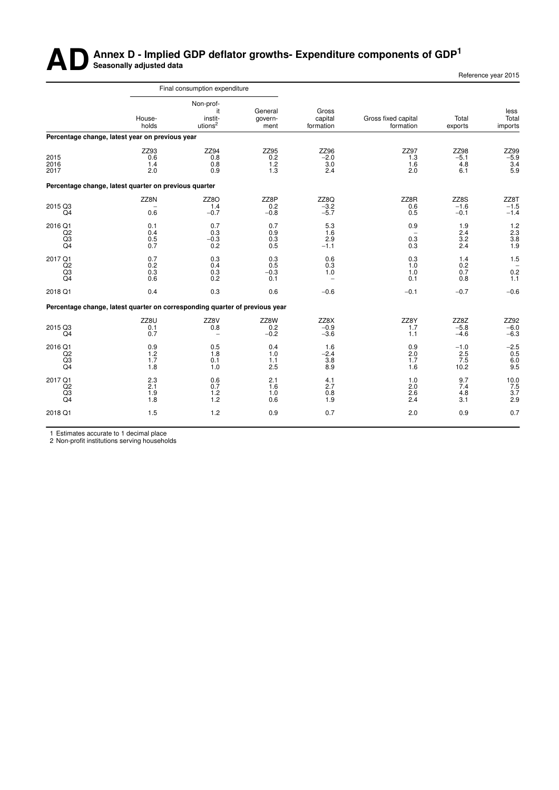## **AD** Annex D - Implied GDP deflator growths- Expenditure components of GDP<sup>1</sup>

| Reference year 2015 |  |
|---------------------|--|
|---------------------|--|

|                                                    |                                                                             | Final consumption expenditure                           |                                  |                                               |                                                         |                              | less<br>Total<br>imports                                |
|----------------------------------------------------|-----------------------------------------------------------------------------|---------------------------------------------------------|----------------------------------|-----------------------------------------------|---------------------------------------------------------|------------------------------|---------------------------------------------------------|
|                                                    | House-<br>holds                                                             | Non-prof-<br>it<br>instit-<br>utions <sup>2</sup>       | General<br>govern-<br>ment       | Gross<br>capital<br>formation                 | Gross fixed capital<br>formation                        | Total<br>exports             |                                                         |
|                                                    | Percentage change, latest year on previous year                             |                                                         |                                  |                                               |                                                         |                              |                                                         |
| 2015<br>2016<br>2017                               | ZZ93<br>0.6<br>1.4<br>2.0                                                   | ZZ94<br>0.8<br>0.8<br>0.9                               | ZZ95<br>0.2<br>$\frac{1.2}{1.3}$ | ZZ96<br>$-2.0$<br>3.0<br>2.4                  | ZZ97<br>1.3<br>1.6<br>2.0                               | ZZ98<br>$-5.1$<br>4.8<br>6.1 | ZZ99<br>$-5.9$<br>$\frac{3.4}{5.9}$                     |
|                                                    | Percentage change, latest quarter on previous quarter                       |                                                         |                                  |                                               |                                                         |                              |                                                         |
| 2015 Q3<br>Q <sub>4</sub>                          | ZZ8N<br>0.6                                                                 | ZZ8O<br>1.4<br>$-0.7$                                   | ZZ8P<br>0.2<br>$-0.8$            | ZZ8Q<br>$-3.2$<br>$-5.7$                      | ZZ8R<br>0.6<br>0.5                                      | ZZ8S<br>$-1.6$<br>$-0.1$     | ZZ8T<br>$-1.5$<br>$-1.4$                                |
| 2016 Q1<br>Q2<br>Q3<br>Q <sub>4</sub>              | 0.1<br>0.4<br>0.5<br>0.7                                                    | 0.7<br>0.3<br>$-0.3$<br>0.2                             | 0.7<br>0.9<br>0.3<br>0.5         | 5.3<br>1.6<br>2.9<br>$-1.1$                   | 0.9<br>0.3<br>0.3                                       | 1.9<br>2.4<br>3.2<br>2.4     | $\begin{array}{c} 1.2 \\ 2.3 \\ 3.8 \end{array}$<br>1.9 |
| 2017 Q1<br>Q2<br>Q <sub>3</sub><br>Q <sub>4</sub>  | 0.7<br>0.2<br>0.3<br>0.6                                                    | 0.3<br>0.4<br>0.3<br>0.2                                | 0.3<br>0.5<br>$-0.3$<br>0.1      | 0.6<br>0.3<br>1.0<br>$\overline{\phantom{m}}$ | 0.3<br>1.0<br>1.0<br>0.1                                | 1.4<br>0.2<br>0.7<br>0.8     | 1.5<br>0.2<br>1.1                                       |
| 2018 Q1                                            | 0.4                                                                         | 0.3                                                     | 0.6                              | $-0.6$                                        | $-0.1$                                                  | $-0.7$                       | $-0.6$                                                  |
|                                                    | Percentage change, latest quarter on corresponding quarter of previous year |                                                         |                                  |                                               |                                                         |                              |                                                         |
| 2015 Q3<br>Q4                                      | ZZ8U<br>0.1<br>0.7                                                          | ZZ8V<br>0.8<br>$\overline{\phantom{0}}$                 | ZZ8W<br>0.2<br>$-0.2$            | ZZ8X<br>$-0.9$<br>$-3.6$                      | ZZ8Y<br>1.7<br>1.1                                      | ZZ8Z<br>$-5.8$<br>$-4.6$     | ZZ92<br>$-6.0$<br>$-6.3$                                |
| 2016 Q1<br>Q2<br>Q3<br>Q <sub>4</sub>              | $0.9$<br>$1.2$<br>1.7<br>1.8                                                | $\begin{array}{c} 0.5 \\ 1.8 \end{array}$<br>0.1<br>1.0 | 0.4<br>1.0<br>1.1<br>2.5         | 1.6<br>$-2.4$<br>3.8<br>8.9                   | $\begin{array}{c} 0.9 \\ 2.0 \end{array}$<br>1.7<br>1.6 | $-1.0$<br>2.5<br>7.5<br>10.2 | $^{-2.5}_{0.5}$<br>$6.0$<br>9.5                         |
| 2017 Q1<br>Q2<br>$\overline{Q3}$<br>Q <sub>4</sub> | 2.3<br>2.1<br>1.9<br>1.8                                                    | 0.6<br>0.7<br>1.2<br>1.2                                | 2.1<br>1.6<br>1.0<br>0.6         | 4.1<br>2.7<br>0.8<br>1.9                      | 1.0<br>2.0<br>$2.\overline{6}$<br>2.4                   | 9.7<br>7.4<br>4.8<br>3.1     | 10.0<br>$\frac{7.5}{3.7}$<br>2.9                        |
| 2018 Q1                                            | 1.5                                                                         | 1.2                                                     | 0.9                              | 0.7                                           | 2.0                                                     | 0.9                          | 0.7                                                     |
|                                                    |                                                                             |                                                         |                                  |                                               |                                                         |                              |                                                         |

1 Estimates accurate to 1 decimal place

2 Non-profit institutions serving households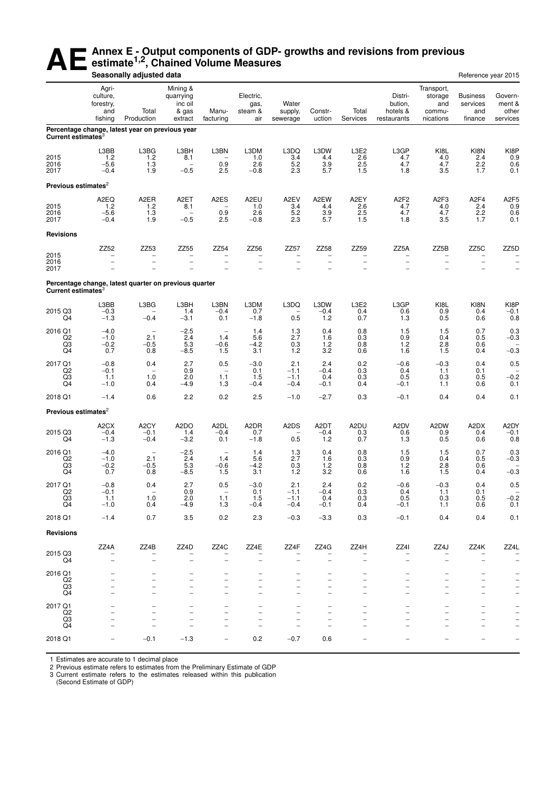## **AE** Annex E - Output components of GDP- growths and revisions from previous estimate<sup>1,2</sup>, Chained Volume Measures **estimate1,2, Chained Volume Measures**

|                                                    |                                                  | Seasonally adjusted data                              |                                                                        |                                                  |                                                              |                                                              |                                                       |                                                              |                                                       |                                                       | Reference year 2015                                                              |                                                      |  |  |
|----------------------------------------------------|--------------------------------------------------|-------------------------------------------------------|------------------------------------------------------------------------|--------------------------------------------------|--------------------------------------------------------------|--------------------------------------------------------------|-------------------------------------------------------|--------------------------------------------------------------|-------------------------------------------------------|-------------------------------------------------------|----------------------------------------------------------------------------------|------------------------------------------------------|--|--|
|                                                    | Agri-<br>culture,<br>forestry,<br>and<br>fishing | Total<br>Production                                   | Mining &<br>quarrying<br>inc oil<br>& gas<br>extract                   | Manu-<br>facturing                               | Electric,<br>gas,<br>steam &<br>air                          | Water<br>supply,<br>sewerage                                 | Constr-<br>uction                                     | Total<br>Services                                            | Distri-<br>bution,<br>hotels &<br>restaurants         | Transport,<br>storage<br>and<br>commu-<br>nications   | <b>Business</b><br>services<br>and<br>finance                                    | Govern-<br>ment &<br>other<br>services               |  |  |
| Current estimates <sup>3</sup>                     |                                                  | Percentage change, latest year on previous year       |                                                                        |                                                  |                                                              |                                                              |                                                       |                                                              |                                                       |                                                       |                                                                                  |                                                      |  |  |
| 2015<br>2016<br>2017                               | L3BB<br>1.2<br>$-5.6$<br>$-0.4$                  | L3BG<br>1.2<br>1.3<br>1.9                             | L3BH<br>8.1<br>$\overline{\phantom{a}}$<br>$-0.5$                      | L3BN<br>0.9<br>2.5                               | L3DM<br>1.0<br>2.6<br>$-0.8$                                 | L3DQ<br>3.4<br>5.2<br>2.3                                    | L3DW<br>4.4<br>$\frac{3.9}{5.7}$                      | L3E2<br>2.6<br>$^{2.5}_{1.5}$                                | L3GP<br>4.7<br>4.7<br>1.8                             | KI8L<br>$4.0$<br>4.7<br>3.5                           | KI8N<br>2.4<br>$^{2.2}_{1.7}$                                                    | KI8P<br>0.9<br>$0.6$<br>$0.1$                        |  |  |
| Previous estimates <sup>2</sup>                    |                                                  |                                                       |                                                                        |                                                  |                                                              |                                                              |                                                       |                                                              |                                                       |                                                       |                                                                                  |                                                      |  |  |
| 2015<br>2016<br>2017                               | A2EQ<br>1.2<br>$-5.6$<br>$-0.4$                  | A <sub>2</sub> ER<br>1.2<br>$1.\overline{3}$<br>1.9   | A <sub>2</sub> ET<br>8.1<br>$\overline{\phantom{0}}$<br>$-0.5$         | A <sub>2</sub> ES<br>0.9<br>2.5                  | A2EU<br>1.0<br>2.6<br>$-0.8$                                 | A2EV<br>3.4<br>5.2<br>2.3                                    | A2EW<br>4.4<br>3.9<br>5.7                             | A2EY<br>2.6<br>$\overline{2.5}$<br>1.5                       | A <sub>2F2</sub><br>$4.7$<br>$4.7$<br>1.8             | A <sub>2F3</sub><br>4.0<br>4.7<br>3.5                 | A <sub>2F4</sub><br>2.4<br>2.2<br>1.7                                            | A <sub>2F5</sub><br>$0.9 \\ 0.6$<br>0.1              |  |  |
| <b>Revisions</b>                                   |                                                  |                                                       |                                                                        |                                                  |                                                              |                                                              |                                                       |                                                              |                                                       |                                                       |                                                                                  |                                                      |  |  |
| 2015<br>2016<br>2017                               | ZZ52                                             | ZZ53<br>$\qquad \qquad -$<br>$\overline{\phantom{0}}$ | ZZ55<br>$\overline{a}$<br>$\overline{a}$                               | ZZ54<br>$\overline{\phantom{0}}$                 | ZZ56<br>$\overline{\phantom{a}}$<br>$\overline{\phantom{0}}$ | ZZ57<br>$\overline{\phantom{a}}$<br>$\overline{\phantom{0}}$ | ZZ58<br>$\qquad \qquad -$<br>$\overline{\phantom{0}}$ | ZZ59<br>$\overline{\phantom{0}}$<br>$\overline{\phantom{0}}$ | ZZ5A<br>$\qquad \qquad -$<br>$\overline{\phantom{0}}$ | ZZ5B<br>$\overline{\phantom{a}}$<br>$\qquad \qquad -$ | ZZ5C<br>$\qquad \qquad -$<br>$\overline{\phantom{0}}$                            | ZZ5D<br>$\overline{a}$                               |  |  |
| Current estimates <sup>3</sup>                     |                                                  | Percentage change, latest quarter on previous quarter |                                                                        |                                                  |                                                              |                                                              |                                                       |                                                              |                                                       |                                                       |                                                                                  |                                                      |  |  |
| 2015 Q3<br>Q4                                      | L3BB<br>$-0.3$<br>$-1.3$                         | L3BG<br>$-0.4$                                        | L3BH<br>1.4<br>$-3.1$                                                  | L3BN<br>$-0.4$<br>0.1                            | L3DM<br>0.7<br>$-1.8$                                        | L3DQ<br>$\overline{\phantom{m}}$<br>0.5                      | L3DW<br>$-0.4$<br>1.2                                 | L3E2<br>0.4<br>0.7                                           | L3GP<br>0.6<br>1.3                                    | KI8L<br>0.9<br>0.5                                    | KI8N<br>0.4<br>0.6                                                               | $KIBP -0.1$<br>0.8                                   |  |  |
| 2016 Q1<br>Q2<br>Q3<br>Q <sub>4</sub>              | $-4.0$<br>$-1.0$<br>$^{-0.2}_{0.7}$              | $\qquad \qquad -$<br>2.1<br>$-0.5$<br>0.8             | $-2.5$<br>2.4<br>5.3<br>$-8.5$                                         | $\overline{\phantom{a}}$<br>1.4<br>$-0.6$<br>1.5 | 1.4<br>5.6<br>$-4.2$<br>3.1                                  | 1.3<br>2.7<br>0.3<br>1.2                                     | 0.4<br>1.6<br>$\frac{1.2}{3.2}$                       | 0.8<br>0.3<br>0.8<br>0.6                                     | 1.5<br>0.9<br>$\frac{1.2}{1.6}$                       | 1.5<br>0.4<br>2.8<br>1.5                              | 0.7<br>0.5<br>0.6<br>0.4                                                         | 0.3<br>$-0.3$<br>$-0.3$                              |  |  |
| 2017 Q1<br>Q2<br>Q3<br>Q4                          | $-0.8$<br>$-0.1$<br>1.1<br>$-1.0$                | 0.4<br>$\overline{\phantom{0}}$<br>1.0<br>0.4         | 2.7<br>0.9<br>2.0<br>$-4.9$                                            | 0.5<br>$\overline{\phantom{a}}$<br>1.1<br>1.3    | $-3.0$<br>0.1<br>1.5<br>$-0.4$                               | 2.1<br>$-1.1$<br>$-1.1$<br>$-0.4$                            | 2.4<br>$-0.4$<br>0.4<br>$-0.1$                        | ${}^{0.2}_{0.3}$<br>0.3<br>0.4                               | $-0.6$<br>0.4<br>0.5<br>$-0.1$                        | $-0.3$<br>1.1<br>0.3<br>1.1                           | 0.4<br>0.1<br>0.5<br>0.6                                                         | 0.5<br>$-0.2$<br>0.1                                 |  |  |
| 2018 Q1                                            | $-1.4$                                           | 0.6                                                   | 2.2                                                                    | 0.2                                              | 2.5                                                          | $-1.0$                                                       | $-2.7$                                                | 0.3                                                          | $-0.1$                                                | 0.4                                                   | 0.4                                                                              | 0.1                                                  |  |  |
| Previous estimates <sup>2</sup>                    |                                                  |                                                       |                                                                        |                                                  |                                                              |                                                              |                                                       |                                                              |                                                       |                                                       |                                                                                  |                                                      |  |  |
| 2015 Q3<br>Q4                                      | A <sub>2</sub> CX<br>$-0.4$<br>$-1.3$            | A <sub>2</sub> CY<br>$-0.1$<br>$-0.4$                 | A <sub>2</sub> DO<br>1.4<br>$-3.2$                                     | A <sub>2</sub> DL<br>$-0.4$<br>0.1               | A2DR<br>0.7<br>$-1.8$                                        | A2DS<br>$\overline{\phantom{0}}$<br>0.5                      | A2DT<br>$-0.4$<br>1.2                                 | A2DU<br>0.3<br>0.7                                           | A2DV<br>0.6<br>1.3                                    | A2DW<br>0.9<br>0.5                                    | A2DX<br>0.4<br>0.6                                                               | A2DY<br>$-0.1$<br>0.8                                |  |  |
| 2016 Q1<br>Q2<br>Q3<br>Q4                          | $-4.0$<br>$-1.0$<br>$-0.2$<br>0.7                | $\overline{\phantom{m}}$<br>2.1<br>$-0.5$<br>0.8      | $-2.5$<br>2.4<br>5.3<br>$-8.5$                                         | $\overline{\phantom{a}}$<br>1.4<br>$-0.6$<br>1.5 | 1.4<br>5.6<br>$-4.2$<br>3.1                                  | 1.3<br>2.7<br>0.3<br>$1.2$                                   | 0.4<br>1.6<br>$1.2$<br>3.2                            | 0.8<br>0.3<br>0.8<br>0.6                                     | 1.5<br>0.9<br>1.2<br>1.6                              | 1.5<br>0.4<br>2.8<br>1.5                              | 0.7<br>0.5<br>0.6<br>0.4                                                         | 0.3<br>$-0.3$<br>$-0.3$                              |  |  |
| 2017 Q1<br>Q2<br>Q3<br>Q4                          | $-0.8$<br>$-0.1$<br>1.1<br>$-1.0$                | 0.4<br>$\overline{\phantom{0}}$<br>1.0<br>0.4         | 2.7<br>0.9<br>2.0<br>$-4.9$                                            | 0.5<br>-<br>1.1<br>1.3                           | $-3.0$<br>0.1<br>1.5<br>$-0.4$                               | 2.1<br>$-1.1$<br>$-1.1$<br>$-0.4$                            | 2.4<br>$-0.4$<br>0.4<br>$-0.1$                        | 0.2<br>0.3<br>0.3<br>0.4                                     | $-0.6$<br>0.4<br>0.5<br>$-0.1$                        | $-0.3$<br>1.1<br>0.3<br>1.1                           | 0.4<br>0.1<br>0.5<br>0.6                                                         | 0.5<br>$-0.2$<br>0.1                                 |  |  |
| 2018 Q1                                            | $-1.4$                                           | 0.7                                                   | 3.5                                                                    | 0.2                                              | 2.3                                                          | $-0.3$                                                       | $-3.3$                                                | 0.3                                                          | $-0.1$                                                | 0.4                                                   | 0.4                                                                              | 0.1                                                  |  |  |
| <b>Revisions</b>                                   |                                                  |                                                       |                                                                        |                                                  |                                                              |                                                              |                                                       |                                                              |                                                       |                                                       |                                                                                  |                                                      |  |  |
| 2015 Q3                                            | ZZ4A                                             | ZZ4B                                                  | ZZ4D                                                                   | ZZ4C                                             | ZZ4E<br>-                                                    | ZZ4F                                                         | ZZ4G                                                  | ZZ4H                                                         | ZZ4I                                                  | ZZ4J                                                  | ZZ4K                                                                             | ZZ4L                                                 |  |  |
| Q4                                                 |                                                  | $\qquad \qquad -$<br>$\overline{\phantom{0}}$         | $\overline{\phantom{0}}$<br>$\overline{\phantom{0}}$                   | $\overline{\phantom{0}}$                         | $\overline{\phantom{0}}$                                     | $\qquad \qquad -$<br>$\overline{\phantom{0}}$                |                                                       |                                                              | $\qquad \qquad -$<br>$\overline{\phantom{0}}$         | $\overline{\phantom{m}}$                              | $\overline{\phantom{0}}$<br>$\overline{\phantom{0}}$                             | $\overline{\phantom{0}}$                             |  |  |
| 2016 Q1<br>Q2<br>Q3<br>Q4                          |                                                  | $\overline{\phantom{0}}$<br>$\overline{a}$            | $\overline{\phantom{0}}$<br>$\overline{a}$<br>$\overline{\phantom{0}}$ | $\overline{\phantom{0}}$                         | $\qquad \qquad -$<br>$\overline{\phantom{0}}$                | $\overbrace{\phantom{1232211}}$<br>$\overline{\phantom{0}}$  | $\qquad \qquad -$<br>$\overline{\phantom{0}}$         |                                                              | $\qquad \qquad -$<br>$\overline{\phantom{0}}$<br>۳    | $\qquad \qquad -$<br>$\overline{\phantom{0}}$         | $\overline{\phantom{0}}$<br>$\overline{\phantom{0}}$<br>$\overline{a}$           | $\overline{\phantom{a}}$<br>$\overline{\phantom{0}}$ |  |  |
| 2017 Q1<br>Q <sub>2</sub><br>$\overline{Q3}$<br>Q4 |                                                  | $\overline{a}$                                        | $\overline{\phantom{0}}$<br>$\overline{\phantom{0}}$<br>$\overline{a}$ |                                                  | $\overline{\phantom{0}}$<br>$\overline{\phantom{0}}$         |                                                              | $\overline{\phantom{0}}$<br>$\overline{\phantom{0}}$  |                                                              | $\overline{\phantom{0}}$<br>$\qquad \qquad -$         |                                                       | $\overline{\phantom{0}}$<br>$\overline{\phantom{0}}$<br>$\overline{\phantom{0}}$ | $\overline{\phantom{a}}$                             |  |  |
| 2018 Q1                                            |                                                  | $-0.1$                                                | $-1.3$                                                                 |                                                  | 0.2                                                          | $-0.7$                                                       | 0.6                                                   |                                                              |                                                       |                                                       |                                                                                  |                                                      |  |  |
|                                                    |                                                  |                                                       |                                                                        |                                                  |                                                              |                                                              |                                                       |                                                              |                                                       |                                                       |                                                                                  |                                                      |  |  |

1 Estimates are accurate to 1 decimal place 2 Previous estimate refers to estimates from the Preliminary Estimate of GDP 3 Current estimate refers to the estimates released within this publication

(Second Estimate of GDP)